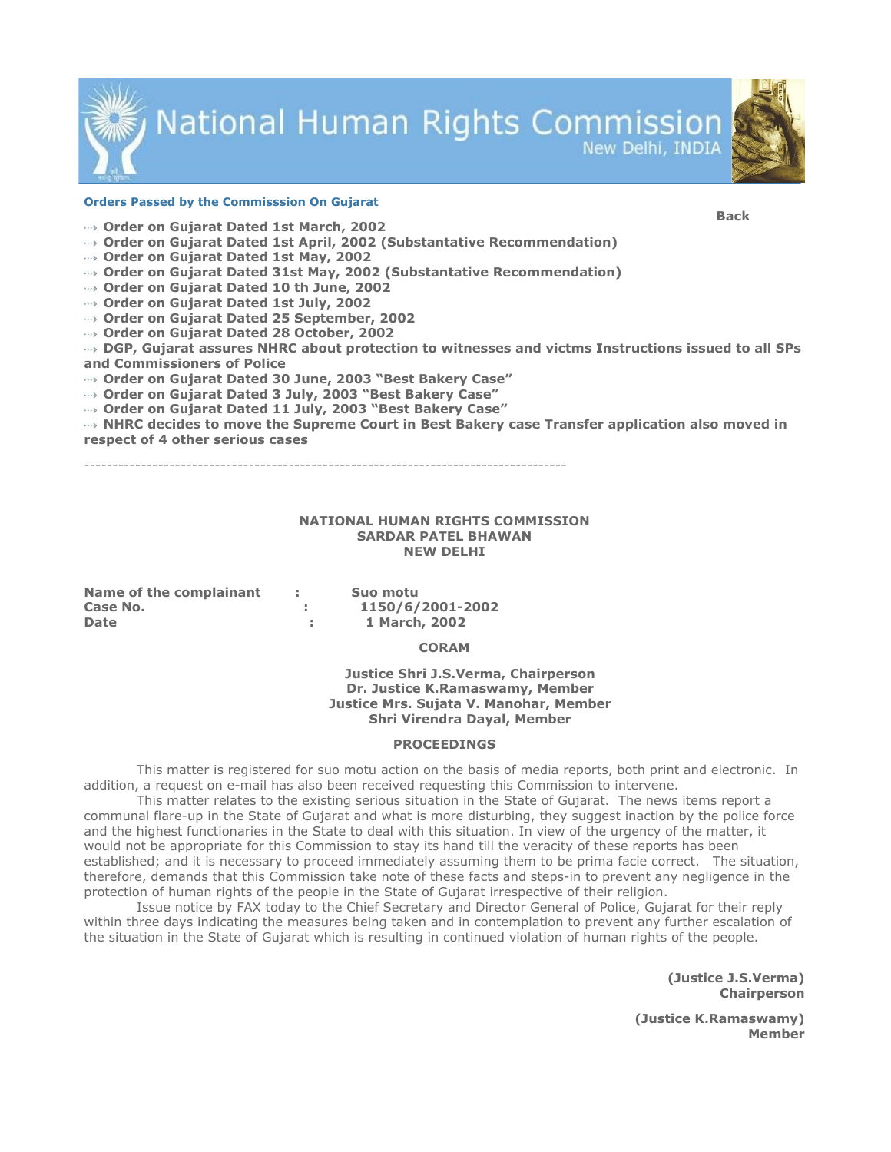

**National Human Rights Commission** New Delhi, INDIA

#### Orders Passed by the Commisssion On Gujarat

Back

- Order on Gujarat Dated 1st March, 2002
- Order on Gujarat Dated 1st April, 2002 (Substantative Recommendation)
- Order on Gujarat Dated 1st May, 2002
- Order on Gujarat Dated 31st May, 2002 (Substantative Recommendation)
- Order on Gujarat Dated 10 th June, 2002
- Order on Gujarat Dated 1st July, 2002
- Order on Gujarat Dated 25 September, 2002
- Order on Gujarat Dated 28 October, 2002
- DGP, Gujarat assures NHRC about protection to witnesses and victms Instructions issued to all SPs and Commissioners of Police
- Order on Gujarat Dated 30 June, 2003 "Best Bakery Case"
- Order on Gujarat Dated 3 July, 2003 "Best Bakery Case"
- Order on Gujarat Dated 11 July, 2003 "Best Bakery Case"
- NHRC decides to move the Supreme Court in Best Bakery case Transfer application also moved in respect of 4 other serious cases

-------------------------------------------------------------------------------------

# NATIONAL HUMAN RIGHTS COMMISSION SARDAR PATEL BHAWAN NEW DELHI

| Name of the complainant | Suo motu         |
|-------------------------|------------------|
| Case No.                | 1150/6/2001-2002 |
| <b>Date</b>             | 1 March, 2002    |

#### **CORAM**

 Justice Shri J.S.Verma, Chairperson Dr. Justice K.Ramaswamy, Member Justice Mrs. Sujata V. Manohar, Member Shri Virendra Dayal, Member

#### PROCEEDINGS

 This matter is registered for suo motu action on the basis of media reports, both print and electronic. In addition, a request on e-mail has also been received requesting this Commission to intervene.

 This matter relates to the existing serious situation in the State of Gujarat. The news items report a communal flare-up in the State of Gujarat and what is more disturbing, they suggest inaction by the police force and the highest functionaries in the State to deal with this situation. In view of the urgency of the matter, it would not be appropriate for this Commission to stay its hand till the veracity of these reports has been established; and it is necessary to proceed immediately assuming them to be prima facie correct. The situation, therefore, demands that this Commission take note of these facts and steps-in to prevent any negligence in the protection of human rights of the people in the State of Gujarat irrespective of their religion.

 Issue notice by FAX today to the Chief Secretary and Director General of Police, Gujarat for their reply within three days indicating the measures being taken and in contemplation to prevent any further escalation of the situation in the State of Gujarat which is resulting in continued violation of human rights of the people.

> (Justice J.S.Verma) Chairperson

(Justice K.Ramaswamy) Member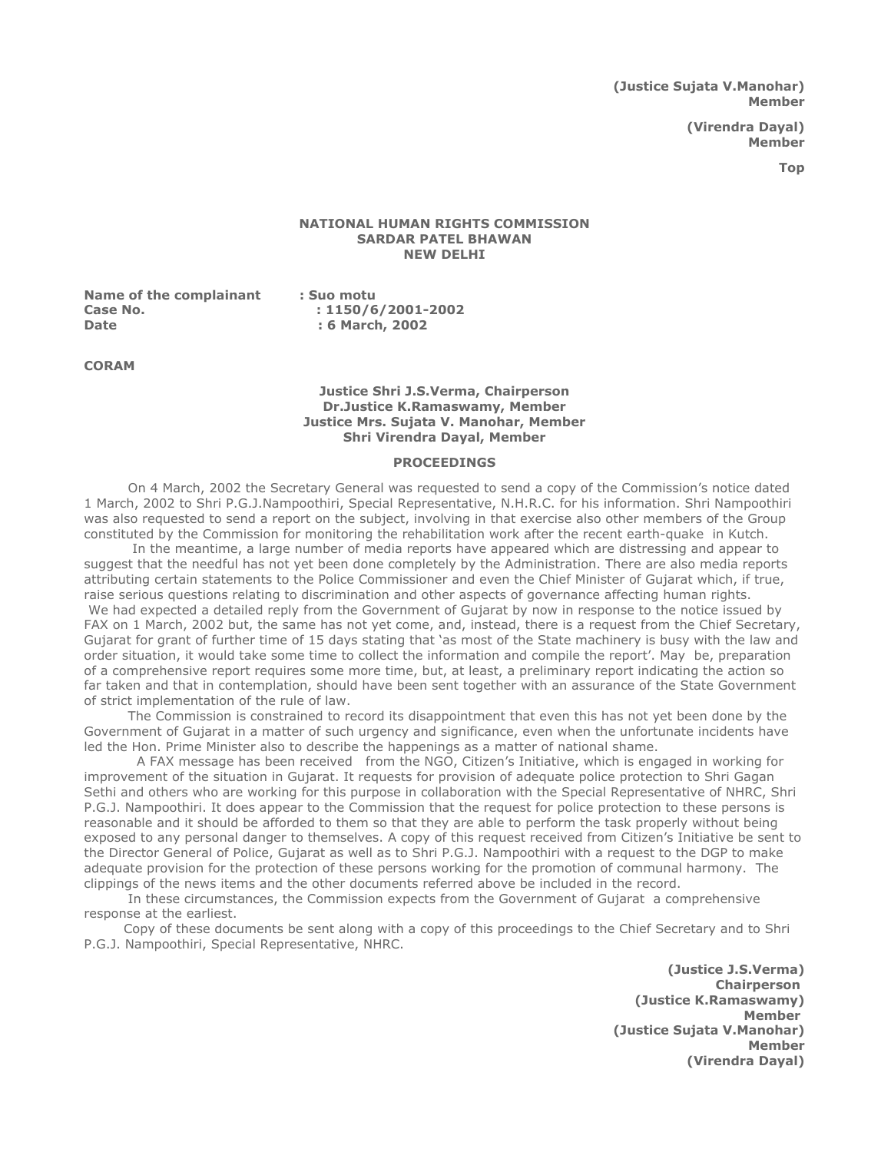(Justice Sujata V.Manohar) Member

> (Virendra Dayal) Member

> > Top

## NATIONAL HUMAN RIGHTS COMMISSION SARDAR PATEL BHAWAN NEW DELHI

Name of the complainant : Suo motu Case No. 2001 2002 : 1150/6/2001-2002 Date : 6 March, 2002

CORAM

### Justice Shri J.S.Verma, Chairperson Dr.Justice K.Ramaswamy, Member Justice Mrs. Sujata V. Manohar, Member Shri Virendra Dayal, Member

#### **PROCEEDINGS**

 On 4 March, 2002 the Secretary General was requested to send a copy of the Commission's notice dated 1 March, 2002 to Shri P.G.J.Nampoothiri, Special Representative, N.H.R.C. for his information. Shri Nampoothiri was also requested to send a report on the subject, involving in that exercise also other members of the Group constituted by the Commission for monitoring the rehabilitation work after the recent earth-quake in Kutch.

 In the meantime, a large number of media reports have appeared which are distressing and appear to suggest that the needful has not yet been done completely by the Administration. There are also media reports attributing certain statements to the Police Commissioner and even the Chief Minister of Gujarat which, if true, raise serious questions relating to discrimination and other aspects of governance affecting human rights. We had expected a detailed reply from the Government of Gujarat by now in response to the notice issued by FAX on 1 March, 2002 but, the same has not yet come, and, instead, there is a request from the Chief Secretary, Gujarat for grant of further time of 15 days stating that 'as most of the State machinery is busy with the law and order situation, it would take some time to collect the information and compile the report'. May be, preparation of a comprehensive report requires some more time, but, at least, a preliminary report indicating the action so far taken and that in contemplation, should have been sent together with an assurance of the State Government of strict implementation of the rule of law.

 The Commission is constrained to record its disappointment that even this has not yet been done by the Government of Gujarat in a matter of such urgency and significance, even when the unfortunate incidents have led the Hon. Prime Minister also to describe the happenings as a matter of national shame.

 A FAX message has been received from the NGO, Citizen's Initiative, which is engaged in working for improvement of the situation in Gujarat. It requests for provision of adequate police protection to Shri Gagan Sethi and others who are working for this purpose in collaboration with the Special Representative of NHRC, Shri P.G.J. Nampoothiri. It does appear to the Commission that the request for police protection to these persons is reasonable and it should be afforded to them so that they are able to perform the task properly without being exposed to any personal danger to themselves. A copy of this request received from Citizen's Initiative be sent to the Director General of Police, Gujarat as well as to Shri P.G.J. Nampoothiri with a request to the DGP to make adequate provision for the protection of these persons working for the promotion of communal harmony. The clippings of the news items and the other documents referred above be included in the record.

 In these circumstances, the Commission expects from the Government of Gujarat a comprehensive response at the earliest.

 Copy of these documents be sent along with a copy of this proceedings to the Chief Secretary and to Shri P.G.J. Nampoothiri, Special Representative, NHRC.

> (Justice J.S.Verma) Chairperson (Justice K.Ramaswamy) Member (Justice Sujata V.Manohar) Member (Virendra Dayal)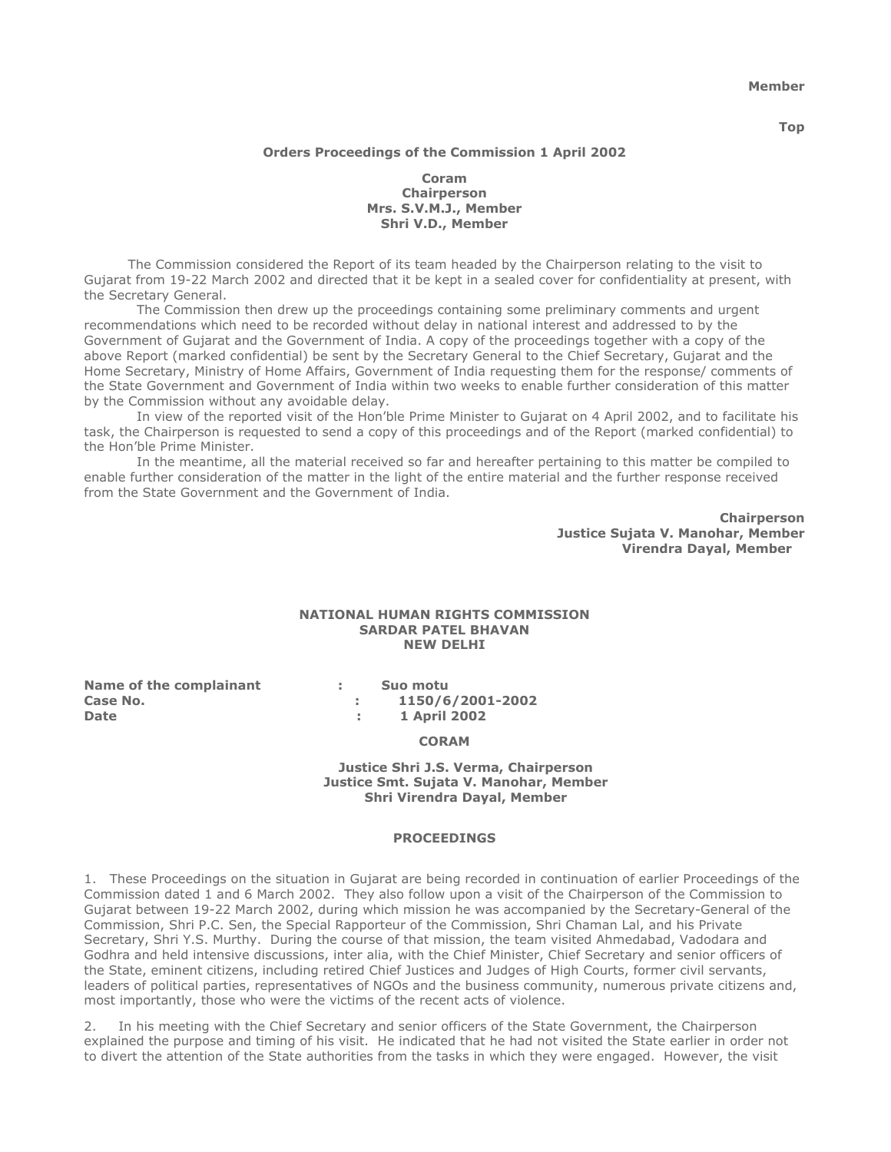Member

Top

# Orders Proceedings of the Commission 1 April 2002

Coram **Chairperson** Mrs. S.V.M.J., Member Shri V.D., Member

 The Commission considered the Report of its team headed by the Chairperson relating to the visit to Gujarat from 19-22 March 2002 and directed that it be kept in a sealed cover for confidentiality at present, with the Secretary General.

 The Commission then drew up the proceedings containing some preliminary comments and urgent recommendations which need to be recorded without delay in national interest and addressed to by the Government of Gujarat and the Government of India. A copy of the proceedings together with a copy of the above Report (marked confidential) be sent by the Secretary General to the Chief Secretary, Gujarat and the Home Secretary, Ministry of Home Affairs, Government of India requesting them for the response/ comments of the State Government and Government of India within two weeks to enable further consideration of this matter by the Commission without any avoidable delay.

 In view of the reported visit of the Hon'ble Prime Minister to Gujarat on 4 April 2002, and to facilitate his task, the Chairperson is requested to send a copy of this proceedings and of the Report (marked confidential) to the Hon'ble Prime Minister.

 In the meantime, all the material received so far and hereafter pertaining to this matter be compiled to enable further consideration of the matter in the light of the entire material and the further response received from the State Government and the Government of India.

> **Chairperson** Justice Sujata V. Manohar, Member Virendra Dayal, Member

### NATIONAL HUMAN RIGHTS COMMISSION SARDAR PATEL BHAVAN NEW DELHI

Name of the complainant : Suo motu Date : 1 April 2002

Case No. 2002 2001-2002

CORAM

### Justice Shri J.S. Verma, Chairperson Justice Smt. Sujata V. Manohar, Member Shri Virendra Dayal, Member

#### PROCEEDINGS

1. These Proceedings on the situation in Gujarat are being recorded in continuation of earlier Proceedings of the Commission dated 1 and 6 March 2002. They also follow upon a visit of the Chairperson of the Commission to Gujarat between 19-22 March 2002, during which mission he was accompanied by the Secretary-General of the Commission, Shri P.C. Sen, the Special Rapporteur of the Commission, Shri Chaman Lal, and his Private Secretary, Shri Y.S. Murthy. During the course of that mission, the team visited Ahmedabad, Vadodara and Godhra and held intensive discussions, inter alia, with the Chief Minister, Chief Secretary and senior officers of the State, eminent citizens, including retired Chief Justices and Judges of High Courts, former civil servants, leaders of political parties, representatives of NGOs and the business community, numerous private citizens and, most importantly, those who were the victims of the recent acts of violence.

2. In his meeting with the Chief Secretary and senior officers of the State Government, the Chairperson explained the purpose and timing of his visit. He indicated that he had not visited the State earlier in order not to divert the attention of the State authorities from the tasks in which they were engaged. However, the visit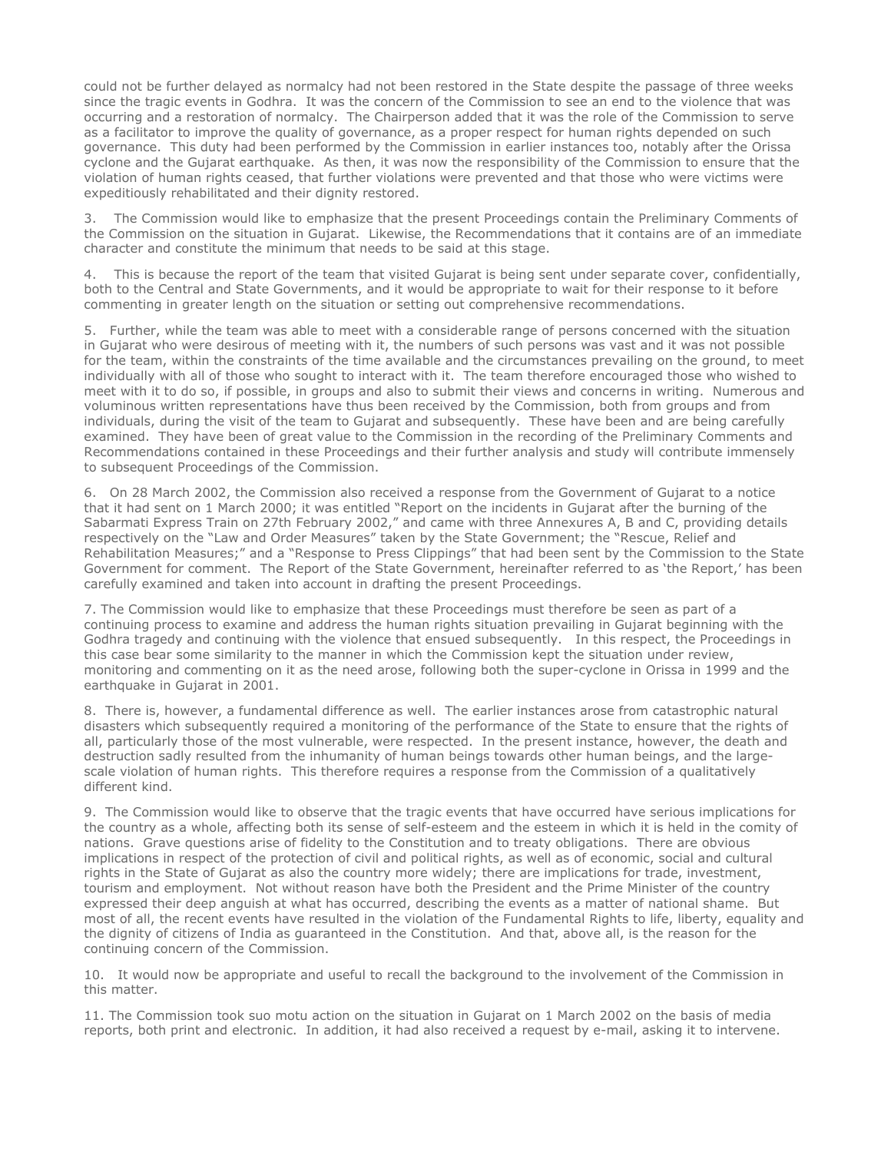could not be further delayed as normalcy had not been restored in the State despite the passage of three weeks since the tragic events in Godhra. It was the concern of the Commission to see an end to the violence that was occurring and a restoration of normalcy. The Chairperson added that it was the role of the Commission to serve as a facilitator to improve the quality of governance, as a proper respect for human rights depended on such governance. This duty had been performed by the Commission in earlier instances too, notably after the Orissa cyclone and the Gujarat earthquake. As then, it was now the responsibility of the Commission to ensure that the violation of human rights ceased, that further violations were prevented and that those who were victims were expeditiously rehabilitated and their dignity restored.

3. The Commission would like to emphasize that the present Proceedings contain the Preliminary Comments of the Commission on the situation in Gujarat. Likewise, the Recommendations that it contains are of an immediate character and constitute the minimum that needs to be said at this stage.

4. This is because the report of the team that visited Gujarat is being sent under separate cover, confidentially, both to the Central and State Governments, and it would be appropriate to wait for their response to it before commenting in greater length on the situation or setting out comprehensive recommendations.

5. Further, while the team was able to meet with a considerable range of persons concerned with the situation in Gujarat who were desirous of meeting with it, the numbers of such persons was vast and it was not possible for the team, within the constraints of the time available and the circumstances prevailing on the ground, to meet individually with all of those who sought to interact with it. The team therefore encouraged those who wished to meet with it to do so, if possible, in groups and also to submit their views and concerns in writing. Numerous and voluminous written representations have thus been received by the Commission, both from groups and from individuals, during the visit of the team to Gujarat and subsequently. These have been and are being carefully examined. They have been of great value to the Commission in the recording of the Preliminary Comments and Recommendations contained in these Proceedings and their further analysis and study will contribute immensely to subsequent Proceedings of the Commission.

6. On 28 March 2002, the Commission also received a response from the Government of Gujarat to a notice that it had sent on 1 March 2000; it was entitled "Report on the incidents in Gujarat after the burning of the Sabarmati Express Train on 27th February 2002," and came with three Annexures A, B and C, providing details respectively on the "Law and Order Measures" taken by the State Government; the "Rescue, Relief and Rehabilitation Measures;" and a "Response to Press Clippings" that had been sent by the Commission to the State Government for comment. The Report of the State Government, hereinafter referred to as 'the Report,' has been carefully examined and taken into account in drafting the present Proceedings.

7. The Commission would like to emphasize that these Proceedings must therefore be seen as part of a continuing process to examine and address the human rights situation prevailing in Gujarat beginning with the Godhra tragedy and continuing with the violence that ensued subsequently. In this respect, the Proceedings in this case bear some similarity to the manner in which the Commission kept the situation under review, monitoring and commenting on it as the need arose, following both the super-cyclone in Orissa in 1999 and the earthquake in Gujarat in 2001.

8. There is, however, a fundamental difference as well. The earlier instances arose from catastrophic natural disasters which subsequently required a monitoring of the performance of the State to ensure that the rights of all, particularly those of the most vulnerable, were respected. In the present instance, however, the death and destruction sadly resulted from the inhumanity of human beings towards other human beings, and the largescale violation of human rights. This therefore requires a response from the Commission of a qualitatively different kind.

9. The Commission would like to observe that the tragic events that have occurred have serious implications for the country as a whole, affecting both its sense of self-esteem and the esteem in which it is held in the comity of nations. Grave questions arise of fidelity to the Constitution and to treaty obligations. There are obvious implications in respect of the protection of civil and political rights, as well as of economic, social and cultural rights in the State of Gujarat as also the country more widely; there are implications for trade, investment, tourism and employment. Not without reason have both the President and the Prime Minister of the country expressed their deep anguish at what has occurred, describing the events as a matter of national shame. But most of all, the recent events have resulted in the violation of the Fundamental Rights to life, liberty, equality and the dignity of citizens of India as guaranteed in the Constitution. And that, above all, is the reason for the continuing concern of the Commission.

10. It would now be appropriate and useful to recall the background to the involvement of the Commission in this matter.

11. The Commission took suo motu action on the situation in Gujarat on 1 March 2002 on the basis of media reports, both print and electronic. In addition, it had also received a request by e-mail, asking it to intervene.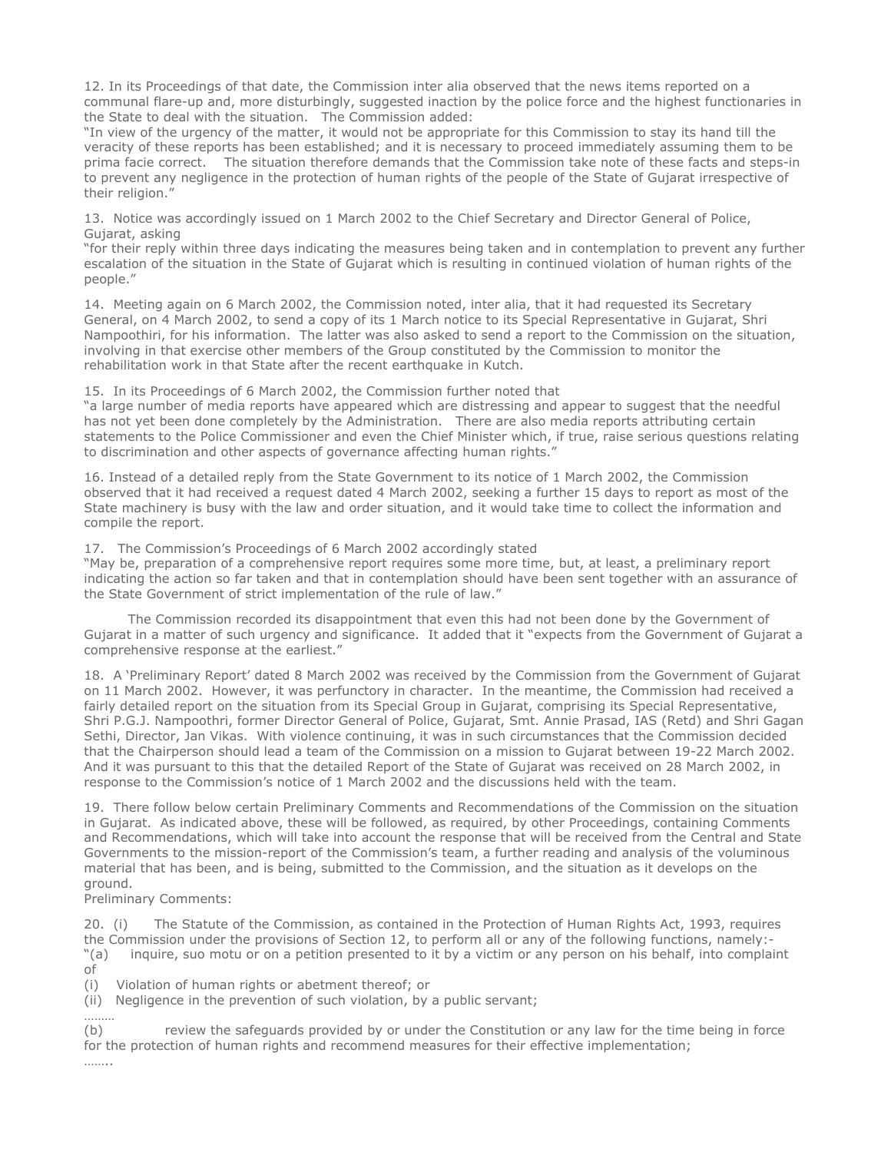12. In its Proceedings of that date, the Commission inter alia observed that the news items reported on a communal flare-up and, more disturbingly, suggested inaction by the police force and the highest functionaries in the State to deal with the situation. The Commission added:

"In view of the urgency of the matter, it would not be appropriate for this Commission to stay its hand till the veracity of these reports has been established; and it is necessary to proceed immediately assuming them to be prima facie correct. The situation therefore demands that the Commission take note of these facts and steps-in to prevent any negligence in the protection of human rights of the people of the State of Gujarat irrespective of their religion."

13. Notice was accordingly issued on 1 March 2002 to the Chief Secretary and Director General of Police, Gujarat, asking

"for their reply within three days indicating the measures being taken and in contemplation to prevent any further escalation of the situation in the State of Gujarat which is resulting in continued violation of human rights of the people."

14. Meeting again on 6 March 2002, the Commission noted, inter alia, that it had requested its Secretary General, on 4 March 2002, to send a copy of its 1 March notice to its Special Representative in Gujarat, Shri Nampoothiri, for his information. The latter was also asked to send a report to the Commission on the situation, involving in that exercise other members of the Group constituted by the Commission to monitor the rehabilitation work in that State after the recent earthquake in Kutch.

15. In its Proceedings of 6 March 2002, the Commission further noted that

"a large number of media reports have appeared which are distressing and appear to suggest that the needful has not yet been done completely by the Administration. There are also media reports attributing certain statements to the Police Commissioner and even the Chief Minister which, if true, raise serious questions relating to discrimination and other aspects of governance affecting human rights."

16. Instead of a detailed reply from the State Government to its notice of 1 March 2002, the Commission observed that it had received a request dated 4 March 2002, seeking a further 15 days to report as most of the State machinery is busy with the law and order situation, and it would take time to collect the information and compile the report.

17. The Commission's Proceedings of 6 March 2002 accordingly stated

"May be, preparation of a comprehensive report requires some more time, but, at least, a preliminary report indicating the action so far taken and that in contemplation should have been sent together with an assurance of the State Government of strict implementation of the rule of law."

 The Commission recorded its disappointment that even this had not been done by the Government of Gujarat in a matter of such urgency and significance. It added that it "expects from the Government of Gujarat a comprehensive response at the earliest."

18. A 'Preliminary Report' dated 8 March 2002 was received by the Commission from the Government of Gujarat on 11 March 2002. However, it was perfunctory in character. In the meantime, the Commission had received a fairly detailed report on the situation from its Special Group in Gujarat, comprising its Special Representative, Shri P.G.J. Nampoothri, former Director General of Police, Gujarat, Smt. Annie Prasad, IAS (Retd) and Shri Gagan Sethi, Director, Jan Vikas. With violence continuing, it was in such circumstances that the Commission decided that the Chairperson should lead a team of the Commission on a mission to Gujarat between 19-22 March 2002. And it was pursuant to this that the detailed Report of the State of Gujarat was received on 28 March 2002, in response to the Commission's notice of 1 March 2002 and the discussions held with the team.

19. There follow below certain Preliminary Comments and Recommendations of the Commission on the situation in Gujarat. As indicated above, these will be followed, as required, by other Proceedings, containing Comments and Recommendations, which will take into account the response that will be received from the Central and State Governments to the mission-report of the Commission's team, a further reading and analysis of the voluminous material that has been, and is being, submitted to the Commission, and the situation as it develops on the ground.

Preliminary Comments:

20. (i) The Statute of the Commission, as contained in the Protection of Human Rights Act, 1993, requires the Commission under the provisions of Section 12, to perform all or any of the following functions, namely:- "(a) inquire, suo motu or on a petition presented to it by a victim or any person on his behalf, into complaint of

(i) Violation of human rights or abetment thereof; or

(ii) Negligence in the prevention of such violation, by a public servant;

……… (b) review the safeguards provided by or under the Constitution or any law for the time being in force for the protection of human rights and recommend measures for their effective implementation;

……..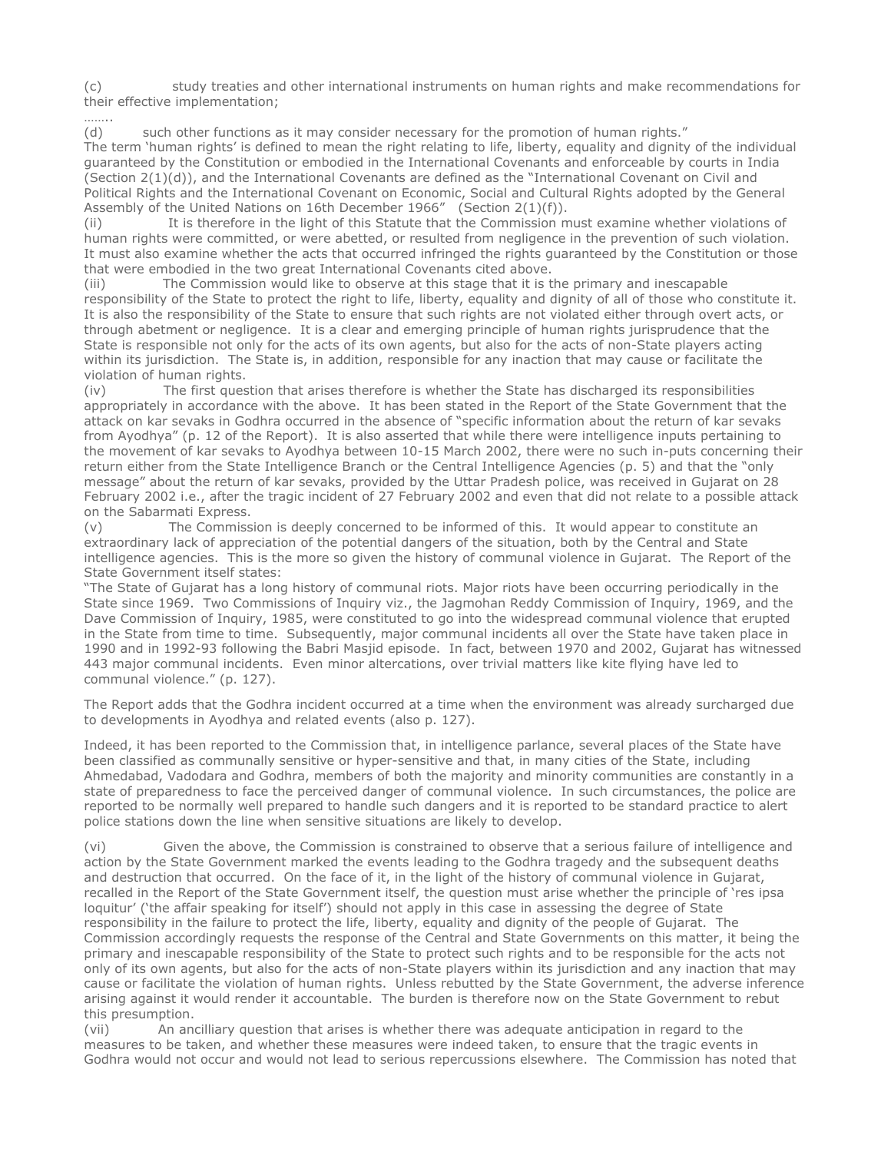(c) study treaties and other international instruments on human rights and make recommendations for their effective implementation;

………

(d) such other functions as it may consider necessary for the promotion of human rights." The term 'human rights' is defined to mean the right relating to life, liberty, equality and dignity of the individual guaranteed by the Constitution or embodied in the International Covenants and enforceable by courts in India (Section 2(1)(d)), and the International Covenants are defined as the "International Covenant on Civil and Political Rights and the International Covenant on Economic, Social and Cultural Rights adopted by the General Assembly of the United Nations on 16th December 1966" (Section 2(1)(f)).

(ii) It is therefore in the light of this Statute that the Commission must examine whether violations of human rights were committed, or were abetted, or resulted from negligence in the prevention of such violation. It must also examine whether the acts that occurred infringed the rights guaranteed by the Constitution or those that were embodied in the two great International Covenants cited above.

(iii) The Commission would like to observe at this stage that it is the primary and inescapable responsibility of the State to protect the right to life, liberty, equality and dignity of all of those who constitute it. It is also the responsibility of the State to ensure that such rights are not violated either through overt acts, or through abetment or negligence. It is a clear and emerging principle of human rights jurisprudence that the State is responsible not only for the acts of its own agents, but also for the acts of non-State players acting within its jurisdiction. The State is, in addition, responsible for any inaction that may cause or facilitate the violation of human rights.

(iv) The first question that arises therefore is whether the State has discharged its responsibilities appropriately in accordance with the above. It has been stated in the Report of the State Government that the attack on kar sevaks in Godhra occurred in the absence of "specific information about the return of kar sevaks from Ayodhya" (p. 12 of the Report). It is also asserted that while there were intelligence inputs pertaining to the movement of kar sevaks to Ayodhya between 10-15 March 2002, there were no such in-puts concerning their return either from the State Intelligence Branch or the Central Intelligence Agencies (p. 5) and that the "only message" about the return of kar sevaks, provided by the Uttar Pradesh police, was received in Gujarat on 28 February 2002 i.e., after the tragic incident of 27 February 2002 and even that did not relate to a possible attack on the Sabarmati Express.

(v) The Commission is deeply concerned to be informed of this. It would appear to constitute an extraordinary lack of appreciation of the potential dangers of the situation, both by the Central and State intelligence agencies. This is the more so given the history of communal violence in Gujarat. The Report of the State Government itself states:

"The State of Gujarat has a long history of communal riots. Major riots have been occurring periodically in the State since 1969. Two Commissions of Inquiry viz., the Jagmohan Reddy Commission of Inquiry, 1969, and the Dave Commission of Inquiry, 1985, were constituted to go into the widespread communal violence that erupted in the State from time to time. Subsequently, major communal incidents all over the State have taken place in 1990 and in 1992-93 following the Babri Masjid episode. In fact, between 1970 and 2002, Gujarat has witnessed 443 major communal incidents. Even minor altercations, over trivial matters like kite flying have led to communal violence." (p. 127).

The Report adds that the Godhra incident occurred at a time when the environment was already surcharged due to developments in Ayodhya and related events (also p. 127).

Indeed, it has been reported to the Commission that, in intelligence parlance, several places of the State have been classified as communally sensitive or hyper-sensitive and that, in many cities of the State, including Ahmedabad, Vadodara and Godhra, members of both the majority and minority communities are constantly in a state of preparedness to face the perceived danger of communal violence. In such circumstances, the police are reported to be normally well prepared to handle such dangers and it is reported to be standard practice to alert police stations down the line when sensitive situations are likely to develop.

(vi) Given the above, the Commission is constrained to observe that a serious failure of intelligence and action by the State Government marked the events leading to the Godhra tragedy and the subsequent deaths and destruction that occurred. On the face of it, in the light of the history of communal violence in Gujarat, recalled in the Report of the State Government itself, the question must arise whether the principle of 'res ipsa loquitur' ('the affair speaking for itself') should not apply in this case in assessing the degree of State responsibility in the failure to protect the life, liberty, equality and dignity of the people of Gujarat. The Commission accordingly requests the response of the Central and State Governments on this matter, it being the primary and inescapable responsibility of the State to protect such rights and to be responsible for the acts not only of its own agents, but also for the acts of non-State players within its jurisdiction and any inaction that may cause or facilitate the violation of human rights. Unless rebutted by the State Government, the adverse inference arising against it would render it accountable. The burden is therefore now on the State Government to rebut this presumption.

(vii) An ancilliary question that arises is whether there was adequate anticipation in regard to the measures to be taken, and whether these measures were indeed taken, to ensure that the tragic events in Godhra would not occur and would not lead to serious repercussions elsewhere. The Commission has noted that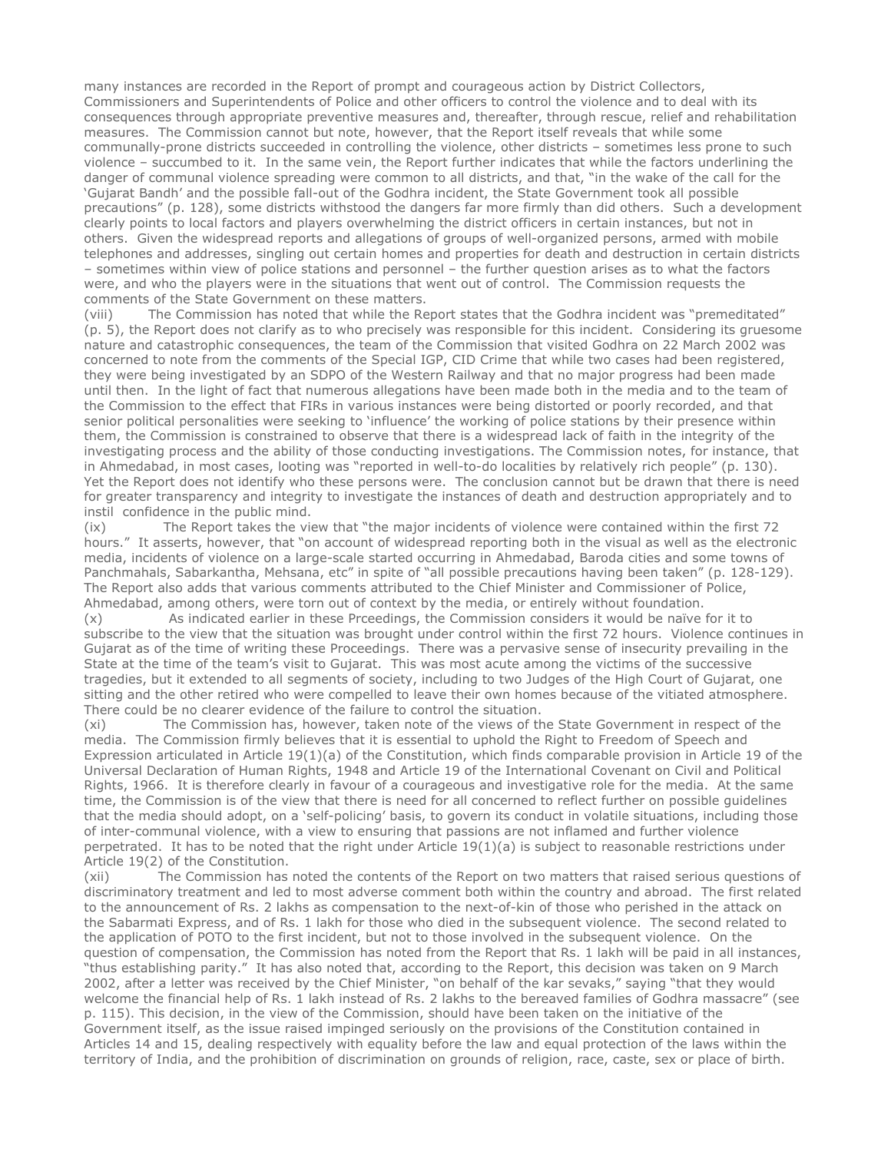many instances are recorded in the Report of prompt and courageous action by District Collectors, Commissioners and Superintendents of Police and other officers to control the violence and to deal with its consequences through appropriate preventive measures and, thereafter, through rescue, relief and rehabilitation measures. The Commission cannot but note, however, that the Report itself reveals that while some communally-prone districts succeeded in controlling the violence, other districts – sometimes less prone to such violence – succumbed to it. In the same vein, the Report further indicates that while the factors underlining the danger of communal violence spreading were common to all districts, and that, "in the wake of the call for the 'Gujarat Bandh' and the possible fall-out of the Godhra incident, the State Government took all possible precautions" (p. 128), some districts withstood the dangers far more firmly than did others. Such a development clearly points to local factors and players overwhelming the district officers in certain instances, but not in others. Given the widespread reports and allegations of groups of well-organized persons, armed with mobile telephones and addresses, singling out certain homes and properties for death and destruction in certain districts – sometimes within view of police stations and personnel – the further question arises as to what the factors were, and who the players were in the situations that went out of control. The Commission requests the comments of the State Government on these matters.

(viii) The Commission has noted that while the Report states that the Godhra incident was "premeditated" (p. 5), the Report does not clarify as to who precisely was responsible for this incident. Considering its gruesome nature and catastrophic consequences, the team of the Commission that visited Godhra on 22 March 2002 was concerned to note from the comments of the Special IGP, CID Crime that while two cases had been registered, they were being investigated by an SDPO of the Western Railway and that no major progress had been made until then. In the light of fact that numerous allegations have been made both in the media and to the team of the Commission to the effect that FIRs in various instances were being distorted or poorly recorded, and that senior political personalities were seeking to 'influence' the working of police stations by their presence within them, the Commission is constrained to observe that there is a widespread lack of faith in the integrity of the investigating process and the ability of those conducting investigations. The Commission notes, for instance, that in Ahmedabad, in most cases, looting was "reported in well-to-do localities by relatively rich people" (p. 130). Yet the Report does not identify who these persons were. The conclusion cannot but be drawn that there is need for greater transparency and integrity to investigate the instances of death and destruction appropriately and to instil confidence in the public mind.

(ix) The Report takes the view that "the major incidents of violence were contained within the first 72 hours." It asserts, however, that "on account of widespread reporting both in the visual as well as the electronic media, incidents of violence on a large-scale started occurring in Ahmedabad, Baroda cities and some towns of Panchmahals, Sabarkantha, Mehsana, etc" in spite of "all possible precautions having been taken" (p. 128-129). The Report also adds that various comments attributed to the Chief Minister and Commissioner of Police, Ahmedabad, among others, were torn out of context by the media, or entirely without foundation.

(x) As indicated earlier in these Prceedings, the Commission considers it would be naïve for it to subscribe to the view that the situation was brought under control within the first 72 hours. Violence continues in Gujarat as of the time of writing these Proceedings. There was a pervasive sense of insecurity prevailing in the State at the time of the team's visit to Gujarat. This was most acute among the victims of the successive tragedies, but it extended to all segments of society, including to two Judges of the High Court of Gujarat, one sitting and the other retired who were compelled to leave their own homes because of the vitiated atmosphere. There could be no clearer evidence of the failure to control the situation.

(xi) The Commission has, however, taken note of the views of the State Government in respect of the media. The Commission firmly believes that it is essential to uphold the Right to Freedom of Speech and Expression articulated in Article 19(1)(a) of the Constitution, which finds comparable provision in Article 19 of the Universal Declaration of Human Rights, 1948 and Article 19 of the International Covenant on Civil and Political Rights, 1966. It is therefore clearly in favour of a courageous and investigative role for the media. At the same time, the Commission is of the view that there is need for all concerned to reflect further on possible guidelines that the media should adopt, on a 'self-policing' basis, to govern its conduct in volatile situations, including those of inter-communal violence, with a view to ensuring that passions are not inflamed and further violence perpetrated. It has to be noted that the right under Article  $19(1)(a)$  is subject to reasonable restrictions under Article 19(2) of the Constitution.

(xii) The Commission has noted the contents of the Report on two matters that raised serious questions of discriminatory treatment and led to most adverse comment both within the country and abroad. The first related to the announcement of Rs. 2 lakhs as compensation to the next-of-kin of those who perished in the attack on the Sabarmati Express, and of Rs. 1 lakh for those who died in the subsequent violence. The second related to the application of POTO to the first incident, but not to those involved in the subsequent violence. On the question of compensation, the Commission has noted from the Report that Rs. 1 lakh will be paid in all instances, "thus establishing parity." It has also noted that, according to the Report, this decision was taken on 9 March 2002, after a letter was received by the Chief Minister, "on behalf of the kar sevaks," saying "that they would welcome the financial help of Rs. 1 lakh instead of Rs. 2 lakhs to the bereaved families of Godhra massacre" (see p. 115). This decision, in the view of the Commission, should have been taken on the initiative of the Government itself, as the issue raised impinged seriously on the provisions of the Constitution contained in Articles 14 and 15, dealing respectively with equality before the law and equal protection of the laws within the territory of India, and the prohibition of discrimination on grounds of religion, race, caste, sex or place of birth.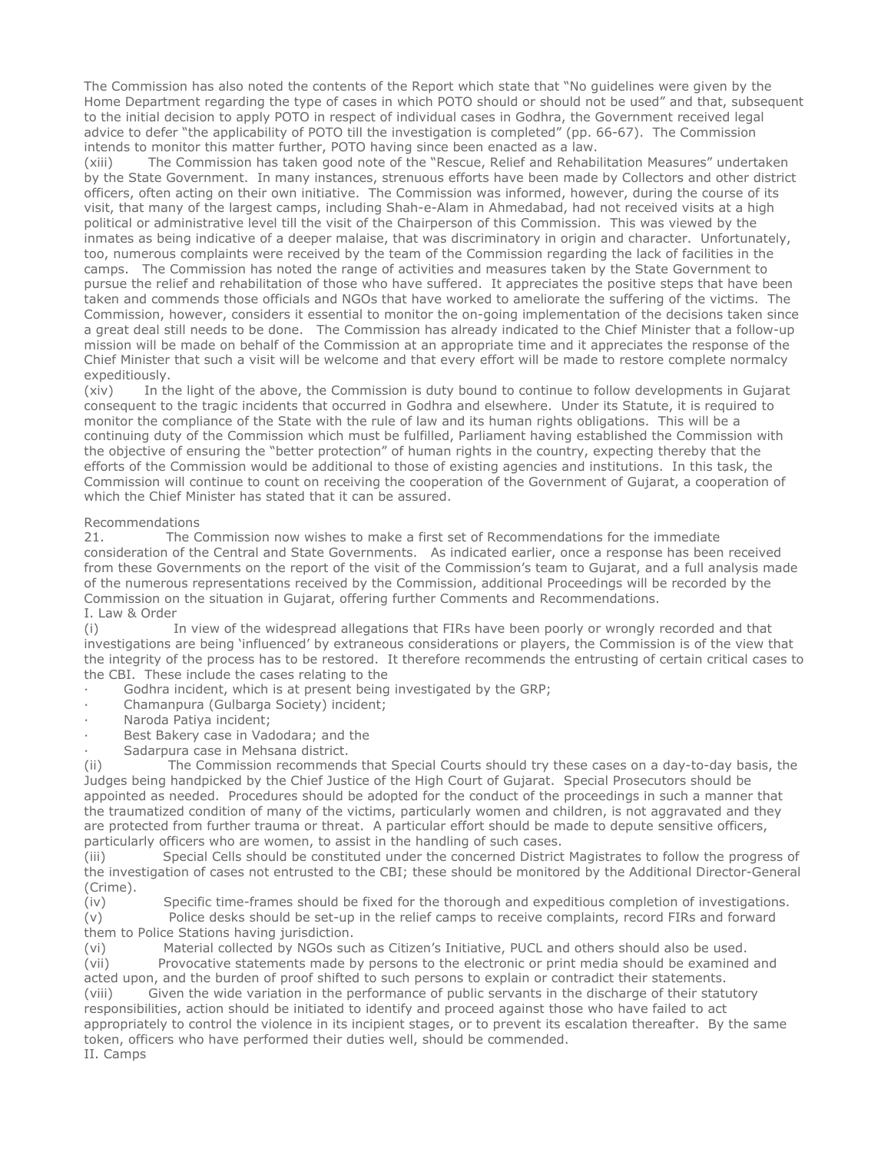The Commission has also noted the contents of the Report which state that "No guidelines were given by the Home Department regarding the type of cases in which POTO should or should not be used" and that, subsequent to the initial decision to apply POTO in respect of individual cases in Godhra, the Government received legal advice to defer "the applicability of POTO till the investigation is completed" (pp. 66-67). The Commission intends to monitor this matter further, POTO having since been enacted as a law.

(xiii) The Commission has taken good note of the "Rescue, Relief and Rehabilitation Measures" undertaken by the State Government. In many instances, strenuous efforts have been made by Collectors and other district officers, often acting on their own initiative. The Commission was informed, however, during the course of its visit, that many of the largest camps, including Shah-e-Alam in Ahmedabad, had not received visits at a high political or administrative level till the visit of the Chairperson of this Commission. This was viewed by the inmates as being indicative of a deeper malaise, that was discriminatory in origin and character. Unfortunately, too, numerous complaints were received by the team of the Commission regarding the lack of facilities in the camps. The Commission has noted the range of activities and measures taken by the State Government to pursue the relief and rehabilitation of those who have suffered. It appreciates the positive steps that have been taken and commends those officials and NGOs that have worked to ameliorate the suffering of the victims. The Commission, however, considers it essential to monitor the on-going implementation of the decisions taken since a great deal still needs to be done. The Commission has already indicated to the Chief Minister that a follow-up mission will be made on behalf of the Commission at an appropriate time and it appreciates the response of the Chief Minister that such a visit will be welcome and that every effort will be made to restore complete normalcy expeditiously.

(xiv) In the light of the above, the Commission is duty bound to continue to follow developments in Gujarat consequent to the tragic incidents that occurred in Godhra and elsewhere. Under its Statute, it is required to monitor the compliance of the State with the rule of law and its human rights obligations. This will be a continuing duty of the Commission which must be fulfilled, Parliament having established the Commission with the objective of ensuring the "better protection" of human rights in the country, expecting thereby that the efforts of the Commission would be additional to those of existing agencies and institutions. In this task, the Commission will continue to count on receiving the cooperation of the Government of Gujarat, a cooperation of which the Chief Minister has stated that it can be assured.

# Recommendations

21. The Commission now wishes to make a first set of Recommendations for the immediate consideration of the Central and State Governments. As indicated earlier, once a response has been received from these Governments on the report of the visit of the Commission's team to Gujarat, and a full analysis made of the numerous representations received by the Commission, additional Proceedings will be recorded by the Commission on the situation in Gujarat, offering further Comments and Recommendations. I. Law & Order

(i) In view of the widespread allegations that FIRs have been poorly or wrongly recorded and that investigations are being 'influenced' by extraneous considerations or players, the Commission is of the view that the integrity of the process has to be restored. It therefore recommends the entrusting of certain critical cases to the CBI. These include the cases relating to the

- Godhra incident, which is at present being investigated by the GRP;
- Chamanpura (Gulbarga Society) incident;
- Naroda Patiya incident;
- Best Bakery case in Vadodara; and the
- Sadarpura case in Mehsana district.

(ii) The Commission recommends that Special Courts should try these cases on a day-to-day basis, the Judges being handpicked by the Chief Justice of the High Court of Gujarat. Special Prosecutors should be appointed as needed. Procedures should be adopted for the conduct of the proceedings in such a manner that the traumatized condition of many of the victims, particularly women and children, is not aggravated and they are protected from further trauma or threat. A particular effort should be made to depute sensitive officers, particularly officers who are women, to assist in the handling of such cases.

(iii) Special Cells should be constituted under the concerned District Magistrates to follow the progress of the investigation of cases not entrusted to the CBI; these should be monitored by the Additional Director-General (Crime).

(iv) Specific time-frames should be fixed for the thorough and expeditious completion of investigations.

(v) Police desks should be set-up in the relief camps to receive complaints, record FIRs and forward them to Police Stations having jurisdiction.

(vi) Material collected by NGOs such as Citizen's Initiative, PUCL and others should also be used. (vii) Provocative statements made by persons to the electronic or print media should be examined and acted upon, and the burden of proof shifted to such persons to explain or contradict their statements. (viii) Given the wide variation in the performance of public servants in the discharge of their statutory responsibilities, action should be initiated to identify and proceed against those who have failed to act appropriately to control the violence in its incipient stages, or to prevent its escalation thereafter. By the same token, officers who have performed their duties well, should be commended.

II. Camps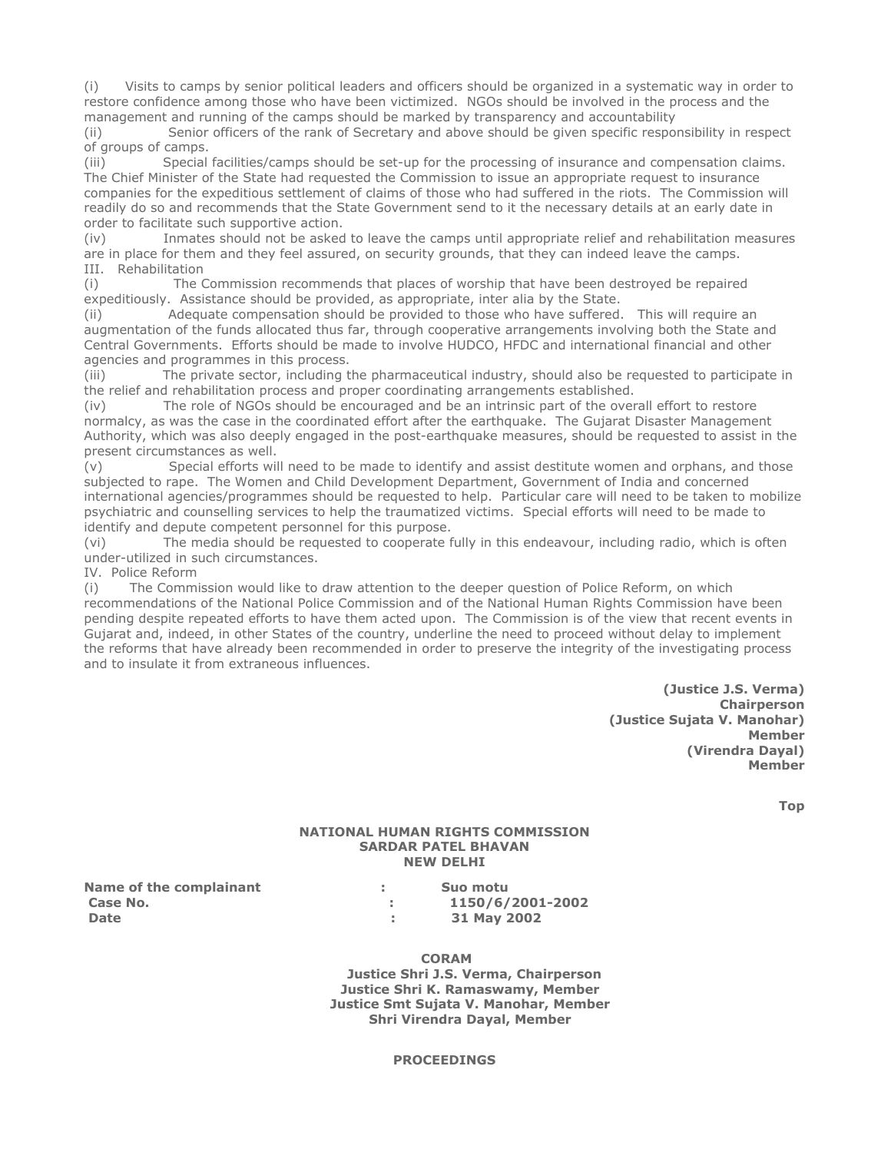(i) Visits to camps by senior political leaders and officers should be organized in a systematic way in order to restore confidence among those who have been victimized. NGOs should be involved in the process and the management and running of the camps should be marked by transparency and accountability

(ii) Senior officers of the rank of Secretary and above should be given specific responsibility in respect of groups of camps.

(iii) Special facilities/camps should be set-up for the processing of insurance and compensation claims. The Chief Minister of the State had requested the Commission to issue an appropriate request to insurance companies for the expeditious settlement of claims of those who had suffered in the riots. The Commission will readily do so and recommends that the State Government send to it the necessary details at an early date in order to facilitate such supportive action.

(iv) Inmates should not be asked to leave the camps until appropriate relief and rehabilitation measures are in place for them and they feel assured, on security grounds, that they can indeed leave the camps. III. Rehabilitation

(i) The Commission recommends that places of worship that have been destroyed be repaired expeditiously. Assistance should be provided, as appropriate, inter alia by the State.

(ii) Adequate compensation should be provided to those who have suffered. This will require an augmentation of the funds allocated thus far, through cooperative arrangements involving both the State and Central Governments. Efforts should be made to involve HUDCO, HFDC and international financial and other agencies and programmes in this process.

(iii) The private sector, including the pharmaceutical industry, should also be requested to participate in the relief and rehabilitation process and proper coordinating arrangements established.

(iv) The role of NGOs should be encouraged and be an intrinsic part of the overall effort to restore normalcy, as was the case in the coordinated effort after the earthquake. The Gujarat Disaster Management Authority, which was also deeply engaged in the post-earthquake measures, should be requested to assist in the present circumstances as well.

(v) Special efforts will need to be made to identify and assist destitute women and orphans, and those subjected to rape. The Women and Child Development Department, Government of India and concerned international agencies/programmes should be requested to help. Particular care will need to be taken to mobilize psychiatric and counselling services to help the traumatized victims. Special efforts will need to be made to identify and depute competent personnel for this purpose.

(vi) The media should be requested to cooperate fully in this endeavour, including radio, which is often under-utilized in such circumstances.

IV. Police Reform

(i) The Commission would like to draw attention to the deeper question of Police Reform, on which recommendations of the National Police Commission and of the National Human Rights Commission have been pending despite repeated efforts to have them acted upon. The Commission is of the view that recent events in Gujarat and, indeed, in other States of the country, underline the need to proceed without delay to implement the reforms that have already been recommended in order to preserve the integrity of the investigating process and to insulate it from extraneous influences.

> (Justice J.S. Verma) **Chairperson** (Justice Sujata V. Manohar) Member (Virendra Dayal) Member

> > Top

# NATIONAL HUMAN RIGHTS COMMISSION SARDAR PATEL BHAVAN NEW DELHI

Name of the complainant Theorem is a submoture of the complainant Date : 31 May 2002

Case No. : 1150/6/2001-2002

CORAM

 Justice Shri J.S. Verma, Chairperson Justice Shri K. Ramaswamy, Member Justice Smt Sujata V. Manohar, Member Shri Virendra Dayal, Member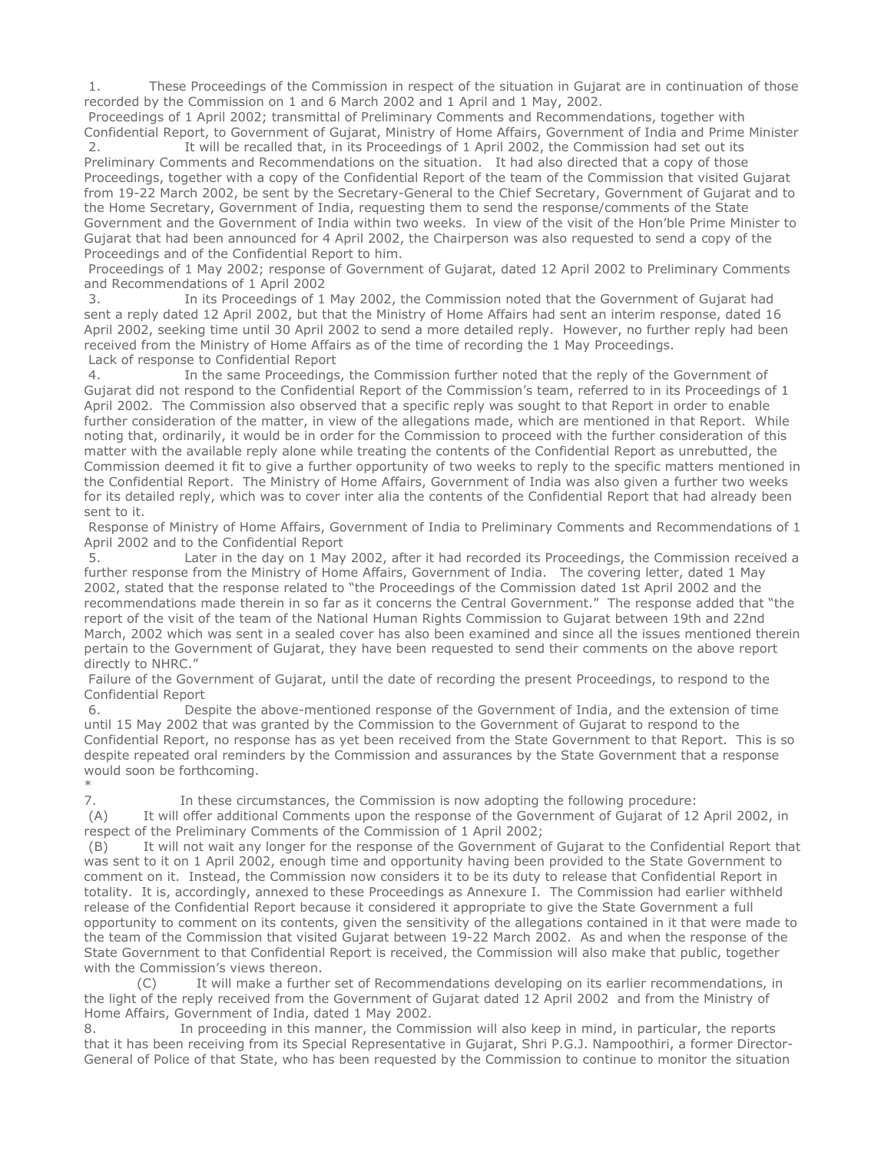1. These Proceedings of the Commission in respect of the situation in Gujarat are in continuation of those recorded by the Commission on 1 and 6 March 2002 and 1 April and 1 May, 2002.

 Proceedings of 1 April 2002; transmittal of Preliminary Comments and Recommendations, together with Confidential Report, to Government of Gujarat, Ministry of Home Affairs, Government of India and Prime Minister

2. It will be recalled that, in its Proceedings of 1 April 2002, the Commission had set out its Preliminary Comments and Recommendations on the situation. It had also directed that a copy of those Proceedings, together with a copy of the Confidential Report of the team of the Commission that visited Gujarat from 19-22 March 2002, be sent by the Secretary-General to the Chief Secretary, Government of Gujarat and to the Home Secretary, Government of India, requesting them to send the response/comments of the State Government and the Government of India within two weeks. In view of the visit of the Hon'ble Prime Minister to Gujarat that had been announced for 4 April 2002, the Chairperson was also requested to send a copy of the Proceedings and of the Confidential Report to him.

 Proceedings of 1 May 2002; response of Government of Gujarat, dated 12 April 2002 to Preliminary Comments and Recommendations of 1 April 2002

 3. In its Proceedings of 1 May 2002, the Commission noted that the Government of Gujarat had sent a reply dated 12 April 2002, but that the Ministry of Home Affairs had sent an interim response, dated 16 April 2002, seeking time until 30 April 2002 to send a more detailed reply. However, no further reply had been received from the Ministry of Home Affairs as of the time of recording the 1 May Proceedings. Lack of response to Confidential Report

 4. In the same Proceedings, the Commission further noted that the reply of the Government of Gujarat did not respond to the Confidential Report of the Commission's team, referred to in its Proceedings of 1 April 2002. The Commission also observed that a specific reply was sought to that Report in order to enable further consideration of the matter, in view of the allegations made, which are mentioned in that Report. While noting that, ordinarily, it would be in order for the Commission to proceed with the further consideration of this matter with the available reply alone while treating the contents of the Confidential Report as unrebutted, the Commission deemed it fit to give a further opportunity of two weeks to reply to the specific matters mentioned in the Confidential Report. The Ministry of Home Affairs, Government of India was also given a further two weeks for its detailed reply, which was to cover inter alia the contents of the Confidential Report that had already been sent to it.

 Response of Ministry of Home Affairs, Government of India to Preliminary Comments and Recommendations of 1 April 2002 and to the Confidential Report

 5. Later in the day on 1 May 2002, after it had recorded its Proceedings, the Commission received a further response from the Ministry of Home Affairs, Government of India. The covering letter, dated 1 May 2002, stated that the response related to "the Proceedings of the Commission dated 1st April 2002 and the recommendations made therein in so far as it concerns the Central Government." The response added that "the report of the visit of the team of the National Human Rights Commission to Gujarat between 19th and 22nd March, 2002 which was sent in a sealed cover has also been examined and since all the issues mentioned therein pertain to the Government of Gujarat, they have been requested to send their comments on the above report directly to NHRC."

 Failure of the Government of Gujarat, until the date of recording the present Proceedings, to respond to the Confidential Report

 6. Despite the above-mentioned response of the Government of India, and the extension of time until 15 May 2002 that was granted by the Commission to the Government of Gujarat to respond to the Confidential Report, no response has as yet been received from the State Government to that Report. This is so despite repeated oral reminders by the Commission and assurances by the State Government that a response would soon be forthcoming.

\*

7. In these circumstances, the Commission is now adopting the following procedure:

 (A) It will offer additional Comments upon the response of the Government of Gujarat of 12 April 2002, in respect of the Preliminary Comments of the Commission of 1 April 2002;

 (B) It will not wait any longer for the response of the Government of Gujarat to the Confidential Report that was sent to it on 1 April 2002, enough time and opportunity having been provided to the State Government to comment on it. Instead, the Commission now considers it to be its duty to release that Confidential Report in totality. It is, accordingly, annexed to these Proceedings as Annexure I. The Commission had earlier withheld release of the Confidential Report because it considered it appropriate to give the State Government a full opportunity to comment on its contents, given the sensitivity of the allegations contained in it that were made to the team of the Commission that visited Gujarat between 19-22 March 2002. As and when the response of the State Government to that Confidential Report is received, the Commission will also make that public, together with the Commission's views thereon.

 (C) It will make a further set of Recommendations developing on its earlier recommendations, in the light of the reply received from the Government of Gujarat dated 12 April 2002 and from the Ministry of Home Affairs, Government of India, dated 1 May 2002.

8. In proceeding in this manner, the Commission will also keep in mind, in particular, the reports that it has been receiving from its Special Representative in Gujarat, Shri P.G.J. Nampoothiri, a former Director-General of Police of that State, who has been requested by the Commission to continue to monitor the situation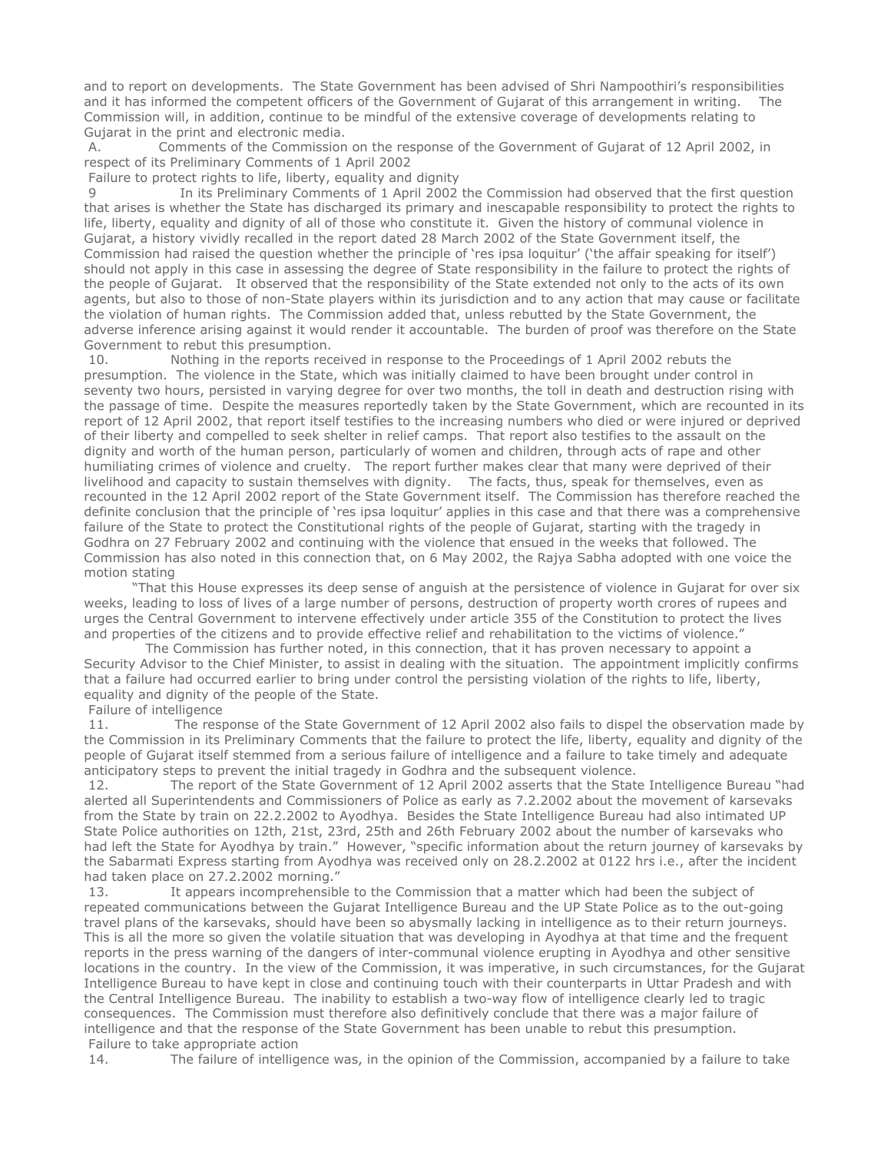and to report on developments. The State Government has been advised of Shri Nampoothiri's responsibilities and it has informed the competent officers of the Government of Gujarat of this arrangement in writing. The Commission will, in addition, continue to be mindful of the extensive coverage of developments relating to Gujarat in the print and electronic media.

A. Comments of the Commission on the response of the Government of Gujarat of 12 April 2002, in respect of its Preliminary Comments of 1 April 2002

Failure to protect rights to life, liberty, equality and dignity

9 **In its Preliminary Comments of 1 April 2002 the Commission had observed that the first question** that arises is whether the State has discharged its primary and inescapable responsibility to protect the rights to life, liberty, equality and dignity of all of those who constitute it. Given the history of communal violence in Gujarat, a history vividly recalled in the report dated 28 March 2002 of the State Government itself, the Commission had raised the question whether the principle of 'res ipsa loquitur' ('the affair speaking for itself') should not apply in this case in assessing the degree of State responsibility in the failure to protect the rights of the people of Gujarat. It observed that the responsibility of the State extended not only to the acts of its own agents, but also to those of non-State players within its jurisdiction and to any action that may cause or facilitate the violation of human rights. The Commission added that, unless rebutted by the State Government, the adverse inference arising against it would render it accountable. The burden of proof was therefore on the State Government to rebut this presumption.

 10. Nothing in the reports received in response to the Proceedings of 1 April 2002 rebuts the presumption. The violence in the State, which was initially claimed to have been brought under control in seventy two hours, persisted in varying degree for over two months, the toll in death and destruction rising with the passage of time. Despite the measures reportedly taken by the State Government, which are recounted in its report of 12 April 2002, that report itself testifies to the increasing numbers who died or were injured or deprived of their liberty and compelled to seek shelter in relief camps. That report also testifies to the assault on the dignity and worth of the human person, particularly of women and children, through acts of rape and other humiliating crimes of violence and cruelty. The report further makes clear that many were deprived of their livelihood and capacity to sustain themselves with dignity. The facts, thus, speak for themselves, even as recounted in the 12 April 2002 report of the State Government itself. The Commission has therefore reached the definite conclusion that the principle of 'res ipsa loquitur' applies in this case and that there was a comprehensive failure of the State to protect the Constitutional rights of the people of Gujarat, starting with the tragedy in Godhra on 27 February 2002 and continuing with the violence that ensued in the weeks that followed. The Commission has also noted in this connection that, on 6 May 2002, the Rajya Sabha adopted with one voice the motion stating

 "That this House expresses its deep sense of anguish at the persistence of violence in Gujarat for over six weeks, leading to loss of lives of a large number of persons, destruction of property worth crores of rupees and urges the Central Government to intervene effectively under article 355 of the Constitution to protect the lives and properties of the citizens and to provide effective relief and rehabilitation to the victims of violence."

 The Commission has further noted, in this connection, that it has proven necessary to appoint a Security Advisor to the Chief Minister, to assist in dealing with the situation. The appointment implicitly confirms that a failure had occurred earlier to bring under control the persisting violation of the rights to life, liberty, equality and dignity of the people of the State.

#### Failure of intelligence

 11. The response of the State Government of 12 April 2002 also fails to dispel the observation made by the Commission in its Preliminary Comments that the failure to protect the life, liberty, equality and dignity of the people of Gujarat itself stemmed from a serious failure of intelligence and a failure to take timely and adequate anticipatory steps to prevent the initial tragedy in Godhra and the subsequent violence.

12. The report of the State Government of 12 April 2002 asserts that the State Intelligence Bureau "had alerted all Superintendents and Commissioners of Police as early as 7.2.2002 about the movement of karsevaks from the State by train on 22.2.2002 to Ayodhya. Besides the State Intelligence Bureau had also intimated UP State Police authorities on 12th, 21st, 23rd, 25th and 26th February 2002 about the number of karsevaks who had left the State for Ayodhya by train." However, "specific information about the return journey of karsevaks by the Sabarmati Express starting from Ayodhya was received only on 28.2.2002 at 0122 hrs i.e., after the incident had taken place on 27.2.2002 morning."

13. It appears incomprehensible to the Commission that a matter which had been the subject of repeated communications between the Gujarat Intelligence Bureau and the UP State Police as to the out-going travel plans of the karsevaks, should have been so abysmally lacking in intelligence as to their return journeys. This is all the more so given the volatile situation that was developing in Ayodhya at that time and the frequent reports in the press warning of the dangers of inter-communal violence erupting in Ayodhya and other sensitive locations in the country. In the view of the Commission, it was imperative, in such circumstances, for the Gujarat Intelligence Bureau to have kept in close and continuing touch with their counterparts in Uttar Pradesh and with the Central Intelligence Bureau. The inability to establish a two-way flow of intelligence clearly led to tragic consequences. The Commission must therefore also definitively conclude that there was a major failure of intelligence and that the response of the State Government has been unable to rebut this presumption. Failure to take appropriate action

14. The failure of intelligence was, in the opinion of the Commission, accompanied by a failure to take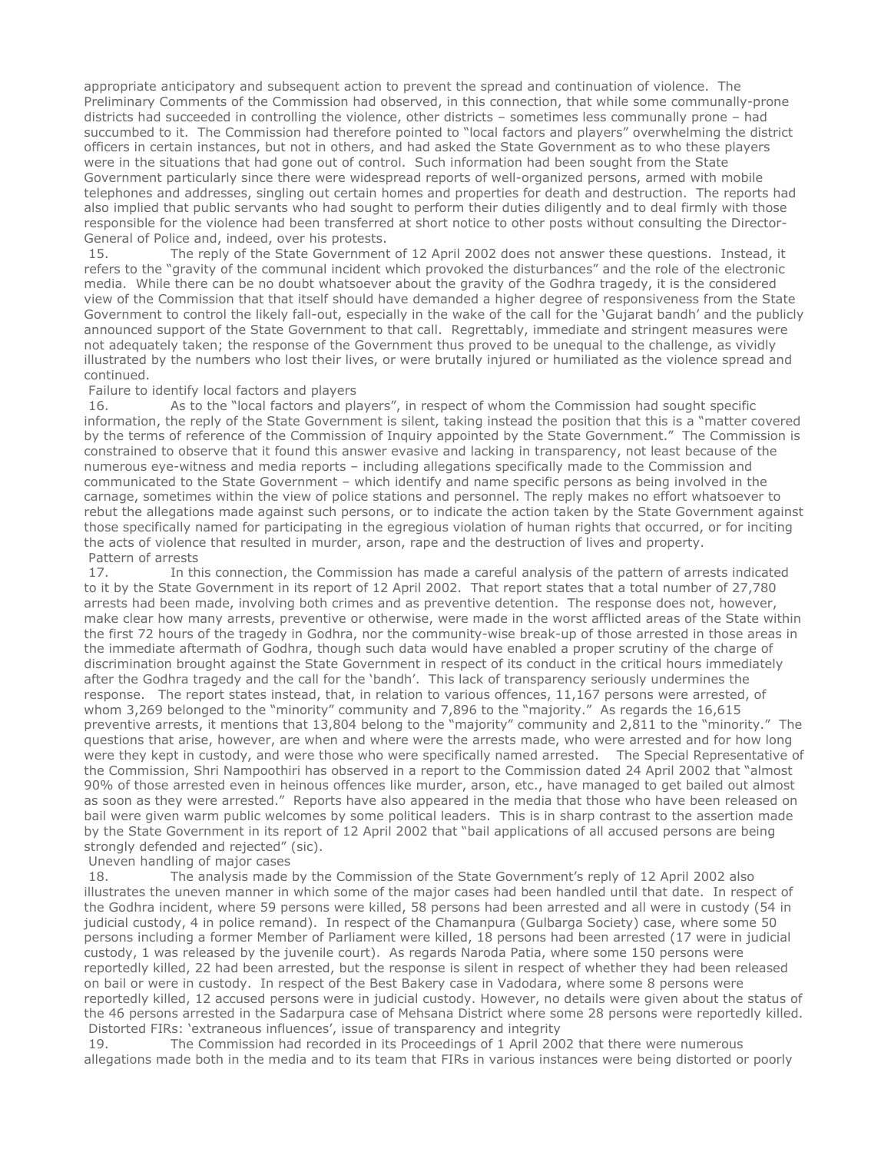appropriate anticipatory and subsequent action to prevent the spread and continuation of violence. The Preliminary Comments of the Commission had observed, in this connection, that while some communally-prone districts had succeeded in controlling the violence, other districts – sometimes less communally prone – had succumbed to it. The Commission had therefore pointed to "local factors and players" overwhelming the district officers in certain instances, but not in others, and had asked the State Government as to who these players were in the situations that had gone out of control. Such information had been sought from the State Government particularly since there were widespread reports of well-organized persons, armed with mobile telephones and addresses, singling out certain homes and properties for death and destruction. The reports had also implied that public servants who had sought to perform their duties diligently and to deal firmly with those responsible for the violence had been transferred at short notice to other posts without consulting the Director-General of Police and, indeed, over his protests.

 15. The reply of the State Government of 12 April 2002 does not answer these questions. Instead, it refers to the "gravity of the communal incident which provoked the disturbances" and the role of the electronic media. While there can be no doubt whatsoever about the gravity of the Godhra tragedy, it is the considered view of the Commission that that itself should have demanded a higher degree of responsiveness from the State Government to control the likely fall-out, especially in the wake of the call for the 'Gujarat bandh' and the publicly announced support of the State Government to that call. Regrettably, immediate and stringent measures were not adequately taken; the response of the Government thus proved to be unequal to the challenge, as vividly illustrated by the numbers who lost their lives, or were brutally injured or humiliated as the violence spread and continued.

#### Failure to identify local factors and players

 16. As to the "local factors and players", in respect of whom the Commission had sought specific information, the reply of the State Government is silent, taking instead the position that this is a "matter covered by the terms of reference of the Commission of Inquiry appointed by the State Government." The Commission is constrained to observe that it found this answer evasive and lacking in transparency, not least because of the numerous eye-witness and media reports – including allegations specifically made to the Commission and communicated to the State Government – which identify and name specific persons as being involved in the carnage, sometimes within the view of police stations and personnel. The reply makes no effort whatsoever to rebut the allegations made against such persons, or to indicate the action taken by the State Government against those specifically named for participating in the egregious violation of human rights that occurred, or for inciting the acts of violence that resulted in murder, arson, rape and the destruction of lives and property. Pattern of arrests

 17. In this connection, the Commission has made a careful analysis of the pattern of arrests indicated to it by the State Government in its report of 12 April 2002. That report states that a total number of 27,780 arrests had been made, involving both crimes and as preventive detention. The response does not, however, make clear how many arrests, preventive or otherwise, were made in the worst afflicted areas of the State within the first 72 hours of the tragedy in Godhra, nor the community-wise break-up of those arrested in those areas in the immediate aftermath of Godhra, though such data would have enabled a proper scrutiny of the charge of discrimination brought against the State Government in respect of its conduct in the critical hours immediately after the Godhra tragedy and the call for the 'bandh'. This lack of transparency seriously undermines the response. The report states instead, that, in relation to various offences, 11,167 persons were arrested, of whom 3,269 belonged to the "minority" community and 7,896 to the "majority." As regards the 16,615 preventive arrests, it mentions that 13,804 belong to the "majority" community and 2,811 to the "minority." The questions that arise, however, are when and where were the arrests made, who were arrested and for how long were they kept in custody, and were those who were specifically named arrested. The Special Representative of the Commission, Shri Nampoothiri has observed in a report to the Commission dated 24 April 2002 that "almost 90% of those arrested even in heinous offences like murder, arson, etc., have managed to get bailed out almost as soon as they were arrested." Reports have also appeared in the media that those who have been released on bail were given warm public welcomes by some political leaders. This is in sharp contrast to the assertion made by the State Government in its report of 12 April 2002 that "bail applications of all accused persons are being strongly defended and rejected" (sic).

Uneven handling of major cases

18. The analysis made by the Commission of the State Government's reply of 12 April 2002 also illustrates the uneven manner in which some of the major cases had been handled until that date. In respect of the Godhra incident, where 59 persons were killed, 58 persons had been arrested and all were in custody (54 in judicial custody, 4 in police remand). In respect of the Chamanpura (Gulbarga Society) case, where some 50 persons including a former Member of Parliament were killed, 18 persons had been arrested (17 were in judicial custody, 1 was released by the juvenile court). As regards Naroda Patia, where some 150 persons were reportedly killed, 22 had been arrested, but the response is silent in respect of whether they had been released on bail or were in custody. In respect of the Best Bakery case in Vadodara, where some 8 persons were reportedly killed, 12 accused persons were in judicial custody. However, no details were given about the status of the 46 persons arrested in the Sadarpura case of Mehsana District where some 28 persons were reportedly killed. Distorted FIRs: 'extraneous influences', issue of transparency and integrity

 19. The Commission had recorded in its Proceedings of 1 April 2002 that there were numerous allegations made both in the media and to its team that FIRs in various instances were being distorted or poorly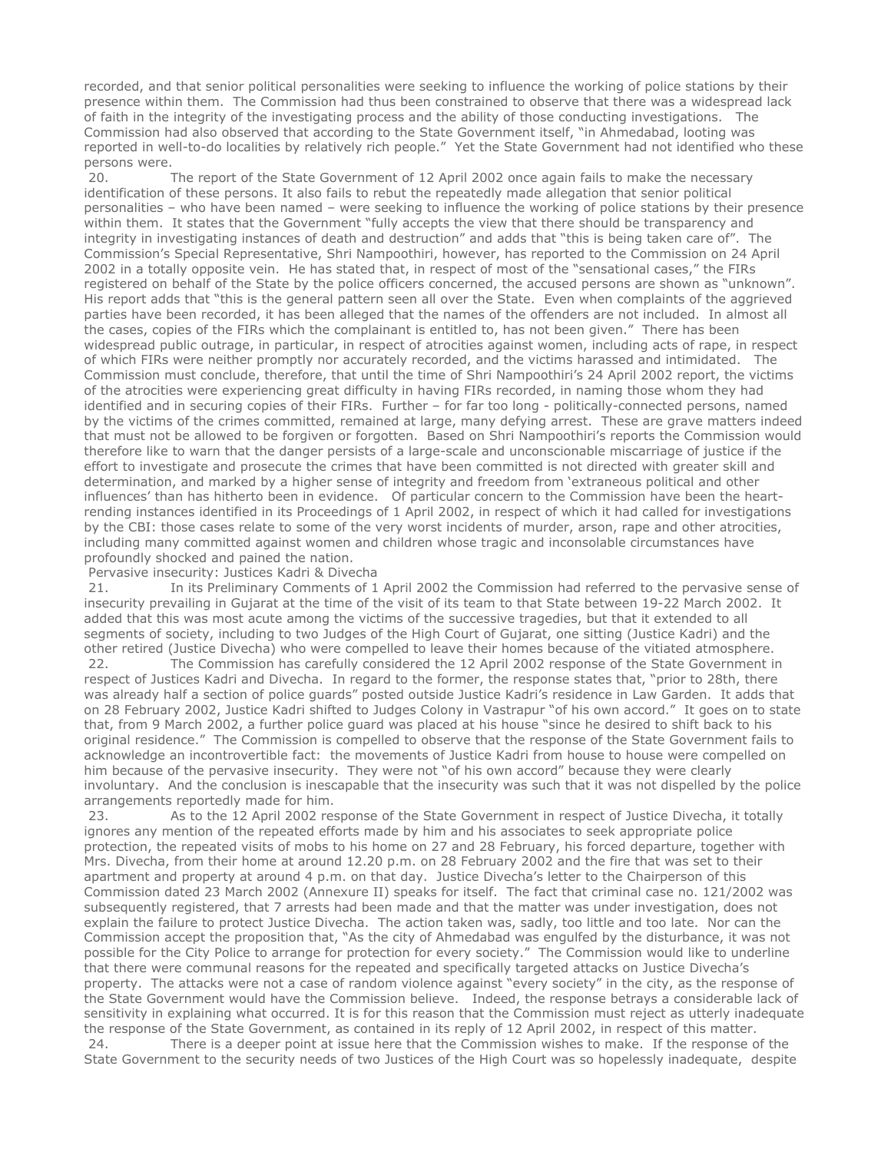recorded, and that senior political personalities were seeking to influence the working of police stations by their presence within them. The Commission had thus been constrained to observe that there was a widespread lack of faith in the integrity of the investigating process and the ability of those conducting investigations. The Commission had also observed that according to the State Government itself, "in Ahmedabad, looting was reported in well-to-do localities by relatively rich people." Yet the State Government had not identified who these persons were.

 20. The report of the State Government of 12 April 2002 once again fails to make the necessary identification of these persons. It also fails to rebut the repeatedly made allegation that senior political personalities – who have been named – were seeking to influence the working of police stations by their presence within them. It states that the Government "fully accepts the view that there should be transparency and integrity in investigating instances of death and destruction" and adds that "this is being taken care of". The Commission's Special Representative, Shri Nampoothiri, however, has reported to the Commission on 24 April 2002 in a totally opposite vein. He has stated that, in respect of most of the "sensational cases," the FIRs registered on behalf of the State by the police officers concerned, the accused persons are shown as "unknown". His report adds that "this is the general pattern seen all over the State. Even when complaints of the aggrieved parties have been recorded, it has been alleged that the names of the offenders are not included. In almost all the cases, copies of the FIRs which the complainant is entitled to, has not been given." There has been widespread public outrage, in particular, in respect of atrocities against women, including acts of rape, in respect of which FIRs were neither promptly nor accurately recorded, and the victims harassed and intimidated. The Commission must conclude, therefore, that until the time of Shri Nampoothiri's 24 April 2002 report, the victims of the atrocities were experiencing great difficulty in having FIRs recorded, in naming those whom they had identified and in securing copies of their FIRs. Further – for far too long - politically-connected persons, named by the victims of the crimes committed, remained at large, many defying arrest. These are grave matters indeed that must not be allowed to be forgiven or forgotten. Based on Shri Nampoothiri's reports the Commission would therefore like to warn that the danger persists of a large-scale and unconscionable miscarriage of justice if the effort to investigate and prosecute the crimes that have been committed is not directed with greater skill and determination, and marked by a higher sense of integrity and freedom from 'extraneous political and other influences' than has hitherto been in evidence. Of particular concern to the Commission have been the heartrending instances identified in its Proceedings of 1 April 2002, in respect of which it had called for investigations by the CBI: those cases relate to some of the very worst incidents of murder, arson, rape and other atrocities, including many committed against women and children whose tragic and inconsolable circumstances have profoundly shocked and pained the nation.

#### Pervasive insecurity: Justices Kadri & Divecha

 21. In its Preliminary Comments of 1 April 2002 the Commission had referred to the pervasive sense of insecurity prevailing in Gujarat at the time of the visit of its team to that State between 19-22 March 2002. It added that this was most acute among the victims of the successive tragedies, but that it extended to all segments of society, including to two Judges of the High Court of Gujarat, one sitting (Justice Kadri) and the other retired (Justice Divecha) who were compelled to leave their homes because of the vitiated atmosphere.

 22. The Commission has carefully considered the 12 April 2002 response of the State Government in respect of Justices Kadri and Divecha. In regard to the former, the response states that, "prior to 28th, there was already half a section of police guards" posted outside Justice Kadri's residence in Law Garden. It adds that on 28 February 2002, Justice Kadri shifted to Judges Colony in Vastrapur "of his own accord." It goes on to state that, from 9 March 2002, a further police guard was placed at his house "since he desired to shift back to his original residence." The Commission is compelled to observe that the response of the State Government fails to acknowledge an incontrovertible fact: the movements of Justice Kadri from house to house were compelled on him because of the pervasive insecurity. They were not "of his own accord" because they were clearly involuntary. And the conclusion is inescapable that the insecurity was such that it was not dispelled by the police arrangements reportedly made for him.

 23. As to the 12 April 2002 response of the State Government in respect of Justice Divecha, it totally ignores any mention of the repeated efforts made by him and his associates to seek appropriate police protection, the repeated visits of mobs to his home on 27 and 28 February, his forced departure, together with Mrs. Divecha, from their home at around 12.20 p.m. on 28 February 2002 and the fire that was set to their apartment and property at around 4 p.m. on that day. Justice Divecha's letter to the Chairperson of this Commission dated 23 March 2002 (Annexure II) speaks for itself. The fact that criminal case no. 121/2002 was subsequently registered, that 7 arrests had been made and that the matter was under investigation, does not explain the failure to protect Justice Divecha. The action taken was, sadly, too little and too late. Nor can the Commission accept the proposition that, "As the city of Ahmedabad was engulfed by the disturbance, it was not possible for the City Police to arrange for protection for every society." The Commission would like to underline that there were communal reasons for the repeated and specifically targeted attacks on Justice Divecha's property. The attacks were not a case of random violence against "every society" in the city, as the response of the State Government would have the Commission believe. Indeed, the response betrays a considerable lack of sensitivity in explaining what occurred. It is for this reason that the Commission must reject as utterly inadequate the response of the State Government, as contained in its reply of 12 April 2002, in respect of this matter.

 24. There is a deeper point at issue here that the Commission wishes to make. If the response of the State Government to the security needs of two Justices of the High Court was so hopelessly inadequate, despite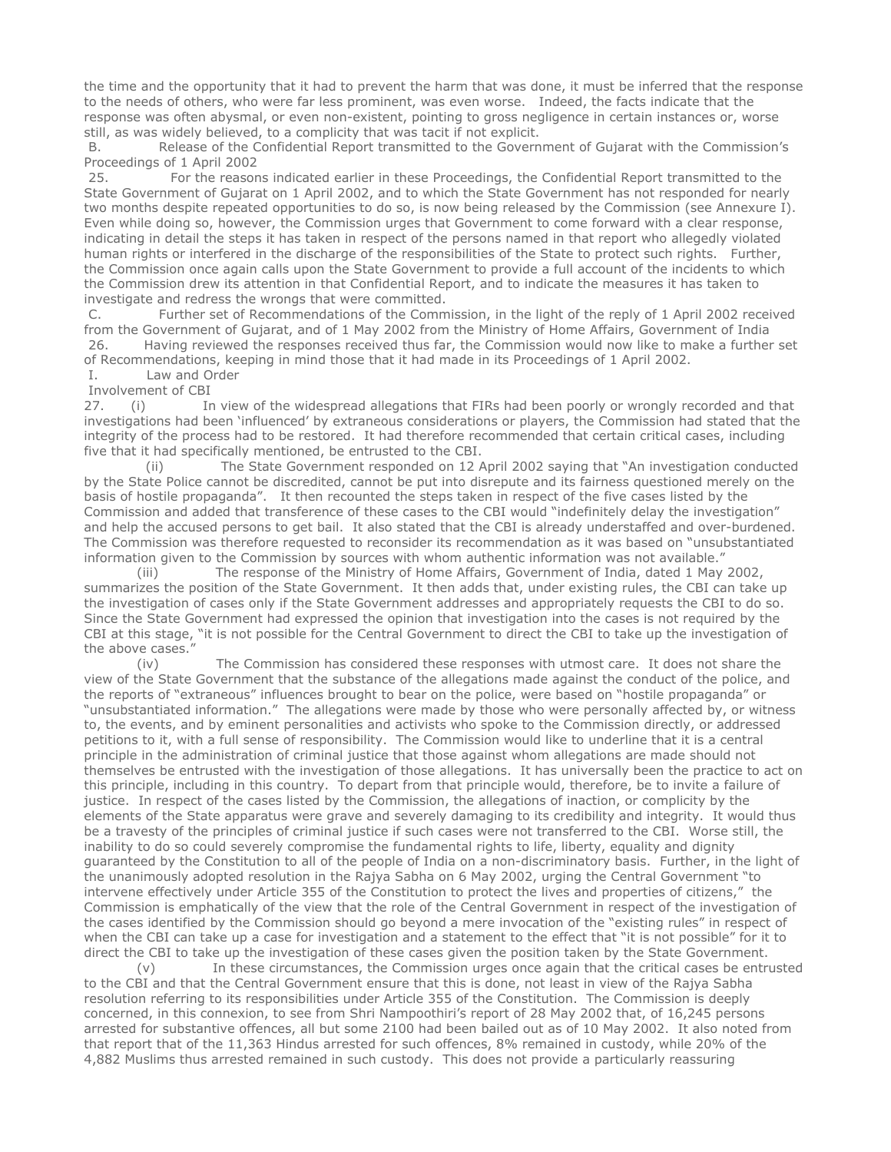the time and the opportunity that it had to prevent the harm that was done, it must be inferred that the response to the needs of others, who were far less prominent, was even worse. Indeed, the facts indicate that the response was often abysmal, or even non-existent, pointing to gross negligence in certain instances or, worse still, as was widely believed, to a complicity that was tacit if not explicit.

 B. Release of the Confidential Report transmitted to the Government of Gujarat with the Commission's Proceedings of 1 April 2002

 25. For the reasons indicated earlier in these Proceedings, the Confidential Report transmitted to the State Government of Gujarat on 1 April 2002, and to which the State Government has not responded for nearly two months despite repeated opportunities to do so, is now being released by the Commission (see Annexure I). Even while doing so, however, the Commission urges that Government to come forward with a clear response, indicating in detail the steps it has taken in respect of the persons named in that report who allegedly violated human rights or interfered in the discharge of the responsibilities of the State to protect such rights. Further, the Commission once again calls upon the State Government to provide a full account of the incidents to which the Commission drew its attention in that Confidential Report, and to indicate the measures it has taken to investigate and redress the wrongs that were committed.

 C. Further set of Recommendations of the Commission, in the light of the reply of 1 April 2002 received from the Government of Gujarat, and of 1 May 2002 from the Ministry of Home Affairs, Government of India<br>26. Having reviewed the responses received thus far. the Commission would now like to make a further Having reviewed the responses received thus far, the Commission would now like to make a further set of Recommendations, keeping in mind those that it had made in its Proceedings of 1 April 2002.

### I. Law and Order

Involvement of CBI

27. (i) In view of the widespread allegations that FIRs had been poorly or wrongly recorded and that investigations had been 'influenced' by extraneous considerations or players, the Commission had stated that the integrity of the process had to be restored. It had therefore recommended that certain critical cases, including five that it had specifically mentioned, be entrusted to the CBI.

 (ii) The State Government responded on 12 April 2002 saying that "An investigation conducted by the State Police cannot be discredited, cannot be put into disrepute and its fairness questioned merely on the basis of hostile propaganda". It then recounted the steps taken in respect of the five cases listed by the Commission and added that transference of these cases to the CBI would "indefinitely delay the investigation" and help the accused persons to get bail. It also stated that the CBI is already understaffed and over-burdened. The Commission was therefore requested to reconsider its recommendation as it was based on "unsubstantiated information given to the Commission by sources with whom authentic information was not available."

 (iii) The response of the Ministry of Home Affairs, Government of India, dated 1 May 2002, summarizes the position of the State Government. It then adds that, under existing rules, the CBI can take up the investigation of cases only if the State Government addresses and appropriately requests the CBI to do so. Since the State Government had expressed the opinion that investigation into the cases is not required by the CBI at this stage, "it is not possible for the Central Government to direct the CBI to take up the investigation of the above cases."

 (iv) The Commission has considered these responses with utmost care. It does not share the view of the State Government that the substance of the allegations made against the conduct of the police, and the reports of "extraneous" influences brought to bear on the police, were based on "hostile propaganda" or "unsubstantiated information." The allegations were made by those who were personally affected by, or witness to, the events, and by eminent personalities and activists who spoke to the Commission directly, or addressed petitions to it, with a full sense of responsibility. The Commission would like to underline that it is a central principle in the administration of criminal justice that those against whom allegations are made should not themselves be entrusted with the investigation of those allegations. It has universally been the practice to act on this principle, including in this country. To depart from that principle would, therefore, be to invite a failure of justice. In respect of the cases listed by the Commission, the allegations of inaction, or complicity by the elements of the State apparatus were grave and severely damaging to its credibility and integrity. It would thus be a travesty of the principles of criminal justice if such cases were not transferred to the CBI. Worse still, the inability to do so could severely compromise the fundamental rights to life, liberty, equality and dignity guaranteed by the Constitution to all of the people of India on a non-discriminatory basis. Further, in the light of the unanimously adopted resolution in the Rajya Sabha on 6 May 2002, urging the Central Government "to intervene effectively under Article 355 of the Constitution to protect the lives and properties of citizens," the Commission is emphatically of the view that the role of the Central Government in respect of the investigation of the cases identified by the Commission should go beyond a mere invocation of the "existing rules" in respect of when the CBI can take up a case for investigation and a statement to the effect that "it is not possible" for it to direct the CBI to take up the investigation of these cases given the position taken by the State Government.

 (v) In these circumstances, the Commission urges once again that the critical cases be entrusted to the CBI and that the Central Government ensure that this is done, not least in view of the Rajya Sabha resolution referring to its responsibilities under Article 355 of the Constitution. The Commission is deeply concerned, in this connexion, to see from Shri Nampoothiri's report of 28 May 2002 that, of 16,245 persons arrested for substantive offences, all but some 2100 had been bailed out as of 10 May 2002. It also noted from that report that of the 11,363 Hindus arrested for such offences, 8% remained in custody, while 20% of the 4,882 Muslims thus arrested remained in such custody. This does not provide a particularly reassuring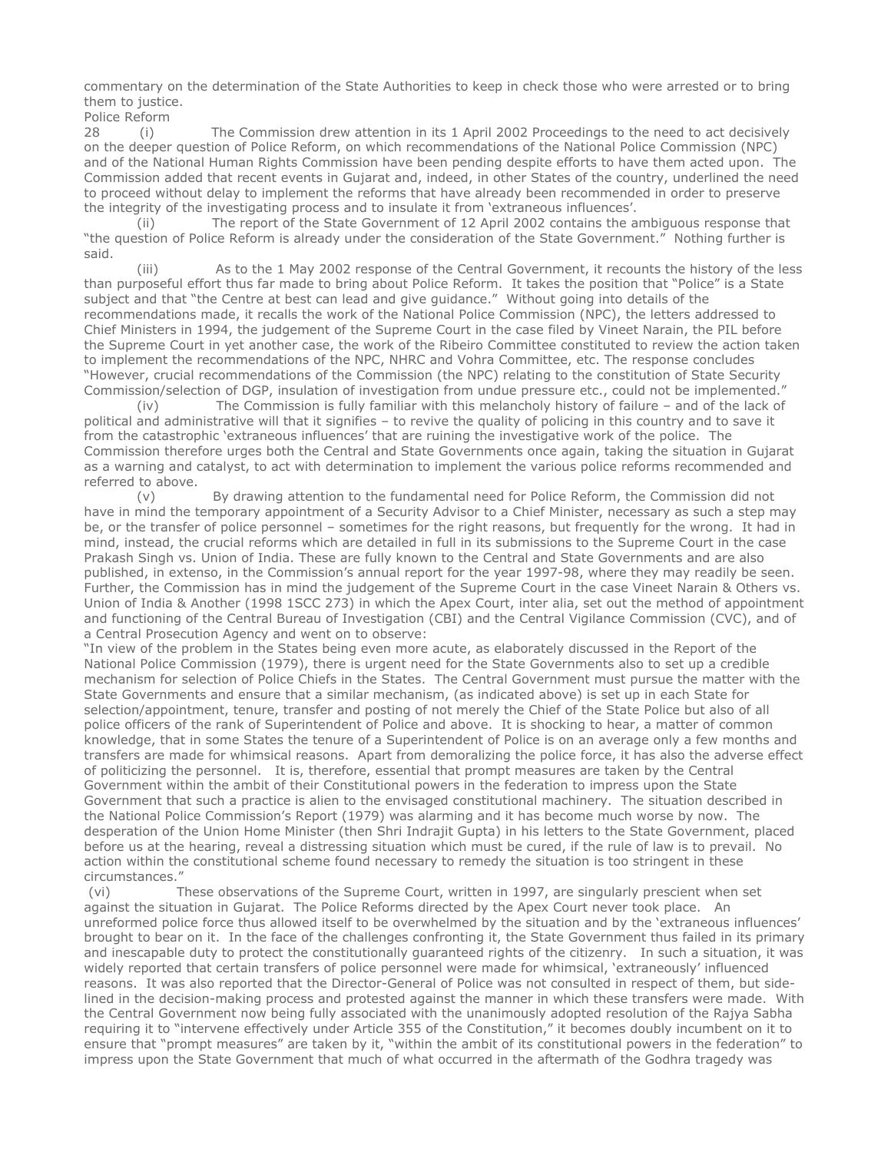commentary on the determination of the State Authorities to keep in check those who were arrested or to bring them to justice.

Police Reform

28 (i) The Commission drew attention in its 1 April 2002 Proceedings to the need to act decisively on the deeper question of Police Reform, on which recommendations of the National Police Commission (NPC) and of the National Human Rights Commission have been pending despite efforts to have them acted upon. The Commission added that recent events in Gujarat and, indeed, in other States of the country, underlined the need to proceed without delay to implement the reforms that have already been recommended in order to preserve the integrity of the investigating process and to insulate it from 'extraneous influences'.

 (ii) The report of the State Government of 12 April 2002 contains the ambiguous response that "the question of Police Reform is already under the consideration of the State Government." Nothing further is said.

 (iii) As to the 1 May 2002 response of the Central Government, it recounts the history of the less than purposeful effort thus far made to bring about Police Reform. It takes the position that "Police" is a State subject and that "the Centre at best can lead and give guidance." Without going into details of the recommendations made, it recalls the work of the National Police Commission (NPC), the letters addressed to Chief Ministers in 1994, the judgement of the Supreme Court in the case filed by Vineet Narain, the PIL before the Supreme Court in yet another case, the work of the Ribeiro Committee constituted to review the action taken to implement the recommendations of the NPC, NHRC and Vohra Committee, etc. The response concludes "However, crucial recommendations of the Commission (the NPC) relating to the constitution of State Security Commission/selection of DGP, insulation of investigation from undue pressure etc., could not be implemented."

 (iv) The Commission is fully familiar with this melancholy history of failure – and of the lack of political and administrative will that it signifies – to revive the quality of policing in this country and to save it from the catastrophic 'extraneous influences' that are ruining the investigative work of the police. The Commission therefore urges both the Central and State Governments once again, taking the situation in Gujarat as a warning and catalyst, to act with determination to implement the various police reforms recommended and referred to above.

 (v) By drawing attention to the fundamental need for Police Reform, the Commission did not have in mind the temporary appointment of a Security Advisor to a Chief Minister, necessary as such a step may be, or the transfer of police personnel – sometimes for the right reasons, but frequently for the wrong. It had in mind, instead, the crucial reforms which are detailed in full in its submissions to the Supreme Court in the case Prakash Singh vs. Union of India. These are fully known to the Central and State Governments and are also published, in extenso, in the Commission's annual report for the year 1997-98, where they may readily be seen. Further, the Commission has in mind the judgement of the Supreme Court in the case Vineet Narain & Others vs. Union of India & Another (1998 1SCC 273) in which the Apex Court, inter alia, set out the method of appointment and functioning of the Central Bureau of Investigation (CBI) and the Central Vigilance Commission (CVC), and of a Central Prosecution Agency and went on to observe:

"In view of the problem in the States being even more acute, as elaborately discussed in the Report of the National Police Commission (1979), there is urgent need for the State Governments also to set up a credible mechanism for selection of Police Chiefs in the States. The Central Government must pursue the matter with the State Governments and ensure that a similar mechanism, (as indicated above) is set up in each State for selection/appointment, tenure, transfer and posting of not merely the Chief of the State Police but also of all police officers of the rank of Superintendent of Police and above. It is shocking to hear, a matter of common knowledge, that in some States the tenure of a Superintendent of Police is on an average only a few months and transfers are made for whimsical reasons. Apart from demoralizing the police force, it has also the adverse effect of politicizing the personnel. It is, therefore, essential that prompt measures are taken by the Central Government within the ambit of their Constitutional powers in the federation to impress upon the State Government that such a practice is alien to the envisaged constitutional machinery. The situation described in the National Police Commission's Report (1979) was alarming and it has become much worse by now. The desperation of the Union Home Minister (then Shri Indrajit Gupta) in his letters to the State Government, placed before us at the hearing, reveal a distressing situation which must be cured, if the rule of law is to prevail. No action within the constitutional scheme found necessary to remedy the situation is too stringent in these circumstances."

 (vi) These observations of the Supreme Court, written in 1997, are singularly prescient when set against the situation in Gujarat. The Police Reforms directed by the Apex Court never took place. An unreformed police force thus allowed itself to be overwhelmed by the situation and by the 'extraneous influences' brought to bear on it. In the face of the challenges confronting it, the State Government thus failed in its primary and inescapable duty to protect the constitutionally guaranteed rights of the citizenry. In such a situation, it was widely reported that certain transfers of police personnel were made for whimsical, 'extraneously' influenced reasons. It was also reported that the Director-General of Police was not consulted in respect of them, but sidelined in the decision-making process and protested against the manner in which these transfers were made. With the Central Government now being fully associated with the unanimously adopted resolution of the Rajya Sabha requiring it to "intervene effectively under Article 355 of the Constitution," it becomes doubly incumbent on it to ensure that "prompt measures" are taken by it, "within the ambit of its constitutional powers in the federation" to impress upon the State Government that much of what occurred in the aftermath of the Godhra tragedy was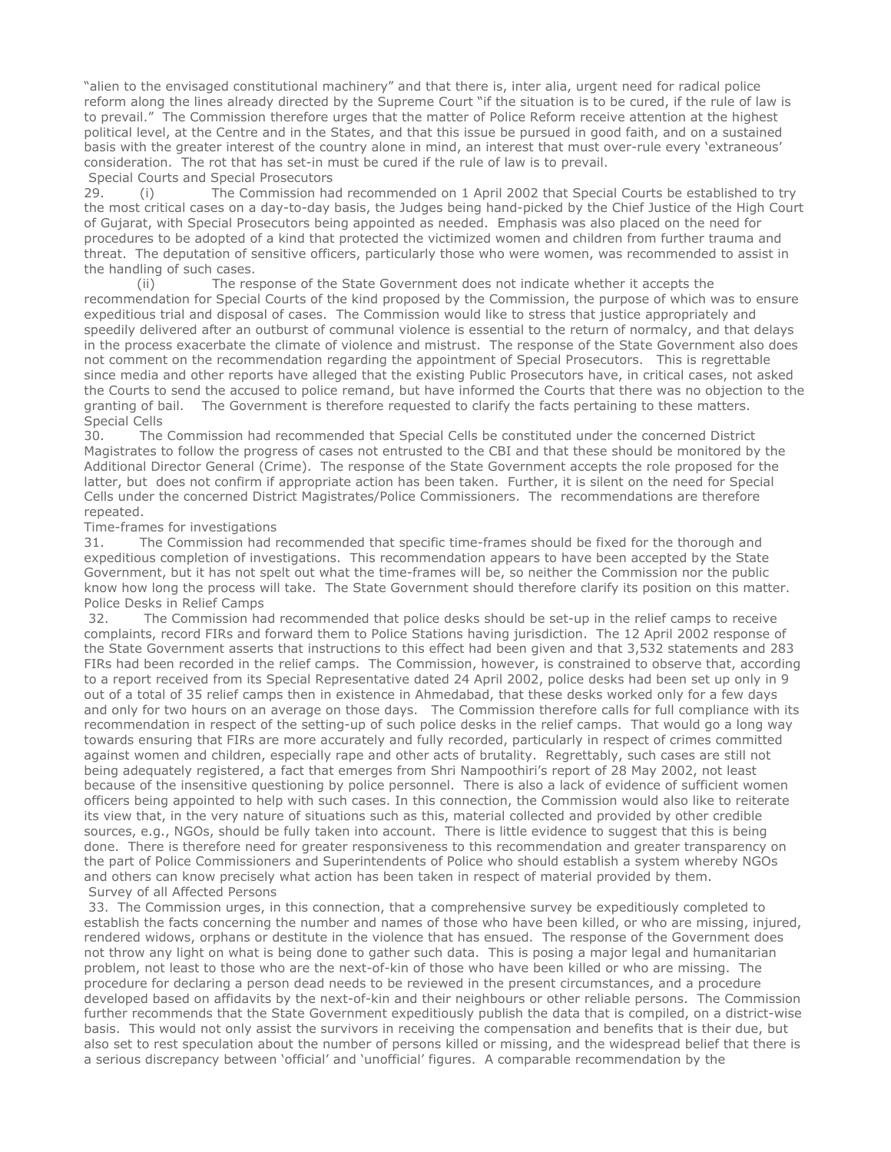"alien to the envisaged constitutional machinery" and that there is, inter alia, urgent need for radical police reform along the lines already directed by the Supreme Court "if the situation is to be cured, if the rule of law is to prevail." The Commission therefore urges that the matter of Police Reform receive attention at the highest political level, at the Centre and in the States, and that this issue be pursued in good faith, and on a sustained basis with the greater interest of the country alone in mind, an interest that must over-rule every 'extraneous' consideration. The rot that has set-in must be cured if the rule of law is to prevail. Special Courts and Special Prosecutors

29. **I** (i) The Commission had recommended on 1 April 2002 that Special Courts be established to try the most critical cases on a day-to-day basis, the Judges being hand-picked by the Chief Justice of the High Court of Gujarat, with Special Prosecutors being appointed as needed. Emphasis was also placed on the need for procedures to be adopted of a kind that protected the victimized women and children from further trauma and threat. The deputation of sensitive officers, particularly those who were women, was recommended to assist in the handling of such cases.

 (ii) The response of the State Government does not indicate whether it accepts the recommendation for Special Courts of the kind proposed by the Commission, the purpose of which was to ensure expeditious trial and disposal of cases. The Commission would like to stress that justice appropriately and speedily delivered after an outburst of communal violence is essential to the return of normalcy, and that delays in the process exacerbate the climate of violence and mistrust. The response of the State Government also does not comment on the recommendation regarding the appointment of Special Prosecutors. This is regrettable since media and other reports have alleged that the existing Public Prosecutors have, in critical cases, not asked the Courts to send the accused to police remand, but have informed the Courts that there was no objection to the granting of bail. The Government is therefore requested to clarify the facts pertaining to these matters. Special Cells

30. The Commission had recommended that Special Cells be constituted under the concerned District Magistrates to follow the progress of cases not entrusted to the CBI and that these should be monitored by the Additional Director General (Crime). The response of the State Government accepts the role proposed for the latter, but does not confirm if appropriate action has been taken. Further, it is silent on the need for Special Cells under the concerned District Magistrates/Police Commissioners. The recommendations are therefore repeated.

# Time-frames for investigations

31. The Commission had recommended that specific time-frames should be fixed for the thorough and expeditious completion of investigations. This recommendation appears to have been accepted by the State Government, but it has not spelt out what the time-frames will be, so neither the Commission nor the public know how long the process will take. The State Government should therefore clarify its position on this matter. Police Desks in Relief Camps

 32. The Commission had recommended that police desks should be set-up in the relief camps to receive complaints, record FIRs and forward them to Police Stations having jurisdiction. The 12 April 2002 response of the State Government asserts that instructions to this effect had been given and that 3,532 statements and 283 FIRs had been recorded in the relief camps. The Commission, however, is constrained to observe that, according to a report received from its Special Representative dated 24 April 2002, police desks had been set up only in 9 out of a total of 35 relief camps then in existence in Ahmedabad, that these desks worked only for a few days and only for two hours on an average on those days. The Commission therefore calls for full compliance with its recommendation in respect of the setting-up of such police desks in the relief camps. That would go a long way towards ensuring that FIRs are more accurately and fully recorded, particularly in respect of crimes committed against women and children, especially rape and other acts of brutality. Regrettably, such cases are still not being adequately registered, a fact that emerges from Shri Nampoothiri's report of 28 May 2002, not least because of the insensitive questioning by police personnel. There is also a lack of evidence of sufficient women officers being appointed to help with such cases. In this connection, the Commission would also like to reiterate its view that, in the very nature of situations such as this, material collected and provided by other credible sources, e.g., NGOs, should be fully taken into account. There is little evidence to suggest that this is being done. There is therefore need for greater responsiveness to this recommendation and greater transparency on the part of Police Commissioners and Superintendents of Police who should establish a system whereby NGOs and others can know precisely what action has been taken in respect of material provided by them. Survey of all Affected Persons

 33. The Commission urges, in this connection, that a comprehensive survey be expeditiously completed to establish the facts concerning the number and names of those who have been killed, or who are missing, injured, rendered widows, orphans or destitute in the violence that has ensued. The response of the Government does not throw any light on what is being done to gather such data. This is posing a major legal and humanitarian problem, not least to those who are the next-of-kin of those who have been killed or who are missing. The procedure for declaring a person dead needs to be reviewed in the present circumstances, and a procedure developed based on affidavits by the next-of-kin and their neighbours or other reliable persons. The Commission further recommends that the State Government expeditiously publish the data that is compiled, on a district-wise basis. This would not only assist the survivors in receiving the compensation and benefits that is their due, but also set to rest speculation about the number of persons killed or missing, and the widespread belief that there is a serious discrepancy between 'official' and 'unofficial' figures. A comparable recommendation by the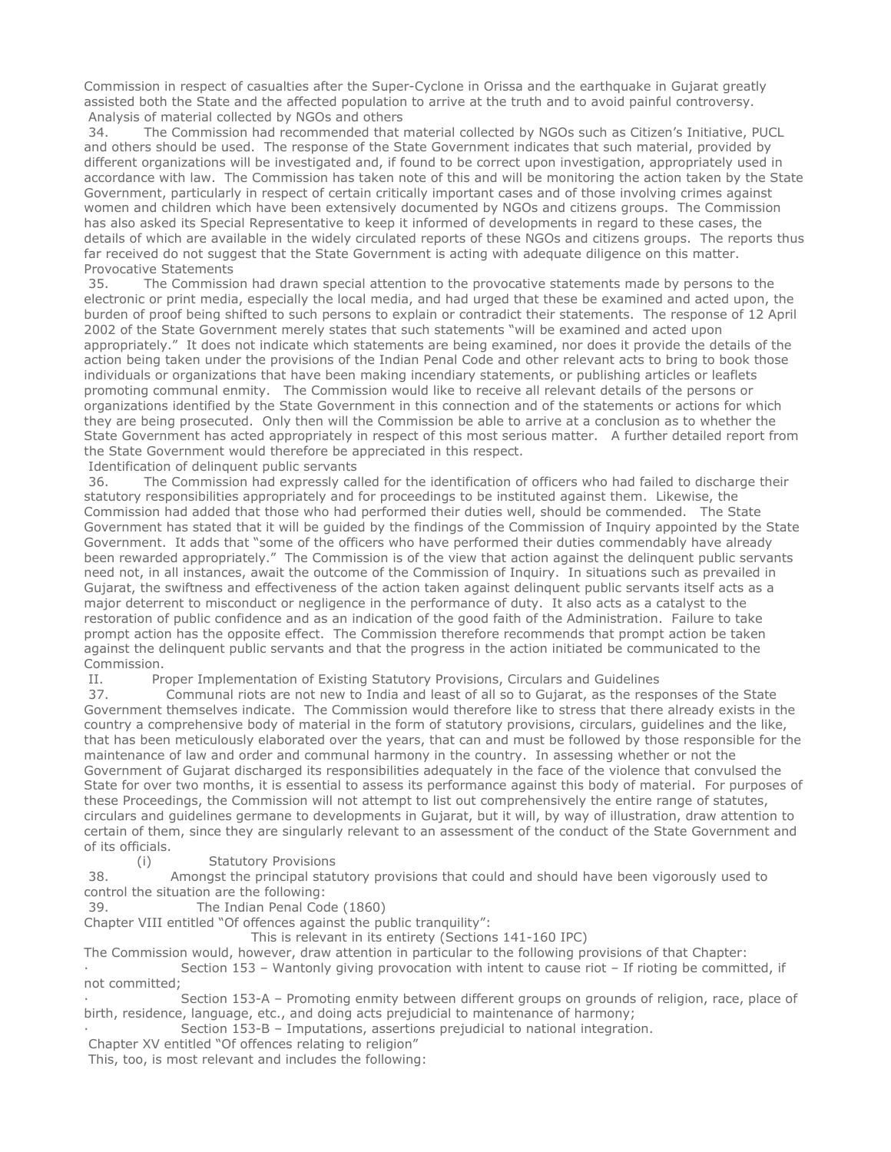Commission in respect of casualties after the Super-Cyclone in Orissa and the earthquake in Gujarat greatly assisted both the State and the affected population to arrive at the truth and to avoid painful controversy. Analysis of material collected by NGOs and others

 34. The Commission had recommended that material collected by NGOs such as Citizen's Initiative, PUCL and others should be used. The response of the State Government indicates that such material, provided by different organizations will be investigated and, if found to be correct upon investigation, appropriately used in accordance with law. The Commission has taken note of this and will be monitoring the action taken by the State Government, particularly in respect of certain critically important cases and of those involving crimes against women and children which have been extensively documented by NGOs and citizens groups. The Commission has also asked its Special Representative to keep it informed of developments in regard to these cases, the details of which are available in the widely circulated reports of these NGOs and citizens groups. The reports thus far received do not suggest that the State Government is acting with adequate diligence on this matter. Provocative Statements

 35. The Commission had drawn special attention to the provocative statements made by persons to the electronic or print media, especially the local media, and had urged that these be examined and acted upon, the burden of proof being shifted to such persons to explain or contradict their statements. The response of 12 April 2002 of the State Government merely states that such statements "will be examined and acted upon appropriately." It does not indicate which statements are being examined, nor does it provide the details of the action being taken under the provisions of the Indian Penal Code and other relevant acts to bring to book those individuals or organizations that have been making incendiary statements, or publishing articles or leaflets promoting communal enmity. The Commission would like to receive all relevant details of the persons or organizations identified by the State Government in this connection and of the statements or actions for which they are being prosecuted. Only then will the Commission be able to arrive at a conclusion as to whether the State Government has acted appropriately in respect of this most serious matter. A further detailed report from the State Government would therefore be appreciated in this respect.

Identification of delinquent public servants

 36. The Commission had expressly called for the identification of officers who had failed to discharge their statutory responsibilities appropriately and for proceedings to be instituted against them. Likewise, the Commission had added that those who had performed their duties well, should be commended. The State Government has stated that it will be guided by the findings of the Commission of Inquiry appointed by the State Government. It adds that "some of the officers who have performed their duties commendably have already been rewarded appropriately." The Commission is of the view that action against the delinquent public servants need not, in all instances, await the outcome of the Commission of Inquiry. In situations such as prevailed in Gujarat, the swiftness and effectiveness of the action taken against delinquent public servants itself acts as a major deterrent to misconduct or negligence in the performance of duty. It also acts as a catalyst to the restoration of public confidence and as an indication of the good faith of the Administration. Failure to take prompt action has the opposite effect. The Commission therefore recommends that prompt action be taken against the delinquent public servants and that the progress in the action initiated be communicated to the Commission.

II. Proper Implementation of Existing Statutory Provisions, Circulars and Guidelines

 37. Communal riots are not new to India and least of all so to Gujarat, as the responses of the State Government themselves indicate. The Commission would therefore like to stress that there already exists in the country a comprehensive body of material in the form of statutory provisions, circulars, guidelines and the like, that has been meticulously elaborated over the years, that can and must be followed by those responsible for the maintenance of law and order and communal harmony in the country. In assessing whether or not the Government of Gujarat discharged its responsibilities adequately in the face of the violence that convulsed the State for over two months, it is essential to assess its performance against this body of material. For purposes of these Proceedings, the Commission will not attempt to list out comprehensively the entire range of statutes, circulars and guidelines germane to developments in Gujarat, but it will, by way of illustration, draw attention to certain of them, since they are singularly relevant to an assessment of the conduct of the State Government and of its officials.

(i) Statutory Provisions

 38. Amongst the principal statutory provisions that could and should have been vigorously used to control the situation are the following:

39. The Indian Penal Code (1860)

Chapter VIII entitled "Of offences against the public tranquility":

This is relevant in its entirety (Sections 141-160 IPC)

The Commission would, however, draw attention in particular to the following provisions of that Chapter:

Section 153 - Wantonly giving provocation with intent to cause riot - If rioting be committed, if not committed;

Section 153-A – Promoting enmity between different groups on grounds of religion, race, place of birth, residence, language, etc., and doing acts prejudicial to maintenance of harmony;

Section 153-B – Imputations, assertions prejudicial to national integration.

Chapter XV entitled "Of offences relating to religion"

This, too, is most relevant and includes the following: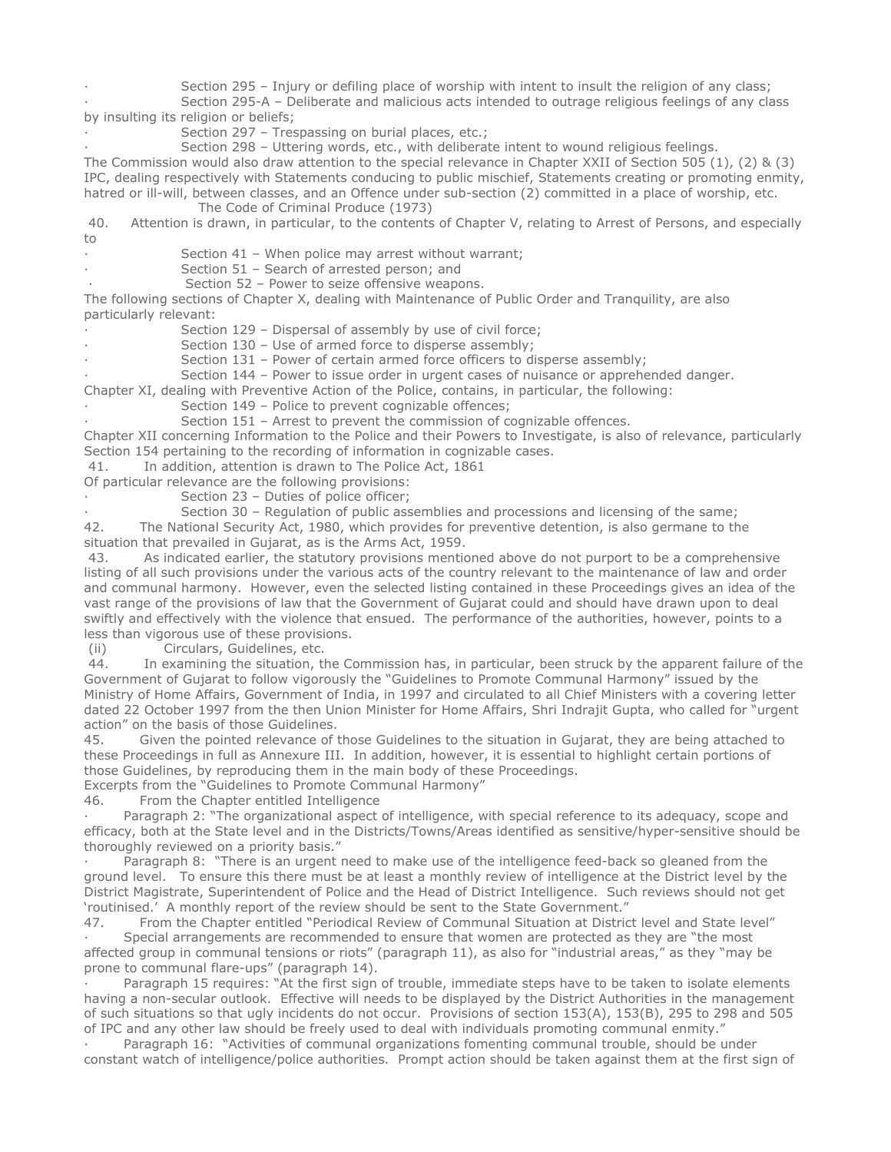Section 295 - Injury or defiling place of worship with intent to insult the religion of any class; Section 295-A – Deliberate and malicious acts intended to outrage religious feelings of any class by insulting its religion or beliefs;

Section 297 - Trespassing on burial places, etc.;

Section 298 - Uttering words, etc., with deliberate intent to wound religious feelings. The Commission would also draw attention to the special relevance in Chapter XXII of Section 505 (1), (2) & (3) IPC, dealing respectively with Statements conducing to public mischief, Statements creating or promoting enmity, hatred or ill-will, between classes, and an Offence under sub-section (2) committed in a place of worship, etc.

The Code of Criminal Produce (1973)

40. Attention is drawn, in particular, to the contents of Chapter V, relating to Arrest of Persons, and especially to

Section 41 – When police may arrest without warrant;

Section 51 - Search of arrested person; and

Section 52 - Power to seize offensive weapons. The following sections of Chapter X, dealing with Maintenance of Public Order and Tranquility, are also particularly relevant:

Section 129 - Dispersal of assembly by use of civil force;

Section 130 - Use of armed force to disperse assembly;

Section 131 – Power of certain armed force officers to disperse assembly;

Section 144 - Power to issue order in urgent cases of nuisance or apprehended danger.

Chapter XI, dealing with Preventive Action of the Police, contains, in particular, the following:

Section 149 - Police to prevent cognizable offences;

Section 151 - Arrest to prevent the commission of cognizable offences.

Chapter XII concerning Information to the Police and their Powers to Investigate, is also of relevance, particularly Section 154 pertaining to the recording of information in cognizable cases.

41. In addition, attention is drawn to The Police Act, 1861

Of particular relevance are the following provisions:

Section 23 - Duties of police officer;

Section 30 - Regulation of public assemblies and processions and licensing of the same; 42. The National Security Act, 1980, which provides for preventive detention, is also germane to the situation that prevailed in Gujarat, as is the Arms Act, 1959.

43. As indicated earlier, the statutory provisions mentioned above do not purport to be a comprehensive listing of all such provisions under the various acts of the country relevant to the maintenance of law and order and communal harmony. However, even the selected listing contained in these Proceedings gives an idea of the vast range of the provisions of law that the Government of Gujarat could and should have drawn upon to deal swiftly and effectively with the violence that ensued. The performance of the authorities, however, points to a less than vigorous use of these provisions.

(ii) Circulars, Guidelines, etc.

 44. In examining the situation, the Commission has, in particular, been struck by the apparent failure of the Government of Gujarat to follow vigorously the "Guidelines to Promote Communal Harmony" issued by the Ministry of Home Affairs, Government of India, in 1997 and circulated to all Chief Ministers with a covering letter dated 22 October 1997 from the then Union Minister for Home Affairs, Shri Indrajit Gupta, who called for "urgent action" on the basis of those Guidelines.

45. Given the pointed relevance of those Guidelines to the situation in Gujarat, they are being attached to these Proceedings in full as Annexure III. In addition, however, it is essential to highlight certain portions of those Guidelines, by reproducing them in the main body of these Proceedings. Excerpts from the "Guidelines to Promote Communal Harmony"

46. From the Chapter entitled Intelligence

Paragraph 2: "The organizational aspect of intelligence, with special reference to its adequacy, scope and efficacy, both at the State level and in the Districts/Towns/Areas identified as sensitive/hyper-sensitive should be thoroughly reviewed on a priority basis."

Paragraph 8: "There is an urgent need to make use of the intelligence feed-back so gleaned from the ground level. To ensure this there must be at least a monthly review of intelligence at the District level by the District Magistrate, Superintendent of Police and the Head of District Intelligence. Such reviews should not get 'routinised.' A monthly report of the review should be sent to the State Government."

47. From the Chapter entitled "Periodical Review of Communal Situation at District level and State level" Special arrangements are recommended to ensure that women are protected as they are "the most affected group in communal tensions or riots" (paragraph 11), as also for "industrial areas," as they "may be prone to communal flare-ups" (paragraph 14).

· Paragraph 15 requires: "At the first sign of trouble, immediate steps have to be taken to isolate elements having a non-secular outlook. Effective will needs to be displayed by the District Authorities in the management of such situations so that ugly incidents do not occur. Provisions of section 153(A), 153(B), 295 to 298 and 505 of IPC and any other law should be freely used to deal with individuals promoting communal enmity."

Paragraph 16: "Activities of communal organizations fomenting communal trouble, should be under constant watch of intelligence/police authorities. Prompt action should be taken against them at the first sign of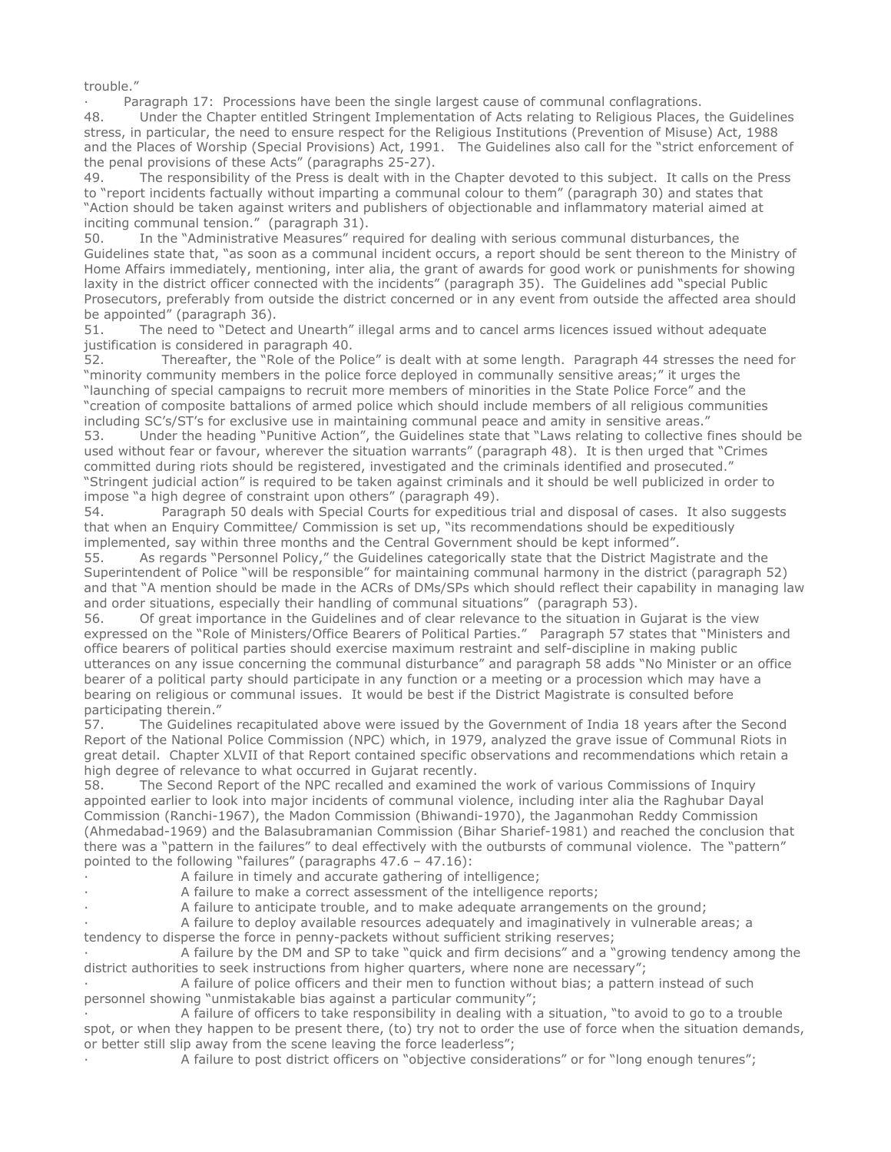trouble."

Paragraph 17: Processions have been the single largest cause of communal conflagrations.

48. Under the Chapter entitled Stringent Implementation of Acts relating to Religious Places, the Guidelines stress, in particular, the need to ensure respect for the Religious Institutions (Prevention of Misuse) Act, 1988 and the Places of Worship (Special Provisions) Act, 1991. The Guidelines also call for the "strict enforcement of the penal provisions of these Acts" (paragraphs 25-27).<br>49. The responsibility of the Press is dealt with in the

The responsibility of the Press is dealt with in the Chapter devoted to this subject. It calls on the Press to "report incidents factually without imparting a communal colour to them" (paragraph 30) and states that "Action should be taken against writers and publishers of objectionable and inflammatory material aimed at inciting communal tension." (paragraph 31).

50. In the "Administrative Measures" required for dealing with serious communal disturbances, the Guidelines state that, "as soon as a communal incident occurs, a report should be sent thereon to the Ministry of Home Affairs immediately, mentioning, inter alia, the grant of awards for good work or punishments for showing laxity in the district officer connected with the incidents" (paragraph 35). The Guidelines add "special Public Prosecutors, preferably from outside the district concerned or in any event from outside the affected area should be appointed" (paragraph 36).

51. The need to "Detect and Unearth" illegal arms and to cancel arms licences issued without adequate justification is considered in paragraph 40.

52. Thereafter, the "Role of the Police" is dealt with at some length. Paragraph 44 stresses the need for "minority community members in the police force deployed in communally sensitive areas;" it urges the "launching of special campaigns to recruit more members of minorities in the State Police Force" and the "creation of composite battalions of armed police which should include members of all religious communities including SC's/ST's for exclusive use in maintaining communal peace and amity in sensitive areas."

53. Under the heading "Punitive Action", the Guidelines state that "Laws relating to collective fines should be used without fear or favour, wherever the situation warrants" (paragraph 48). It is then urged that "Crimes committed during riots should be registered, investigated and the criminals identified and prosecuted." "Stringent judicial action" is required to be taken against criminals and it should be well publicized in order to impose "a high degree of constraint upon others" (paragraph 49).

54. Paragraph 50 deals with Special Courts for expeditious trial and disposal of cases. It also suggests that when an Enquiry Committee/ Commission is set up, "its recommendations should be expeditiously implemented, say within three months and the Central Government should be kept informed".

55. As regards "Personnel Policy," the Guidelines categorically state that the District Magistrate and the Superintendent of Police "will be responsible" for maintaining communal harmony in the district (paragraph 52) and that "A mention should be made in the ACRs of DMs/SPs which should reflect their capability in managing law and order situations, especially their handling of communal situations" (paragraph 53).

56. Of great importance in the Guidelines and of clear relevance to the situation in Gujarat is the view expressed on the "Role of Ministers/Office Bearers of Political Parties." Paragraph 57 states that "Ministers and office bearers of political parties should exercise maximum restraint and self-discipline in making public utterances on any issue concerning the communal disturbance" and paragraph 58 adds "No Minister or an office bearer of a political party should participate in any function or a meeting or a procession which may have a bearing on religious or communal issues. It would be best if the District Magistrate is consulted before participating therein."

57. The Guidelines recapitulated above were issued by the Government of India 18 years after the Second Report of the National Police Commission (NPC) which, in 1979, analyzed the grave issue of Communal Riots in great detail. Chapter XLVII of that Report contained specific observations and recommendations which retain a high degree of relevance to what occurred in Gujarat recently.

58. The Second Report of the NPC recalled and examined the work of various Commissions of Inquiry appointed earlier to look into major incidents of communal violence, including inter alia the Raghubar Dayal Commission (Ranchi-1967), the Madon Commission (Bhiwandi-1970), the Jaganmohan Reddy Commission (Ahmedabad-1969) and the Balasubramanian Commission (Bihar Sharief-1981) and reached the conclusion that there was a "pattern in the failures" to deal effectively with the outbursts of communal violence. The "pattern" pointed to the following "failures" (paragraphs 47.6 – 47.16):

- A failure in timely and accurate gathering of intelligence;
	- A failure to make a correct assessment of the intelligence reports;
- A failure to anticipate trouble, and to make adequate arrangements on the ground;

A failure to deploy available resources adequately and imaginatively in vulnerable areas; a tendency to disperse the force in penny-packets without sufficient striking reserves;

A failure by the DM and SP to take "quick and firm decisions" and a "growing tendency among the district authorities to seek instructions from higher quarters, where none are necessary";

A failure of police officers and their men to function without bias; a pattern instead of such personnel showing "unmistakable bias against a particular community";

A failure of officers to take responsibility in dealing with a situation, "to avoid to go to a trouble spot, or when they happen to be present there, (to) try not to order the use of force when the situation demands, or better still slip away from the scene leaving the force leaderless";

A failure to post district officers on "objective considerations" or for "long enough tenures";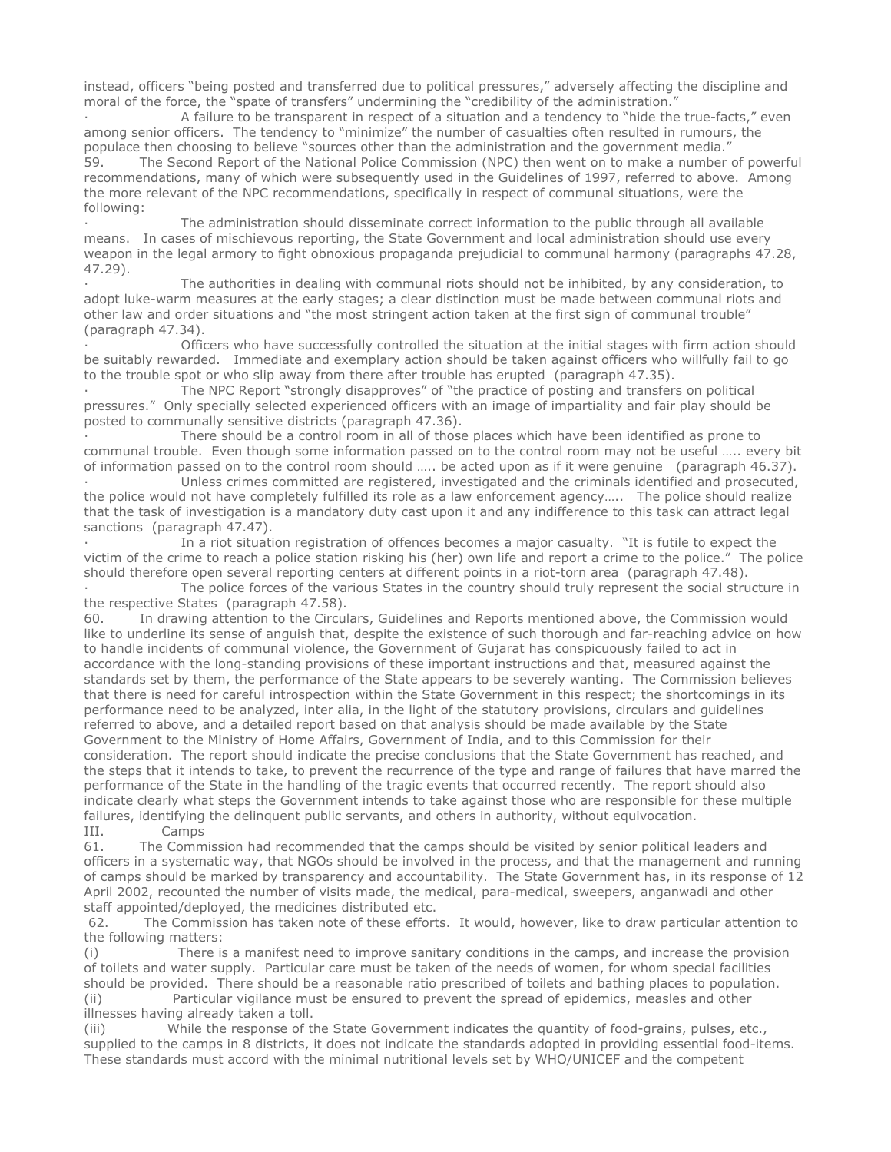instead, officers "being posted and transferred due to political pressures," adversely affecting the discipline and moral of the force, the "spate of transfers" undermining the "credibility of the administration."

A failure to be transparent in respect of a situation and a tendency to "hide the true-facts," even among senior officers. The tendency to "minimize" the number of casualties often resulted in rumours, the populace then choosing to believe "sources other than the administration and the government media." 59. The Second Report of the National Police Commission (NPC) then went on to make a number of powerful recommendations, many of which were subsequently used in the Guidelines of 1997, referred to above. Among the more relevant of the NPC recommendations, specifically in respect of communal situations, were the following:

The administration should disseminate correct information to the public through all available means. In cases of mischievous reporting, the State Government and local administration should use every weapon in the legal armory to fight obnoxious propaganda prejudicial to communal harmony (paragraphs 47.28, 47.29).

The authorities in dealing with communal riots should not be inhibited, by any consideration, to adopt luke-warm measures at the early stages; a clear distinction must be made between communal riots and other law and order situations and "the most stringent action taken at the first sign of communal trouble" (paragraph 47.34).

Officers who have successfully controlled the situation at the initial stages with firm action should be suitably rewarded. Immediate and exemplary action should be taken against officers who willfully fail to go to the trouble spot or who slip away from there after trouble has erupted (paragraph 47.35).

The NPC Report "strongly disapproves" of "the practice of posting and transfers on political pressures." Only specially selected experienced officers with an image of impartiality and fair play should be posted to communally sensitive districts (paragraph 47.36).

There should be a control room in all of those places which have been identified as prone to communal trouble. Even though some information passed on to the control room may not be useful ….. every bit of information passed on to the control room should ….. be acted upon as if it were genuine (paragraph 46.37).

Unless crimes committed are registered, investigated and the criminals identified and prosecuted, the police would not have completely fulfilled its role as a law enforcement agency….. The police should realize that the task of investigation is a mandatory duty cast upon it and any indifference to this task can attract legal sanctions (paragraph 47.47).

In a riot situation registration of offences becomes a major casualty. "It is futile to expect the victim of the crime to reach a police station risking his (her) own life and report a crime to the police." The police should therefore open several reporting centers at different points in a riot-torn area (paragraph 47.48).

The police forces of the various States in the country should truly represent the social structure in the respective States (paragraph 47.58).

60. In drawing attention to the Circulars, Guidelines and Reports mentioned above, the Commission would like to underline its sense of anguish that, despite the existence of such thorough and far-reaching advice on how to handle incidents of communal violence, the Government of Gujarat has conspicuously failed to act in accordance with the long-standing provisions of these important instructions and that, measured against the standards set by them, the performance of the State appears to be severely wanting. The Commission believes that there is need for careful introspection within the State Government in this respect; the shortcomings in its performance need to be analyzed, inter alia, in the light of the statutory provisions, circulars and guidelines referred to above, and a detailed report based on that analysis should be made available by the State Government to the Ministry of Home Affairs, Government of India, and to this Commission for their consideration. The report should indicate the precise conclusions that the State Government has reached, and the steps that it intends to take, to prevent the recurrence of the type and range of failures that have marred the performance of the State in the handling of the tragic events that occurred recently. The report should also indicate clearly what steps the Government intends to take against those who are responsible for these multiple failures, identifying the delinquent public servants, and others in authority, without equivocation.<br>III. Camps

III. Camps<br>61. The Comm The Commission had recommended that the camps should be visited by senior political leaders and officers in a systematic way, that NGOs should be involved in the process, and that the management and running of camps should be marked by transparency and accountability. The State Government has, in its response of 12 April 2002, recounted the number of visits made, the medical, para-medical, sweepers, anganwadi and other staff appointed/deployed, the medicines distributed etc.

 62. The Commission has taken note of these efforts. It would, however, like to draw particular attention to the following matters:

(i) There is a manifest need to improve sanitary conditions in the camps, and increase the provision of toilets and water supply. Particular care must be taken of the needs of women, for whom special facilities should be provided. There should be a reasonable ratio prescribed of toilets and bathing places to population. (ii) Particular vigilance must be ensured to prevent the spread of epidemics, measles and other illnesses having already taken a toll.

(iii) While the response of the State Government indicates the quantity of food-grains, pulses, etc., supplied to the camps in 8 districts, it does not indicate the standards adopted in providing essential food-items. These standards must accord with the minimal nutritional levels set by WHO/UNICEF and the competent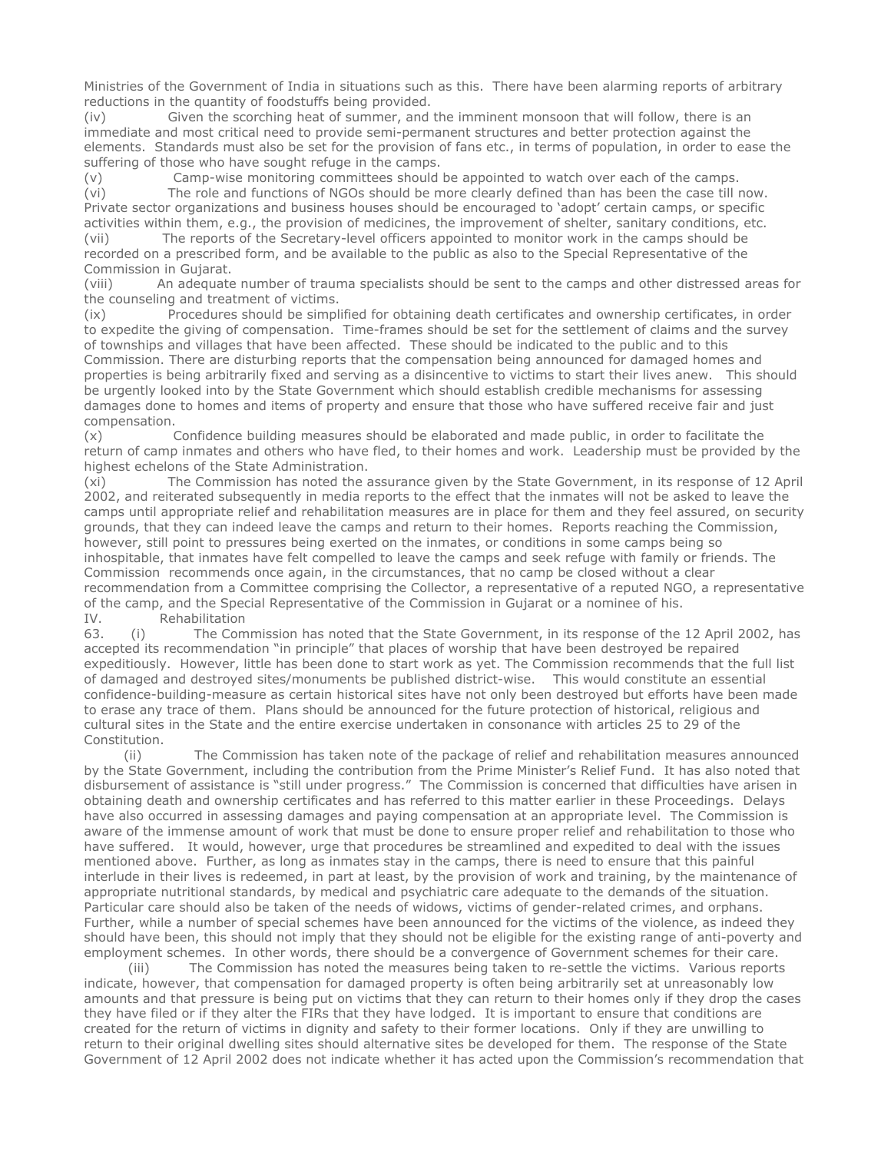Ministries of the Government of India in situations such as this. There have been alarming reports of arbitrary reductions in the quantity of foodstuffs being provided.

(iv) Given the scorching heat of summer, and the imminent monsoon that will follow, there is an immediate and most critical need to provide semi-permanent structures and better protection against the elements. Standards must also be set for the provision of fans etc., in terms of population, in order to ease the suffering of those who have sought refuge in the camps.

(v) Camp-wise monitoring committees should be appointed to watch over each of the camps. (vi) The role and functions of NGOs should be more clearly defined than has been the case till now. Private sector organizations and business houses should be encouraged to 'adopt' certain camps, or specific activities within them, e.g., the provision of medicines, the improvement of shelter, sanitary conditions, etc.

(vii) The reports of the Secretary-level officers appointed to monitor work in the camps should be recorded on a prescribed form, and be available to the public as also to the Special Representative of the Commission in Gujarat.

(viii) An adequate number of trauma specialists should be sent to the camps and other distressed areas for the counseling and treatment of victims.

(ix) Procedures should be simplified for obtaining death certificates and ownership certificates, in order to expedite the giving of compensation. Time-frames should be set for the settlement of claims and the survey of townships and villages that have been affected. These should be indicated to the public and to this Commission. There are disturbing reports that the compensation being announced for damaged homes and properties is being arbitrarily fixed and serving as a disincentive to victims to start their lives anew. This should be urgently looked into by the State Government which should establish credible mechanisms for assessing damages done to homes and items of property and ensure that those who have suffered receive fair and just compensation.

(x) Confidence building measures should be elaborated and made public, in order to facilitate the return of camp inmates and others who have fled, to their homes and work. Leadership must be provided by the highest echelons of the State Administration.

(xi) The Commission has noted the assurance given by the State Government, in its response of 12 April 2002, and reiterated subsequently in media reports to the effect that the inmates will not be asked to leave the camps until appropriate relief and rehabilitation measures are in place for them and they feel assured, on security grounds, that they can indeed leave the camps and return to their homes. Reports reaching the Commission, however, still point to pressures being exerted on the inmates, or conditions in some camps being so inhospitable, that inmates have felt compelled to leave the camps and seek refuge with family or friends. The Commission recommends once again, in the circumstances, that no camp be closed without a clear recommendation from a Committee comprising the Collector, a representative of a reputed NGO, a representative of the camp, and the Special Representative of the Commission in Gujarat or a nominee of his. IV. Rehabilitation

63. (i) The Commission has noted that the State Government, in its response of the 12 April 2002, has accepted its recommendation "in principle" that places of worship that have been destroyed be repaired expeditiously. However, little has been done to start work as yet. The Commission recommends that the full list of damaged and destroyed sites/monuments be published district-wise. This would constitute an essential confidence-building-measure as certain historical sites have not only been destroyed but efforts have been made to erase any trace of them. Plans should be announced for the future protection of historical, religious and cultural sites in the State and the entire exercise undertaken in consonance with articles 25 to 29 of the Constitution.

 (ii) The Commission has taken note of the package of relief and rehabilitation measures announced by the State Government, including the contribution from the Prime Minister's Relief Fund. It has also noted that disbursement of assistance is "still under progress." The Commission is concerned that difficulties have arisen in obtaining death and ownership certificates and has referred to this matter earlier in these Proceedings. Delays have also occurred in assessing damages and paying compensation at an appropriate level. The Commission is aware of the immense amount of work that must be done to ensure proper relief and rehabilitation to those who have suffered. It would, however, urge that procedures be streamlined and expedited to deal with the issues mentioned above. Further, as long as inmates stay in the camps, there is need to ensure that this painful interlude in their lives is redeemed, in part at least, by the provision of work and training, by the maintenance of appropriate nutritional standards, by medical and psychiatric care adequate to the demands of the situation. Particular care should also be taken of the needs of widows, victims of gender-related crimes, and orphans. Further, while a number of special schemes have been announced for the victims of the violence, as indeed they should have been, this should not imply that they should not be eligible for the existing range of anti-poverty and employment schemes. In other words, there should be a convergence of Government schemes for their care.

 (iii) The Commission has noted the measures being taken to re-settle the victims. Various reports indicate, however, that compensation for damaged property is often being arbitrarily set at unreasonably low amounts and that pressure is being put on victims that they can return to their homes only if they drop the cases they have filed or if they alter the FIRs that they have lodged. It is important to ensure that conditions are created for the return of victims in dignity and safety to their former locations. Only if they are unwilling to return to their original dwelling sites should alternative sites be developed for them. The response of the State Government of 12 April 2002 does not indicate whether it has acted upon the Commission's recommendation that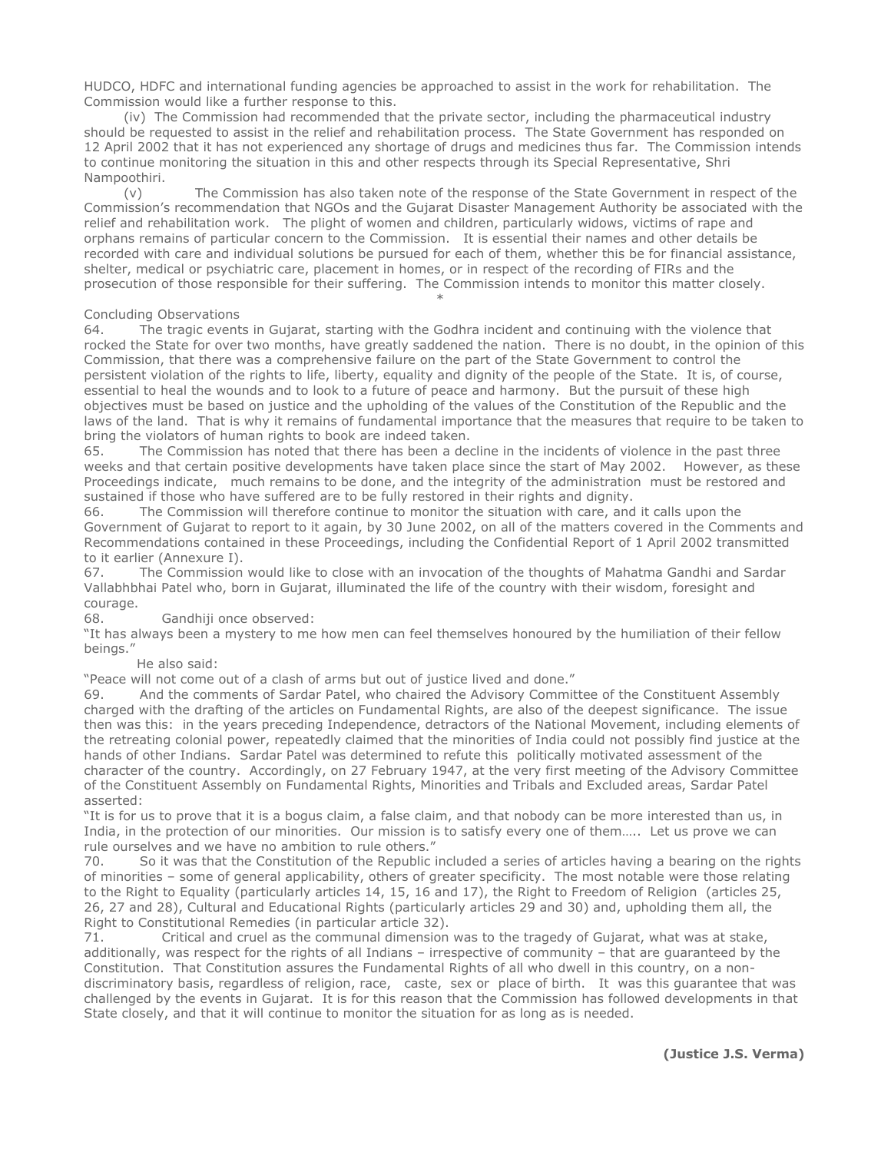HUDCO, HDFC and international funding agencies be approached to assist in the work for rehabilitation. The Commission would like a further response to this.

 (iv) The Commission had recommended that the private sector, including the pharmaceutical industry should be requested to assist in the relief and rehabilitation process. The State Government has responded on 12 April 2002 that it has not experienced any shortage of drugs and medicines thus far. The Commission intends to continue monitoring the situation in this and other respects through its Special Representative, Shri Nampoothiri.

 (v) The Commission has also taken note of the response of the State Government in respect of the Commission's recommendation that NGOs and the Gujarat Disaster Management Authority be associated with the relief and rehabilitation work. The plight of women and children, particularly widows, victims of rape and orphans remains of particular concern to the Commission. It is essential their names and other details be recorded with care and individual solutions be pursued for each of them, whether this be for financial assistance, shelter, medical or psychiatric care, placement in homes, or in respect of the recording of FIRs and the prosecution of those responsible for their suffering. The Commission intends to monitor this matter closely.

### Concluding Observations

 $*$ 

64. The tragic events in Gujarat, starting with the Godhra incident and continuing with the violence that rocked the State for over two months, have greatly saddened the nation. There is no doubt, in the opinion of this Commission, that there was a comprehensive failure on the part of the State Government to control the persistent violation of the rights to life, liberty, equality and dignity of the people of the State. It is, of course, essential to heal the wounds and to look to a future of peace and harmony. But the pursuit of these high objectives must be based on justice and the upholding of the values of the Constitution of the Republic and the laws of the land. That is why it remains of fundamental importance that the measures that require to be taken to bring the violators of human rights to book are indeed taken.

65. The Commission has noted that there has been a decline in the incidents of violence in the past three weeks and that certain positive developments have taken place since the start of May 2002. However, as these Proceedings indicate, much remains to be done, and the integrity of the administration must be restored and sustained if those who have suffered are to be fully restored in their rights and dignity.

66. The Commission will therefore continue to monitor the situation with care, and it calls upon the Government of Gujarat to report to it again, by 30 June 2002, on all of the matters covered in the Comments and Recommendations contained in these Proceedings, including the Confidential Report of 1 April 2002 transmitted to it earlier (Annexure I).

67. The Commission would like to close with an invocation of the thoughts of Mahatma Gandhi and Sardar Vallabhbhai Patel who, born in Gujarat, illuminated the life of the country with their wisdom, foresight and courage.

68. Gandhiji once observed:

"It has always been a mystery to me how men can feel themselves honoured by the humiliation of their fellow beings."

#### He also said:

"Peace will not come out of a clash of arms but out of justice lived and done."

And the comments of Sardar Patel, who chaired the Advisory Committee of the Constituent Assembly charged with the drafting of the articles on Fundamental Rights, are also of the deepest significance. The issue then was this: in the years preceding Independence, detractors of the National Movement, including elements of the retreating colonial power, repeatedly claimed that the minorities of India could not possibly find justice at the hands of other Indians. Sardar Patel was determined to refute this politically motivated assessment of the character of the country. Accordingly, on 27 February 1947, at the very first meeting of the Advisory Committee of the Constituent Assembly on Fundamental Rights, Minorities and Tribals and Excluded areas, Sardar Patel asserted:

"It is for us to prove that it is a bogus claim, a false claim, and that nobody can be more interested than us, in India, in the protection of our minorities. Our mission is to satisfy every one of them….. Let us prove we can rule ourselves and we have no ambition to rule others."

70. So it was that the Constitution of the Republic included a series of articles having a bearing on the rights of minorities – some of general applicability, others of greater specificity. The most notable were those relating to the Right to Equality (particularly articles 14, 15, 16 and 17), the Right to Freedom of Religion (articles 25, 26, 27 and 28), Cultural and Educational Rights (particularly articles 29 and 30) and, upholding them all, the Right to Constitutional Remedies (in particular article 32).

71. Critical and cruel as the communal dimension was to the tragedy of Gujarat, what was at stake, additionally, was respect for the rights of all Indians – irrespective of community – that are guaranteed by the Constitution. That Constitution assures the Fundamental Rights of all who dwell in this country, on a nondiscriminatory basis, regardless of religion, race, caste, sex or place of birth. It was this guarantee that was challenged by the events in Gujarat. It is for this reason that the Commission has followed developments in that State closely, and that it will continue to monitor the situation for as long as is needed.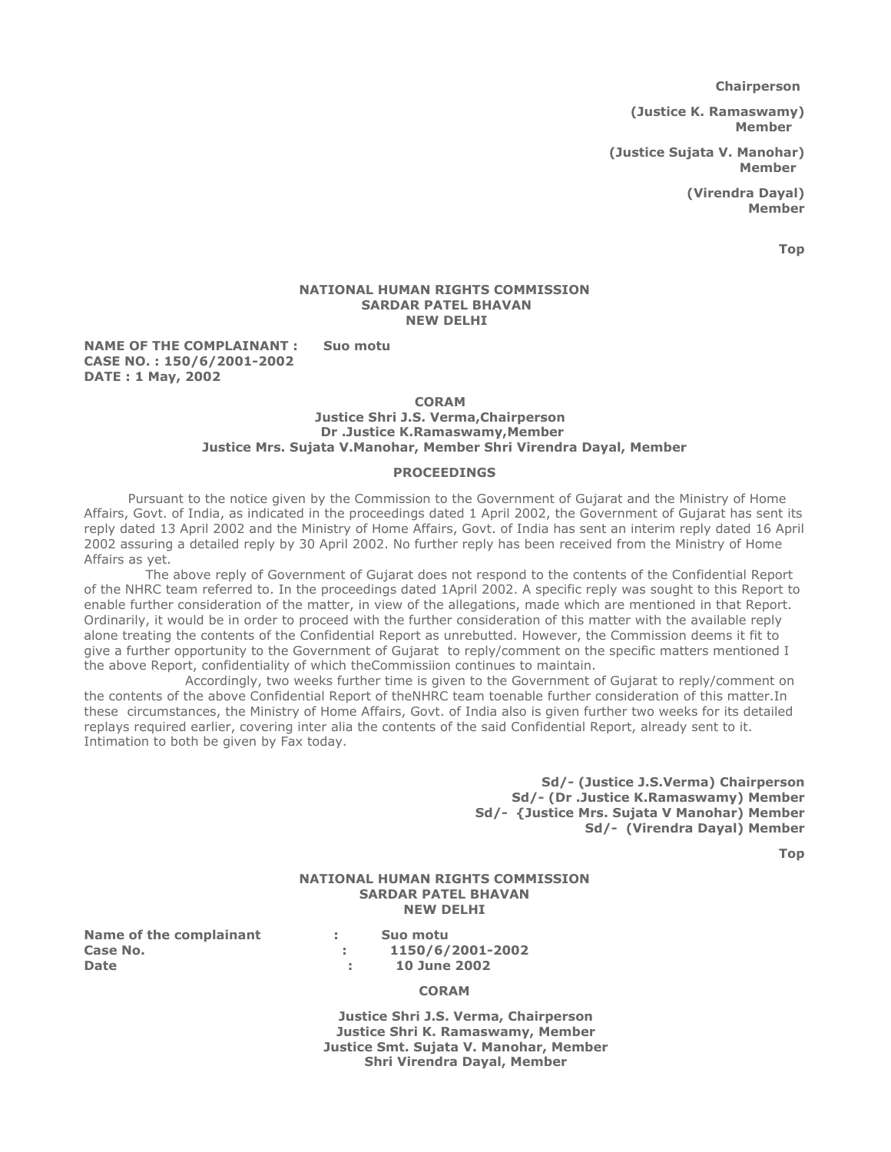Chairperson

(Justice K. Ramaswamy) Member

(Justice Sujata V. Manohar) Member

> (Virendra Dayal) Member

> > Top

### NATIONAL HUMAN RIGHTS COMMISSION SARDAR PATEL BHAVAN NEW DELHI

### NAME OF THE COMPLAINANT : Suo motu CASE NO. : 150/6/2001-2002 DATE : 1 May, 2002

#### CORAM

### Justice Shri J.S. Verma,Chairperson Dr .Justice K.Ramaswamy,Member Justice Mrs. Sujata V.Manohar, Member Shri Virendra Dayal, Member

#### PROCEEDINGS

 Pursuant to the notice given by the Commission to the Government of Gujarat and the Ministry of Home Affairs, Govt. of India, as indicated in the proceedings dated 1 April 2002, the Government of Gujarat has sent its reply dated 13 April 2002 and the Ministry of Home Affairs, Govt. of India has sent an interim reply dated 16 April 2002 assuring a detailed reply by 30 April 2002. No further reply has been received from the Ministry of Home Affairs as yet.

 The above reply of Government of Gujarat does not respond to the contents of the Confidential Report of the NHRC team referred to. In the proceedings dated 1April 2002. A specific reply was sought to this Report to enable further consideration of the matter, in view of the allegations, made which are mentioned in that Report. Ordinarily, it would be in order to proceed with the further consideration of this matter with the available reply alone treating the contents of the Confidential Report as unrebutted. However, the Commission deems it fit to give a further opportunity to the Government of Gujarat to reply/comment on the specific matters mentioned I the above Report, confidentiality of which theCommissiion continues to maintain.

 Accordingly, two weeks further time is given to the Government of Gujarat to reply/comment on the contents of the above Confidential Report of theNHRC team toenable further consideration of this matter.In these circumstances, the Ministry of Home Affairs, Govt. of India also is given further two weeks for its detailed replays required earlier, covering inter alia the contents of the said Confidential Report, already sent to it. Intimation to both be given by Fax today.

> Sd/- (Justice J.S.Verma) Chairperson Sd/- (Dr .Justice K.Ramaswamy) Member Sd/- {Justice Mrs. Sujata V Manohar) Member Sd/- (Virendra Dayal) Member

> > Top

# NATIONAL HUMAN RIGHTS COMMISSION SARDAR PATEL BHAVAN NEW DELHI

Name of the complainant : Suo motu Case No.  $1150/6/2001-2002$ Date : 10 June 2002

# **CORAM**

 Justice Shri J.S. Verma, Chairperson Justice Shri K. Ramaswamy, Member Justice Smt. Sujata V. Manohar, Member Shri Virendra Dayal, Member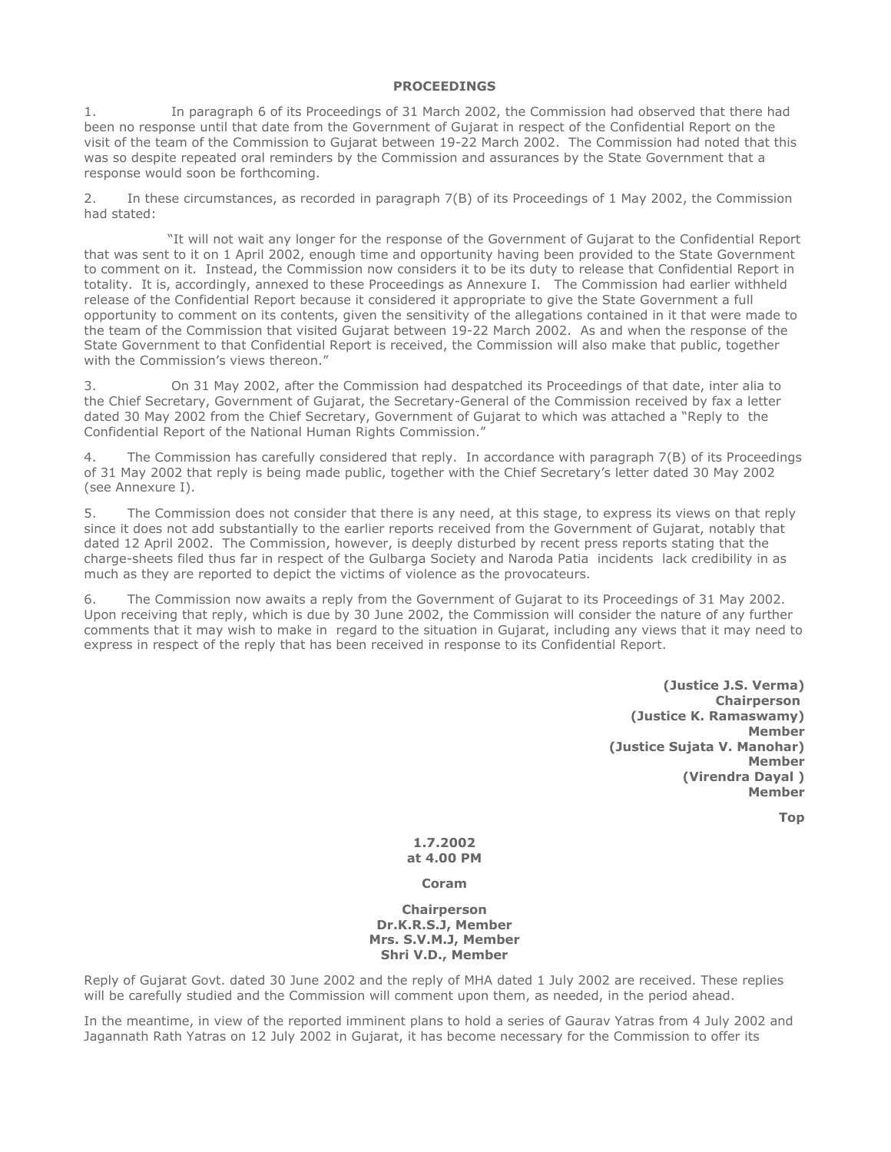# PROCEEDINGS

1. In paragraph 6 of its Proceedings of 31 March 2002, the Commission had observed that there had been no response until that date from the Government of Gujarat in respect of the Confidential Report on the visit of the team of the Commission to Gujarat between 19-22 March 2002. The Commission had noted that this was so despite repeated oral reminders by the Commission and assurances by the State Government that a response would soon be forthcoming.

2. In these circumstances, as recorded in paragraph 7(B) of its Proceedings of 1 May 2002, the Commission had stated:

 "It will not wait any longer for the response of the Government of Gujarat to the Confidential Report that was sent to it on 1 April 2002, enough time and opportunity having been provided to the State Government to comment on it. Instead, the Commission now considers it to be its duty to release that Confidential Report in totality. It is, accordingly, annexed to these Proceedings as Annexure I. The Commission had earlier withheld release of the Confidential Report because it considered it appropriate to give the State Government a full opportunity to comment on its contents, given the sensitivity of the allegations contained in it that were made to the team of the Commission that visited Gujarat between 19-22 March 2002. As and when the response of the State Government to that Confidential Report is received, the Commission will also make that public, together with the Commission's views thereon."

3. On 31 May 2002, after the Commission had despatched its Proceedings of that date, inter alia to the Chief Secretary, Government of Gujarat, the Secretary-General of the Commission received by fax a letter dated 30 May 2002 from the Chief Secretary, Government of Gujarat to which was attached a "Reply to the Confidential Report of the National Human Rights Commission."

4. The Commission has carefully considered that reply. In accordance with paragraph 7(B) of its Proceedings of 31 May 2002 that reply is being made public, together with the Chief Secretary's letter dated 30 May 2002 (see Annexure I).

5. The Commission does not consider that there is any need, at this stage, to express its views on that reply since it does not add substantially to the earlier reports received from the Government of Gujarat, notably that dated 12 April 2002. The Commission, however, is deeply disturbed by recent press reports stating that the charge-sheets filed thus far in respect of the Gulbarga Society and Naroda Patia incidents lack credibility in as much as they are reported to depict the victims of violence as the provocateurs.

6. The Commission now awaits a reply from the Government of Gujarat to its Proceedings of 31 May 2002. Upon receiving that reply, which is due by 30 June 2002, the Commission will consider the nature of any further comments that it may wish to make in regard to the situation in Gujarat, including any views that it may need to express in respect of the reply that has been received in response to its Confidential Report.

> (Justice J.S. Verma) Chairperson (Justice K. Ramaswamy) Member (Justice Sujata V. Manohar) Member (Virendra Dayal ) Member

> > Top

1.7.2002 at 4.00 PM

Coram

**Chairperson** Dr.K.R.S.J, Member Mrs. S.V.M.J, Member Shri V.D., Member

Reply of Gujarat Govt. dated 30 June 2002 and the reply of MHA dated 1 July 2002 are received. These replies will be carefully studied and the Commission will comment upon them, as needed, in the period ahead.

In the meantime, in view of the reported imminent plans to hold a series of Gaurav Yatras from 4 July 2002 and Jagannath Rath Yatras on 12 July 2002 in Gujarat, it has become necessary for the Commission to offer its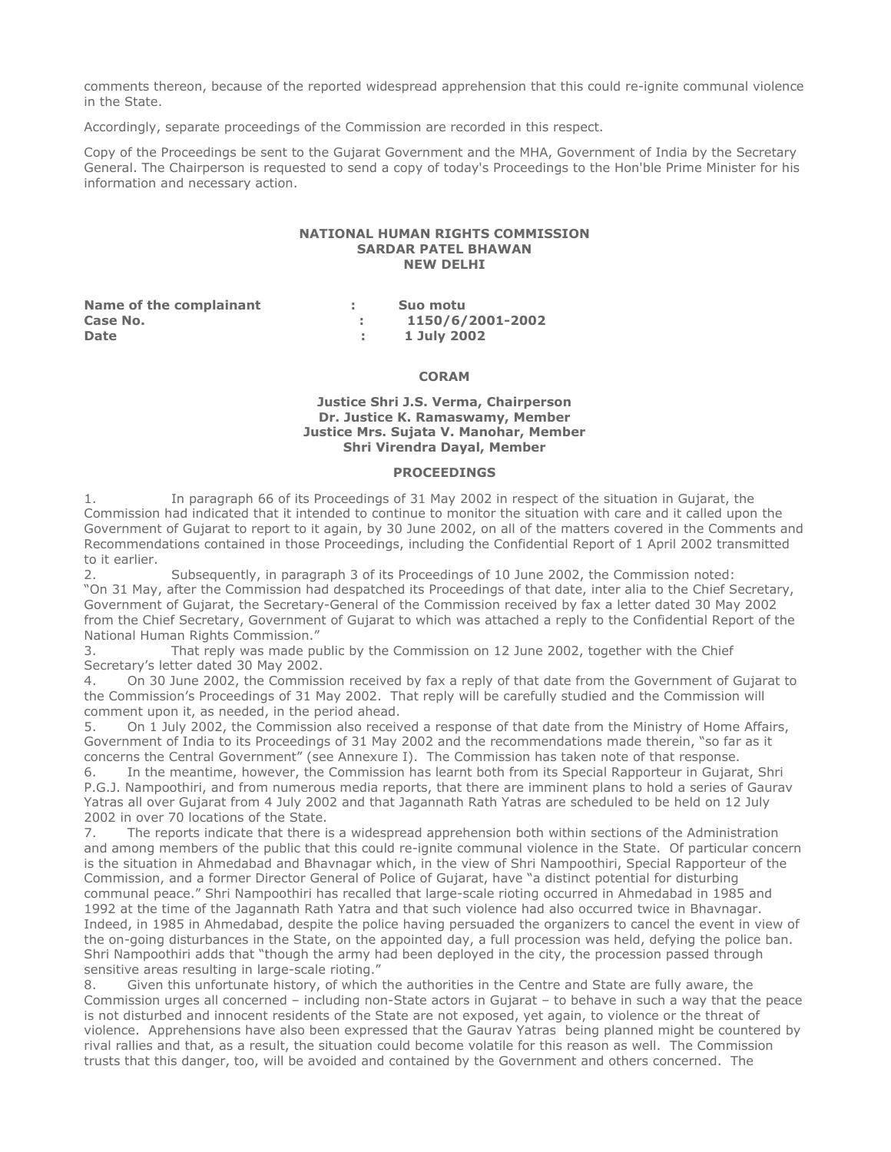comments thereon, because of the reported widespread apprehension that this could re-ignite communal violence in the State.

Accordingly, separate proceedings of the Commission are recorded in this respect.

Copy of the Proceedings be sent to the Gujarat Government and the MHA, Government of India by the Secretary General. The Chairperson is requested to send a copy of today's Proceedings to the Hon'ble Prime Minister for his information and necessary action.

#### NATIONAL HUMAN RIGHTS COMMISSION SARDAR PATEL BHAWAN NEW DELHI

| Name of the complainant | Suo motu         |
|-------------------------|------------------|
| Case No.                | 1150/6/2001-2002 |
| <b>Date</b>             | 1 July 2002      |

### **CORAM**

### Justice Shri J.S. Verma, Chairperson Dr. Justice K. Ramaswamy, Member Justice Mrs. Sujata V. Manohar, Member Shri Virendra Dayal, Member

# PROCEEDINGS

1. In paragraph 66 of its Proceedings of 31 May 2002 in respect of the situation in Gujarat, the Commission had indicated that it intended to continue to monitor the situation with care and it called upon the Government of Gujarat to report to it again, by 30 June 2002, on all of the matters covered in the Comments and Recommendations contained in those Proceedings, including the Confidential Report of 1 April 2002 transmitted

to it earlier.<br>2. Subsequently, in paragraph 3 of its Proceedings of 10 June 2002, the Commission noted: "On 31 May, after the Commission had despatched its Proceedings of that date, inter alia to the Chief Secretary, Government of Gujarat, the Secretary-General of the Commission received by fax a letter dated 30 May 2002 from the Chief Secretary, Government of Gujarat to which was attached a reply to the Confidential Report of the National Human Rights Commission."

3. That reply was made public by the Commission on 12 June 2002, together with the Chief Secretary's letter dated 30 May 2002.

4. On 30 June 2002, the Commission received by fax a reply of that date from the Government of Gujarat to the Commission's Proceedings of 31 May 2002. That reply will be carefully studied and the Commission will comment upon it, as needed, in the period ahead.

5. On 1 July 2002, the Commission also received a response of that date from the Ministry of Home Affairs, Government of India to its Proceedings of 31 May 2002 and the recommendations made therein, "so far as it concerns the Central Government" (see Annexure I). The Commission has taken note of that response.

6. In the meantime, however, the Commission has learnt both from its Special Rapporteur in Gujarat, Shri P.G.J. Nampoothiri, and from numerous media reports, that there are imminent plans to hold a series of Gaurav Yatras all over Gujarat from 4 July 2002 and that Jagannath Rath Yatras are scheduled to be held on 12 July 2002 in over 70 locations of the State.

7. The reports indicate that there is a widespread apprehension both within sections of the Administration and among members of the public that this could re-ignite communal violence in the State. Of particular concern is the situation in Ahmedabad and Bhavnagar which, in the view of Shri Nampoothiri, Special Rapporteur of the Commission, and a former Director General of Police of Gujarat, have "a distinct potential for disturbing communal peace." Shri Nampoothiri has recalled that large-scale rioting occurred in Ahmedabad in 1985 and 1992 at the time of the Jagannath Rath Yatra and that such violence had also occurred twice in Bhavnagar. Indeed, in 1985 in Ahmedabad, despite the police having persuaded the organizers to cancel the event in view of the on-going disturbances in the State, on the appointed day, a full procession was held, defying the police ban. Shri Nampoothiri adds that "though the army had been deployed in the city, the procession passed through sensitive areas resulting in large-scale rioting."

8. Given this unfortunate history, of which the authorities in the Centre and State are fully aware, the Commission urges all concerned – including non-State actors in Gujarat – to behave in such a way that the peace is not disturbed and innocent residents of the State are not exposed, yet again, to violence or the threat of violence. Apprehensions have also been expressed that the Gaurav Yatras being planned might be countered by rival rallies and that, as a result, the situation could become volatile for this reason as well. The Commission trusts that this danger, too, will be avoided and contained by the Government and others concerned. The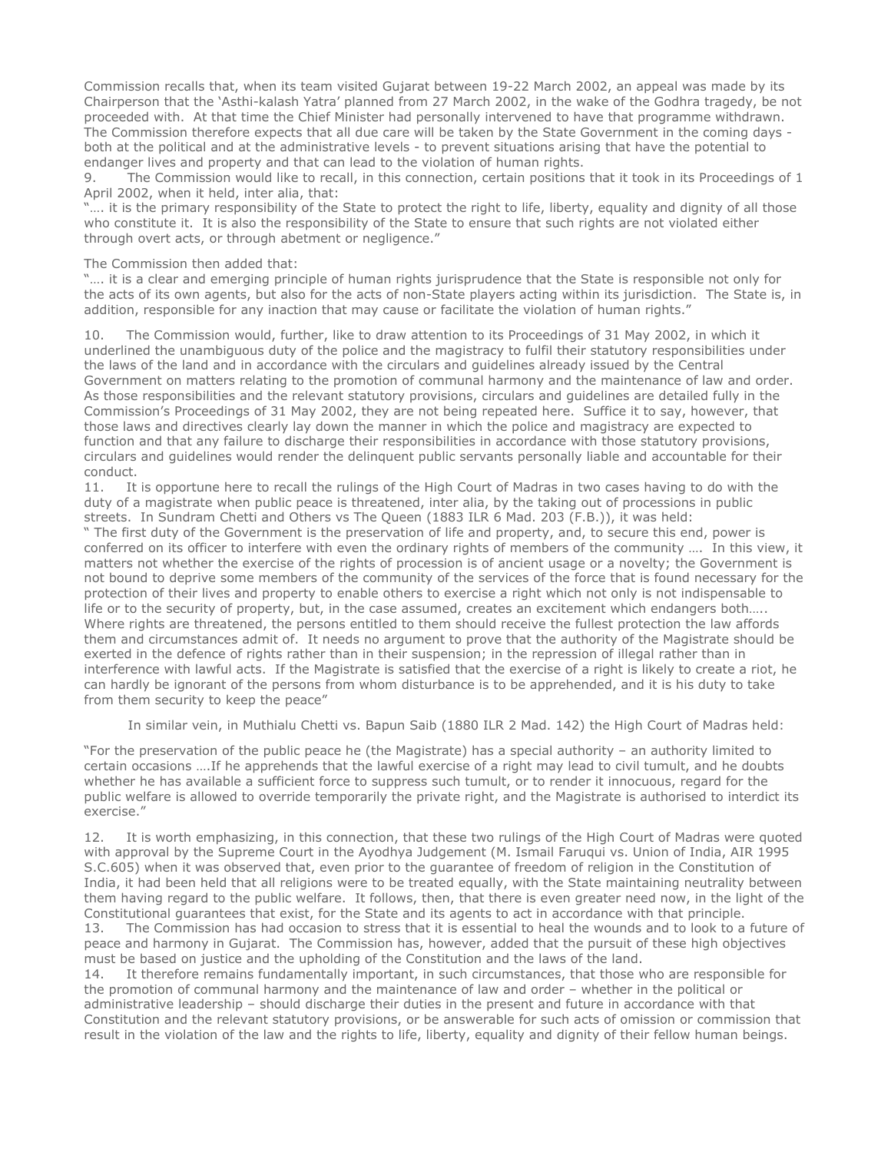Commission recalls that, when its team visited Gujarat between 19-22 March 2002, an appeal was made by its Chairperson that the 'Asthi-kalash Yatra' planned from 27 March 2002, in the wake of the Godhra tragedy, be not proceeded with. At that time the Chief Minister had personally intervened to have that programme withdrawn. The Commission therefore expects that all due care will be taken by the State Government in the coming days both at the political and at the administrative levels - to prevent situations arising that have the potential to endanger lives and property and that can lead to the violation of human rights.

9. The Commission would like to recall, in this connection, certain positions that it took in its Proceedings of 1 April 2002, when it held, inter alia, that:

.... it is the primary responsibility of the State to protect the right to life, liberty, equality and dignity of all those who constitute it. It is also the responsibility of the State to ensure that such rights are not violated either through overt acts, or through abetment or negligence."

### The Commission then added that:

"…. it is a clear and emerging principle of human rights jurisprudence that the State is responsible not only for the acts of its own agents, but also for the acts of non-State players acting within its jurisdiction. The State is, in addition, responsible for any inaction that may cause or facilitate the violation of human rights."

The Commission would, further, like to draw attention to its Proceedings of 31 May 2002, in which it underlined the unambiguous duty of the police and the magistracy to fulfil their statutory responsibilities under the laws of the land and in accordance with the circulars and guidelines already issued by the Central Government on matters relating to the promotion of communal harmony and the maintenance of law and order. As those responsibilities and the relevant statutory provisions, circulars and guidelines are detailed fully in the Commission's Proceedings of 31 May 2002, they are not being repeated here. Suffice it to say, however, that those laws and directives clearly lay down the manner in which the police and magistracy are expected to function and that any failure to discharge their responsibilities in accordance with those statutory provisions, circulars and guidelines would render the delinquent public servants personally liable and accountable for their conduct.

11. It is opportune here to recall the rulings of the High Court of Madras in two cases having to do with the duty of a magistrate when public peace is threatened, inter alia, by the taking out of processions in public streets. In Sundram Chetti and Others vs The Queen (1883 ILR 6 Mad. 203 (F.B.)), it was held:

" The first duty of the Government is the preservation of life and property, and, to secure this end, power is conferred on its officer to interfere with even the ordinary rights of members of the community …. In this view, it matters not whether the exercise of the rights of procession is of ancient usage or a novelty; the Government is not bound to deprive some members of the community of the services of the force that is found necessary for the protection of their lives and property to enable others to exercise a right which not only is not indispensable to life or to the security of property, but, in the case assumed, creates an excitement which endangers both….. Where rights are threatened, the persons entitled to them should receive the fullest protection the law affords them and circumstances admit of. It needs no argument to prove that the authority of the Magistrate should be exerted in the defence of rights rather than in their suspension; in the repression of illegal rather than in interference with lawful acts. If the Magistrate is satisfied that the exercise of a right is likely to create a riot, he can hardly be ignorant of the persons from whom disturbance is to be apprehended, and it is his duty to take from them security to keep the peace"

In similar vein, in Muthialu Chetti vs. Bapun Saib (1880 ILR 2 Mad. 142) the High Court of Madras held:

"For the preservation of the public peace he (the Magistrate) has a special authority – an authority limited to certain occasions ….If he apprehends that the lawful exercise of a right may lead to civil tumult, and he doubts whether he has available a sufficient force to suppress such tumult, or to render it innocuous, regard for the public welfare is allowed to override temporarily the private right, and the Magistrate is authorised to interdict its exercise."

12. It is worth emphasizing, in this connection, that these two rulings of the High Court of Madras were quoted with approval by the Supreme Court in the Ayodhya Judgement (M. Ismail Faruqui vs. Union of India, AIR 1995 S.C.605) when it was observed that, even prior to the guarantee of freedom of religion in the Constitution of India, it had been held that all religions were to be treated equally, with the State maintaining neutrality between them having regard to the public welfare. It follows, then, that there is even greater need now, in the light of the Constitutional guarantees that exist, for the State and its agents to act in accordance with that principle. 13. The Commission has had occasion to stress that it is essential to heal the wounds and to look to a future of peace and harmony in Gujarat. The Commission has, however, added that the pursuit of these high objectives must be based on justice and the upholding of the Constitution and the laws of the land.

14. It therefore remains fundamentally important, in such circumstances, that those who are responsible for the promotion of communal harmony and the maintenance of law and order – whether in the political or administrative leadership – should discharge their duties in the present and future in accordance with that Constitution and the relevant statutory provisions, or be answerable for such acts of omission or commission that result in the violation of the law and the rights to life, liberty, equality and dignity of their fellow human beings.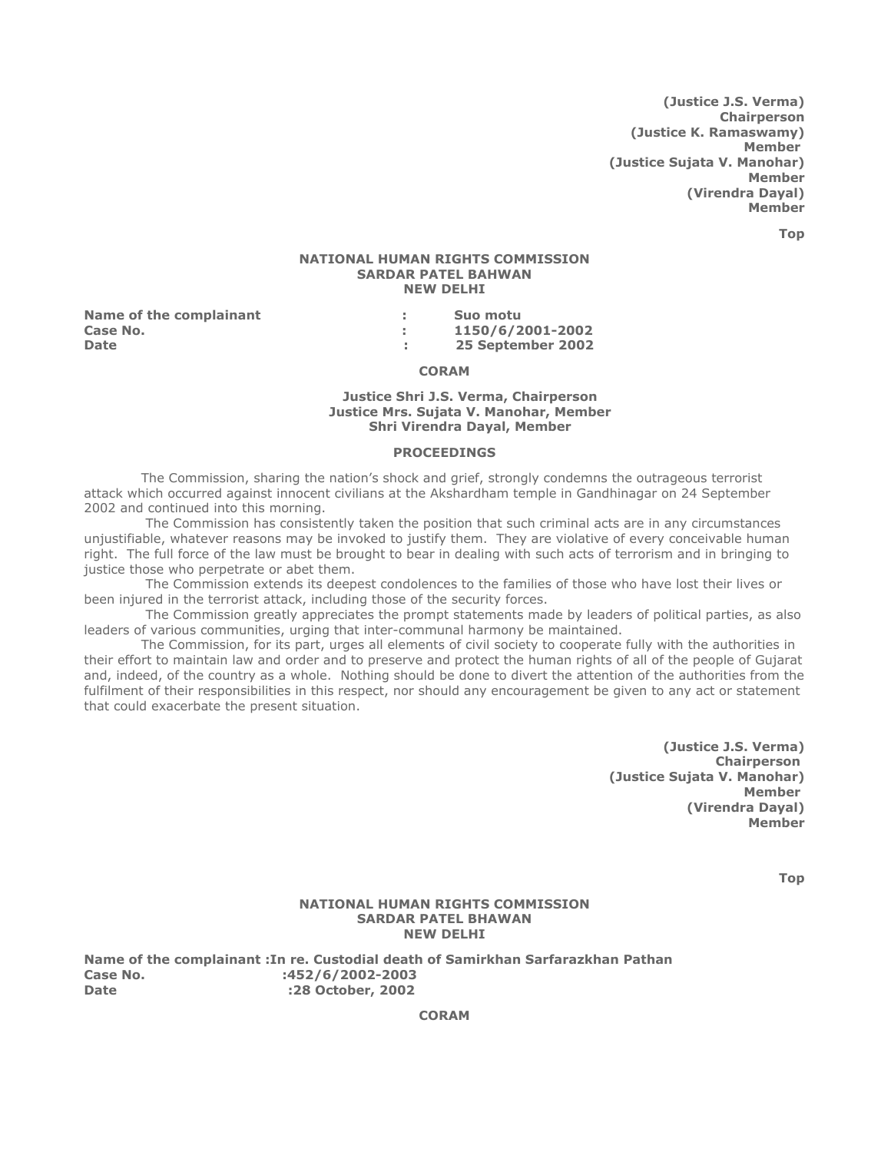(Justice J.S. Verma) **Chairperson** (Justice K. Ramaswamy) Member (Justice Sujata V. Manohar) Member (Virendra Dayal) Member

Top

### NATIONAL HUMAN RIGHTS COMMISSION SARDAR PATEL BAHWAN NEW DELHI

Name of the complainant Theorem is the Suo motu

Case No. : 1150/6/2001-2002 Date : 25 September 2002

### CORAM

### Justice Shri J.S. Verma, Chairperson Justice Mrs. Sujata V. Manohar, Member Shri Virendra Dayal, Member

#### PROCEEDINGS

 The Commission, sharing the nation's shock and grief, strongly condemns the outrageous terrorist attack which occurred against innocent civilians at the Akshardham temple in Gandhinagar on 24 September 2002 and continued into this morning.

 The Commission has consistently taken the position that such criminal acts are in any circumstances unjustifiable, whatever reasons may be invoked to justify them. They are violative of every conceivable human right. The full force of the law must be brought to bear in dealing with such acts of terrorism and in bringing to justice those who perpetrate or abet them.

 The Commission extends its deepest condolences to the families of those who have lost their lives or been injured in the terrorist attack, including those of the security forces.

 The Commission greatly appreciates the prompt statements made by leaders of political parties, as also leaders of various communities, urging that inter-communal harmony be maintained.

 The Commission, for its part, urges all elements of civil society to cooperate fully with the authorities in their effort to maintain law and order and to preserve and protect the human rights of all of the people of Gujarat and, indeed, of the country as a whole. Nothing should be done to divert the attention of the authorities from the fulfilment of their responsibilities in this respect, nor should any encouragement be given to any act or statement that could exacerbate the present situation.

> (Justice J.S. Verma) Chairperson (Justice Sujata V. Manohar) **Member** (Virendra Dayal) Member

> > Top

# NATIONAL HUMAN RIGHTS COMMISSION SARDAR PATEL BHAWAN NEW DELHI

Name of the complainant :In re. Custodial death of Samirkhan Sarfarazkhan Pathan Case No. 1452/6/2002-2003 Date :28 October, 2002

CORAM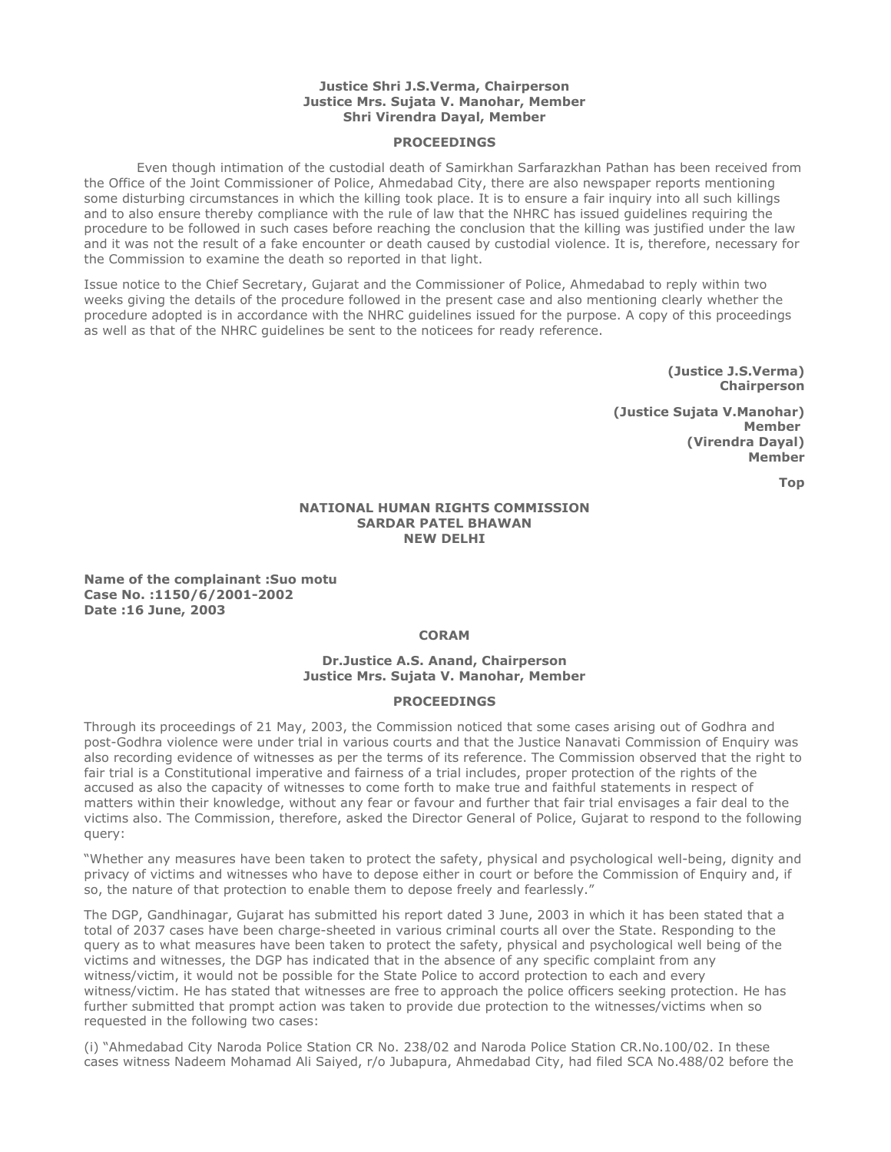### Justice Shri J.S.Verma, Chairperson Justice Mrs. Sujata V. Manohar, Member Shri Virendra Dayal, Member

### PROCEEDINGS

 Even though intimation of the custodial death of Samirkhan Sarfarazkhan Pathan has been received from the Office of the Joint Commissioner of Police, Ahmedabad City, there are also newspaper reports mentioning some disturbing circumstances in which the killing took place. It is to ensure a fair inquiry into all such killings and to also ensure thereby compliance with the rule of law that the NHRC has issued guidelines requiring the procedure to be followed in such cases before reaching the conclusion that the killing was justified under the law and it was not the result of a fake encounter or death caused by custodial violence. It is, therefore, necessary for the Commission to examine the death so reported in that light.

Issue notice to the Chief Secretary, Gujarat and the Commissioner of Police, Ahmedabad to reply within two weeks giving the details of the procedure followed in the present case and also mentioning clearly whether the procedure adopted is in accordance with the NHRC guidelines issued for the purpose. A copy of this proceedings as well as that of the NHRC guidelines be sent to the noticees for ready reference.

> (Justice J.S.Verma) **Chairperson**

(Justice Sujata V.Manohar) Member (Virendra Dayal) Member

Top

### NATIONAL HUMAN RIGHTS COMMISSION SARDAR PATEL BHAWAN NEW DELHI

Name of the complainant :Suo motu Case No. :1150/6/2001-2002 Date :16 June, 2003

# **CORAM**

# Dr.Justice A.S. Anand, Chairperson Justice Mrs. Sujata V. Manohar, Member

### **PROCEEDINGS**

Through its proceedings of 21 May, 2003, the Commission noticed that some cases arising out of Godhra and post-Godhra violence were under trial in various courts and that the Justice Nanavati Commission of Enquiry was also recording evidence of witnesses as per the terms of its reference. The Commission observed that the right to fair trial is a Constitutional imperative and fairness of a trial includes, proper protection of the rights of the accused as also the capacity of witnesses to come forth to make true and faithful statements in respect of matters within their knowledge, without any fear or favour and further that fair trial envisages a fair deal to the victims also. The Commission, therefore, asked the Director General of Police, Gujarat to respond to the following query:

"Whether any measures have been taken to protect the safety, physical and psychological well-being, dignity and privacy of victims and witnesses who have to depose either in court or before the Commission of Enquiry and, if so, the nature of that protection to enable them to depose freely and fearlessly."

The DGP, Gandhinagar, Gujarat has submitted his report dated 3 June, 2003 in which it has been stated that a total of 2037 cases have been charge-sheeted in various criminal courts all over the State. Responding to the query as to what measures have been taken to protect the safety, physical and psychological well being of the victims and witnesses, the DGP has indicated that in the absence of any specific complaint from any witness/victim, it would not be possible for the State Police to accord protection to each and every witness/victim. He has stated that witnesses are free to approach the police officers seeking protection. He has further submitted that prompt action was taken to provide due protection to the witnesses/victims when so requested in the following two cases:

(i) "Ahmedabad City Naroda Police Station CR No. 238/02 and Naroda Police Station CR.No.100/02. In these cases witness Nadeem Mohamad Ali Saiyed, r/o Jubapura, Ahmedabad City, had filed SCA No.488/02 before the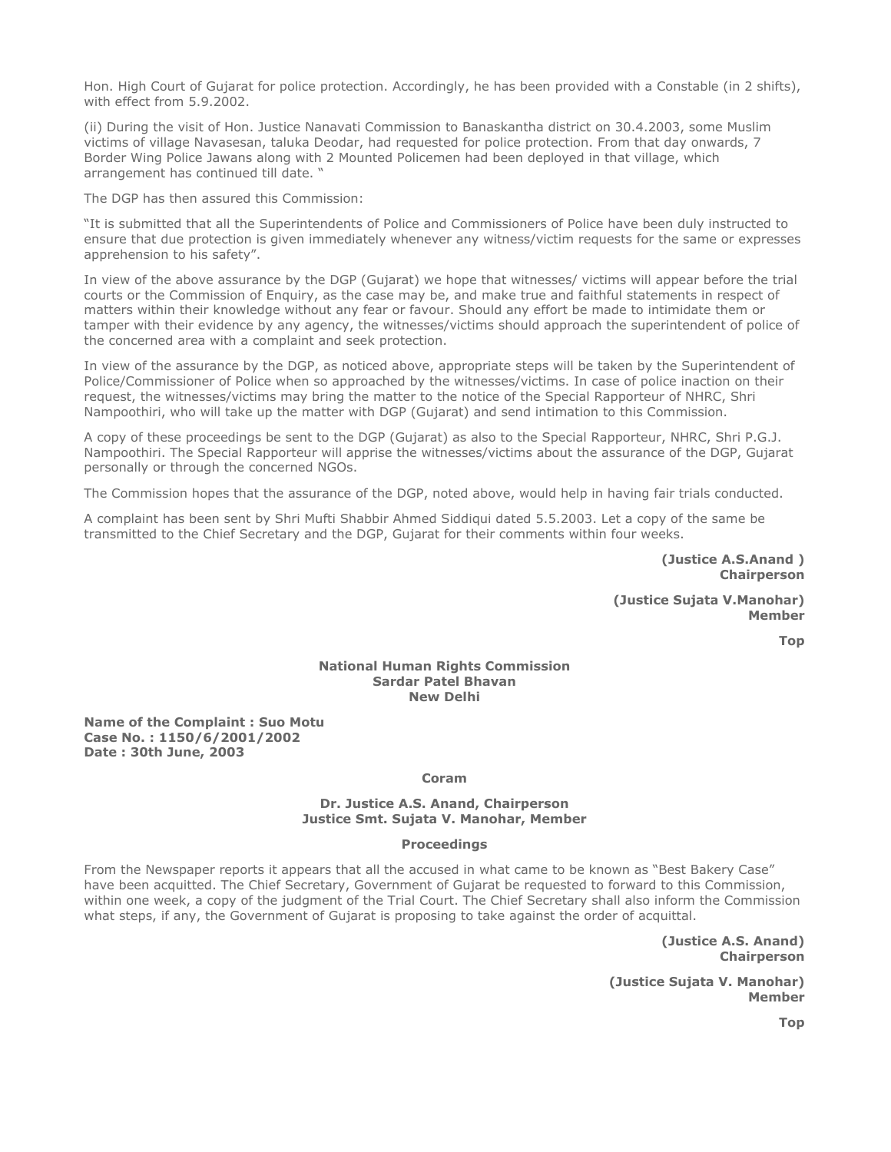Hon. High Court of Gujarat for police protection. Accordingly, he has been provided with a Constable (in 2 shifts), with effect from 5.9.2002.

(ii) During the visit of Hon. Justice Nanavati Commission to Banaskantha district on 30.4.2003, some Muslim victims of village Navasesan, taluka Deodar, had requested for police protection. From that day onwards, 7 Border Wing Police Jawans along with 2 Mounted Policemen had been deployed in that village, which arrangement has continued till date. "

The DGP has then assured this Commission:

"It is submitted that all the Superintendents of Police and Commissioners of Police have been duly instructed to ensure that due protection is given immediately whenever any witness/victim requests for the same or expresses apprehension to his safety".

In view of the above assurance by the DGP (Gujarat) we hope that witnesses/ victims will appear before the trial courts or the Commission of Enquiry, as the case may be, and make true and faithful statements in respect of matters within their knowledge without any fear or favour. Should any effort be made to intimidate them or tamper with their evidence by any agency, the witnesses/victims should approach the superintendent of police of the concerned area with a complaint and seek protection.

In view of the assurance by the DGP, as noticed above, appropriate steps will be taken by the Superintendent of Police/Commissioner of Police when so approached by the witnesses/victims. In case of police inaction on their request, the witnesses/victims may bring the matter to the notice of the Special Rapporteur of NHRC, Shri Nampoothiri, who will take up the matter with DGP (Gujarat) and send intimation to this Commission.

A copy of these proceedings be sent to the DGP (Gujarat) as also to the Special Rapporteur, NHRC, Shri P.G.J. Nampoothiri. The Special Rapporteur will apprise the witnesses/victims about the assurance of the DGP, Gujarat personally or through the concerned NGOs.

The Commission hopes that the assurance of the DGP, noted above, would help in having fair trials conducted.

A complaint has been sent by Shri Mufti Shabbir Ahmed Siddiqui dated 5.5.2003. Let a copy of the same be transmitted to the Chief Secretary and the DGP, Gujarat for their comments within four weeks.

> (Justice A.S.Anand ) **Chairperson**

(Justice Sujata V.Manohar) Member

Top

# National Human Rights Commission Sardar Patel Bhavan New Delhi

Name of the Complaint : Suo Motu Case No. : 1150/6/2001/2002 Date : 30th June, 2003

#### Coram

#### Dr. Justice A.S. Anand, Chairperson Justice Smt. Sujata V. Manohar, Member

#### **Proceedings**

From the Newspaper reports it appears that all the accused in what came to be known as "Best Bakery Case" have been acquitted. The Chief Secretary, Government of Gujarat be requested to forward to this Commission, within one week, a copy of the judgment of the Trial Court. The Chief Secretary shall also inform the Commission what steps, if any, the Government of Gujarat is proposing to take against the order of acquittal.

> (Justice A.S. Anand) Chairperson

(Justice Sujata V. Manohar) Member

Top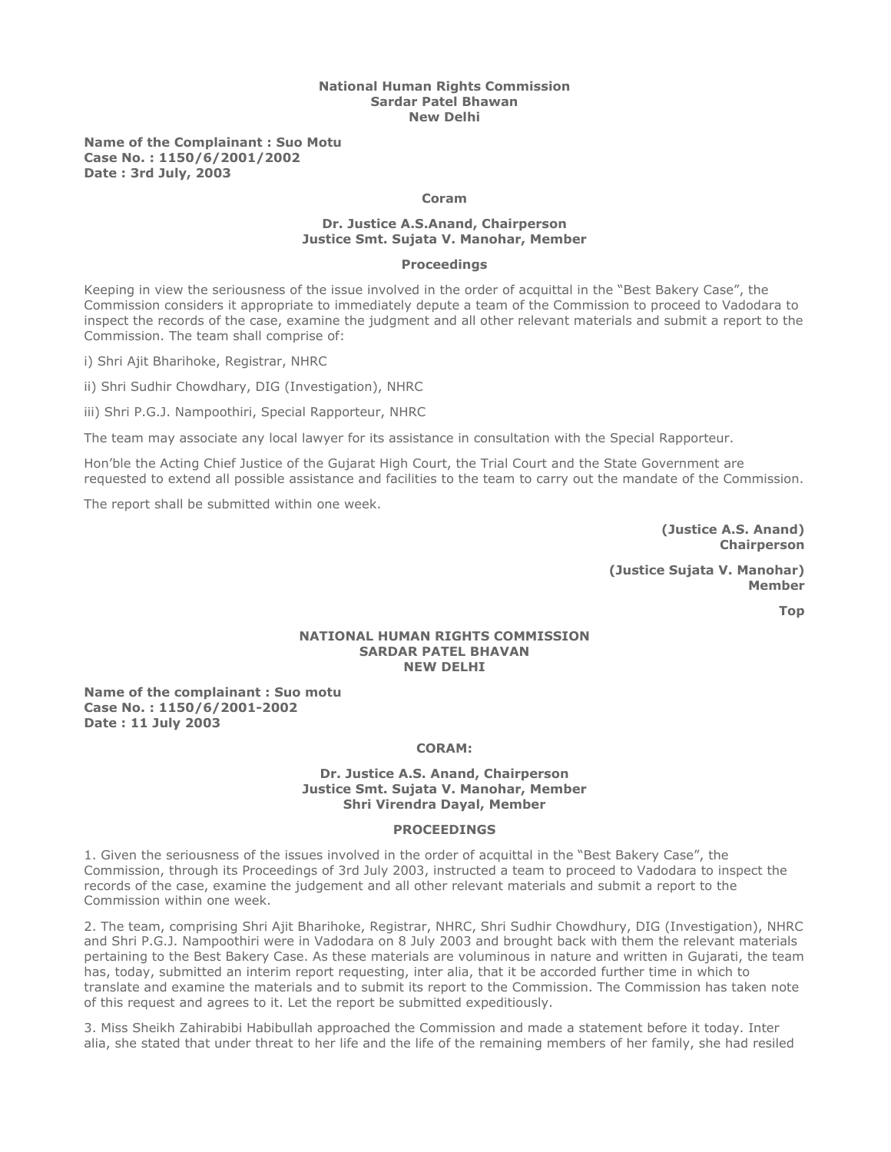### National Human Rights Commission Sardar Patel Bhawan New Delhi

Name of the Complainant : Suo Motu Case No. : 1150/6/2001/2002 Date : 3rd July, 2003

### Coram

### Dr. Justice A.S.Anand, Chairperson Justice Smt. Sujata V. Manohar, Member

#### Proceedings

Keeping in view the seriousness of the issue involved in the order of acquittal in the "Best Bakery Case", the Commission considers it appropriate to immediately depute a team of the Commission to proceed to Vadodara to inspect the records of the case, examine the judgment and all other relevant materials and submit a report to the Commission. The team shall comprise of:

i) Shri Ajit Bharihoke, Registrar, NHRC

ii) Shri Sudhir Chowdhary, DIG (Investigation), NHRC

iii) Shri P.G.J. Nampoothiri, Special Rapporteur, NHRC

The team may associate any local lawyer for its assistance in consultation with the Special Rapporteur.

Hon'ble the Acting Chief Justice of the Gujarat High Court, the Trial Court and the State Government are requested to extend all possible assistance and facilities to the team to carry out the mandate of the Commission.

The report shall be submitted within one week.

(Justice A.S. Anand) Chairperson

(Justice Sujata V. Manohar) Member

Top

#### NATIONAL HUMAN RIGHTS COMMISSION SARDAR PATEL BHAVAN NEW DELHI

Name of the complainant : Suo motu Case No. : 1150/6/2001-2002 Date : 11 July 2003

# CORAM:

### Dr. Justice A.S. Anand, Chairperson Justice Smt. Sujata V. Manohar, Member Shri Virendra Dayal, Member

#### PROCEEDINGS

1. Given the seriousness of the issues involved in the order of acquittal in the "Best Bakery Case", the Commission, through its Proceedings of 3rd July 2003, instructed a team to proceed to Vadodara to inspect the records of the case, examine the judgement and all other relevant materials and submit a report to the Commission within one week.

2. The team, comprising Shri Ajit Bharihoke, Registrar, NHRC, Shri Sudhir Chowdhury, DIG (Investigation), NHRC and Shri P.G.J. Nampoothiri were in Vadodara on 8 July 2003 and brought back with them the relevant materials pertaining to the Best Bakery Case. As these materials are voluminous in nature and written in Gujarati, the team has, today, submitted an interim report requesting, inter alia, that it be accorded further time in which to translate and examine the materials and to submit its report to the Commission. The Commission has taken note of this request and agrees to it. Let the report be submitted expeditiously.

3. Miss Sheikh Zahirabibi Habibullah approached the Commission and made a statement before it today. Inter alia, she stated that under threat to her life and the life of the remaining members of her family, she had resiled